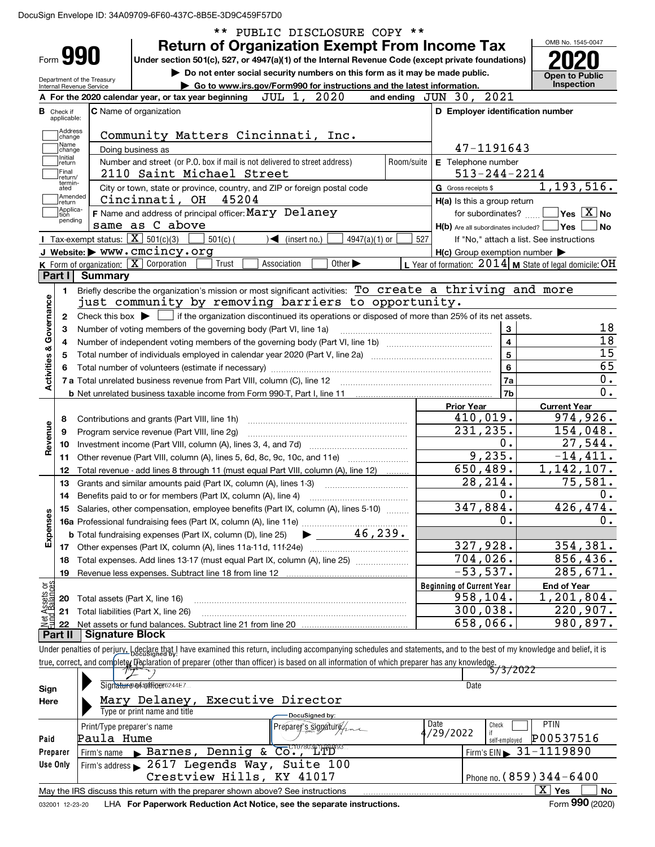|                                              |                               |                                                         |                                                                                                                                                                                                                                                                                                 | PUBLIC DISCLOSURE COPY **                                                   |            |                                                     |                                                                                          |  |  |  |
|----------------------------------------------|-------------------------------|---------------------------------------------------------|-------------------------------------------------------------------------------------------------------------------------------------------------------------------------------------------------------------------------------------------------------------------------------------------------|-----------------------------------------------------------------------------|------------|-----------------------------------------------------|------------------------------------------------------------------------------------------|--|--|--|
|                                              |                               |                                                         | <b>Return of Organization Exempt From Income Tax</b>                                                                                                                                                                                                                                            |                                                                             |            |                                                     | OMB No. 1545-0047                                                                        |  |  |  |
|                                              | Form 990                      |                                                         | Under section 501(c), 527, or 4947(a)(1) of the Internal Revenue Code (except private foundations)                                                                                                                                                                                              |                                                                             |            |                                                     |                                                                                          |  |  |  |
|                                              |                               | Department of the Treasury                              |                                                                                                                                                                                                                                                                                                 | Do not enter social security numbers on this form as it may be made public. |            |                                                     | <b>Open to Public</b>                                                                    |  |  |  |
|                                              |                               | Internal Revenue Service                                |                                                                                                                                                                                                                                                                                                 | Go to www.irs.gov/Form990 for instructions and the latest information.      |            |                                                     | Inspection                                                                               |  |  |  |
|                                              |                               |                                                         | A For the 2020 calendar year, or tax year beginning                                                                                                                                                                                                                                             | 2020<br>JUL 1,                                                              |            | 2021<br>and ending $JUN$ 30,                        |                                                                                          |  |  |  |
| В                                            | Check if<br>applicable:       |                                                         | <b>C</b> Name of organization                                                                                                                                                                                                                                                                   |                                                                             |            | D Employer identification number                    |                                                                                          |  |  |  |
|                                              | Address                       |                                                         | Community Matters Cincinnati, Inc.                                                                                                                                                                                                                                                              |                                                                             |            |                                                     |                                                                                          |  |  |  |
|                                              | change<br> Name               |                                                         |                                                                                                                                                                                                                                                                                                 | 47-1191643                                                                  |            |                                                     |                                                                                          |  |  |  |
|                                              | change<br>  Initial<br>return |                                                         | Doing business as<br>Number and street (or P.O. box if mail is not delivered to street address)                                                                                                                                                                                                 |                                                                             | Room/suite | E Telephone number                                  |                                                                                          |  |  |  |
|                                              | Final<br>lreturn/             |                                                         | 2110 Saint Michael Street                                                                                                                                                                                                                                                                       |                                                                             |            | $513 - 244 - 2214$                                  |                                                                                          |  |  |  |
|                                              | termin-<br>ated               |                                                         | City or town, state or province, country, and ZIP or foreign postal code                                                                                                                                                                                                                        |                                                                             |            | G Gross receipts \$                                 | 1, 193, 516.                                                                             |  |  |  |
|                                              | Amended<br> return            |                                                         | Cincinnati, OH 45204                                                                                                                                                                                                                                                                            |                                                                             |            | H(a) Is this a group return                         |                                                                                          |  |  |  |
|                                              | Applica-<br>tion              |                                                         | F Name and address of principal officer: Mary Delaney                                                                                                                                                                                                                                           |                                                                             |            | for subordinates?                                   | $\sqrt{}$ Yes $\sqrt{X}$ No                                                              |  |  |  |
|                                              | pending                       |                                                         | same as C above                                                                                                                                                                                                                                                                                 |                                                                             |            | $H(b)$ Are all subordinates included? $\Box$ Yes    | l No                                                                                     |  |  |  |
|                                              |                               |                                                         | Tax-exempt status: $\boxed{\mathbf{X}}$ 501(c)(3)<br>$501(c)$ (                                                                                                                                                                                                                                 | $\sqrt{\frac{2}{1}}$ (insert no.)<br>$4947(a)(1)$ or                        | 527        |                                                     | If "No," attach a list. See instructions                                                 |  |  |  |
|                                              |                               |                                                         | J Website: > WWW.CMCincy.org                                                                                                                                                                                                                                                                    |                                                                             |            | $H(c)$ Group exemption number $\blacktriangleright$ |                                                                                          |  |  |  |
|                                              |                               |                                                         | K Form of organization: X Corporation<br>Trust                                                                                                                                                                                                                                                  | Other $\blacktriangleright$<br>Association                                  |            |                                                     | L Year of formation: 2014   M State of legal domicile: OH                                |  |  |  |
|                                              | Part I                        | <b>Summary</b>                                          |                                                                                                                                                                                                                                                                                                 |                                                                             |            |                                                     |                                                                                          |  |  |  |
|                                              | 1.                            |                                                         | Briefly describe the organization's mission or most significant activities: To create a thriving and more                                                                                                                                                                                       |                                                                             |            |                                                     |                                                                                          |  |  |  |
|                                              |                               |                                                         | just community by removing barriers to opportunity.                                                                                                                                                                                                                                             |                                                                             |            |                                                     |                                                                                          |  |  |  |
|                                              | 2                             |                                                         | Check this box $\blacktriangleright$ $\blacksquare$ if the organization discontinued its operations or disposed of more than 25% of its net assets.                                                                                                                                             |                                                                             |            | 3                                                   | 18                                                                                       |  |  |  |
| Governance                                   | 3<br>4                        |                                                         | Number of voting members of the governing body (Part VI, line 1a)                                                                                                                                                                                                                               |                                                                             |            | 4                                                   | $\overline{18}$                                                                          |  |  |  |
|                                              | 5                             |                                                         |                                                                                                                                                                                                                                                                                                 |                                                                             |            | 5                                                   | $\overline{15}$                                                                          |  |  |  |
|                                              | 6                             |                                                         |                                                                                                                                                                                                                                                                                                 |                                                                             |            | 6                                                   | $\overline{65}$                                                                          |  |  |  |
| <b>Activities &amp;</b>                      |                               |                                                         |                                                                                                                                                                                                                                                                                                 |                                                                             |            | 7a                                                  | $0$ .                                                                                    |  |  |  |
|                                              |                               |                                                         |                                                                                                                                                                                                                                                                                                 |                                                                             |            | 7b                                                  | 0.                                                                                       |  |  |  |
|                                              |                               |                                                         |                                                                                                                                                                                                                                                                                                 |                                                                             |            | <b>Prior Year</b>                                   | <b>Current Year</b>                                                                      |  |  |  |
|                                              | 8                             |                                                         | Contributions and grants (Part VIII, line 1h)                                                                                                                                                                                                                                                   |                                                                             |            | 410,019.                                            | 974,926.                                                                                 |  |  |  |
|                                              | 9                             |                                                         | Program service revenue (Part VIII, line 2g)                                                                                                                                                                                                                                                    |                                                                             |            | 231,235.                                            | 154,048.                                                                                 |  |  |  |
| Revenue                                      | 10                            |                                                         |                                                                                                                                                                                                                                                                                                 |                                                                             |            | Ο.                                                  | 27,544.                                                                                  |  |  |  |
|                                              | 11                            |                                                         | Other revenue (Part VIII, column (A), lines 5, 6d, 8c, 9c, 10c, and 11e)                                                                                                                                                                                                                        |                                                                             |            | 9,235.                                              | $-14,411.$                                                                               |  |  |  |
|                                              | 12                            |                                                         | Total revenue - add lines 8 through 11 (must equal Part VIII, column (A), line 12)                                                                                                                                                                                                              |                                                                             |            | 650,489.                                            | 1, 142, 107.                                                                             |  |  |  |
|                                              | 13                            |                                                         | Grants and similar amounts paid (Part IX, column (A), lines 1-3)                                                                                                                                                                                                                                |                                                                             |            | 28,214.                                             | 75,581.                                                                                  |  |  |  |
|                                              | 14                            |                                                         | Benefits paid to or for members (Part IX, column (A), line 4)                                                                                                                                                                                                                                   |                                                                             |            | о.                                                  | 0.                                                                                       |  |  |  |
|                                              |                               |                                                         | 15 Salaries, other compensation, employee benefits (Part IX, column (A), lines 5-10)                                                                                                                                                                                                            |                                                                             |            | 347,884.<br>Ο.                                      | 426,474.<br>$0$ .                                                                        |  |  |  |
|                                              |                               |                                                         |                                                                                                                                                                                                                                                                                                 |                                                                             |            |                                                     |                                                                                          |  |  |  |
| Expenses                                     |                               |                                                         |                                                                                                                                                                                                                                                                                                 |                                                                             |            | 327,928.                                            | 354,381.                                                                                 |  |  |  |
|                                              | 17<br>18                      |                                                         | Total expenses. Add lines 13-17 (must equal Part IX, column (A), line 25)                                                                                                                                                                                                                       |                                                                             |            | 704,026.                                            | 856,436.                                                                                 |  |  |  |
|                                              | 19                            |                                                         |                                                                                                                                                                                                                                                                                                 |                                                                             |            | $-53,537.$                                          | 285,671.                                                                                 |  |  |  |
|                                              |                               |                                                         |                                                                                                                                                                                                                                                                                                 |                                                                             |            | <b>Beginning of Current Year</b>                    | <b>End of Year</b>                                                                       |  |  |  |
| Assets or<br>dBalances                       | 20                            |                                                         | Total assets (Part X, line 16)                                                                                                                                                                                                                                                                  |                                                                             |            | 958,104.                                            | 1,201,804.                                                                               |  |  |  |
|                                              | 21                            |                                                         | Total liabilities (Part X, line 26)                                                                                                                                                                                                                                                             |                                                                             |            | 300,038.                                            | 220,907.                                                                                 |  |  |  |
|                                              | 22                            |                                                         |                                                                                                                                                                                                                                                                                                 |                                                                             |            | 658,066.                                            | 980,897.                                                                                 |  |  |  |
|                                              | Part II                       | <b>Signature Block</b>                                  |                                                                                                                                                                                                                                                                                                 |                                                                             |            |                                                     |                                                                                          |  |  |  |
|                                              |                               |                                                         | Under penalties of perjury. Logglang that, I have examined this return, including accompanying schedules and statements, and to the best of my knowledge and belief, it is                                                                                                                      |                                                                             |            |                                                     |                                                                                          |  |  |  |
|                                              |                               |                                                         | true, correct, and complety [Declaration of preparer (other than officer) is based on all information of which preparer has any knowledge.                                                                                                                                                      |                                                                             |            |                                                     |                                                                                          |  |  |  |
|                                              |                               |                                                         |                                                                                                                                                                                                                                                                                                 |                                                                             |            |                                                     |                                                                                          |  |  |  |
|                                              |                               |                                                         |                                                                                                                                                                                                                                                                                                 |                                                                             |            |                                                     |                                                                                          |  |  |  |
|                                              |                               |                                                         |                                                                                                                                                                                                                                                                                                 |                                                                             |            |                                                     |                                                                                          |  |  |  |
|                                              |                               |                                                         |                                                                                                                                                                                                                                                                                                 | DocuSigned by:                                                              |            |                                                     |                                                                                          |  |  |  |
|                                              |                               |                                                         |                                                                                                                                                                                                                                                                                                 |                                                                             |            | 4/29/2022                                           |                                                                                          |  |  |  |
|                                              |                               |                                                         |                                                                                                                                                                                                                                                                                                 |                                                                             |            |                                                     |                                                                                          |  |  |  |
|                                              |                               |                                                         |                                                                                                                                                                                                                                                                                                 |                                                                             |            |                                                     |                                                                                          |  |  |  |
|                                              |                               |                                                         |                                                                                                                                                                                                                                                                                                 |                                                                             |            |                                                     | Phone no. (859) 344-6400                                                                 |  |  |  |
|                                              |                               |                                                         |                                                                                                                                                                                                                                                                                                 |                                                                             |            |                                                     | No                                                                                       |  |  |  |
| Sign<br>Here<br>Paid<br>Preparer<br>Use Only |                               | Print/Type preparer's name<br>Paula Hume<br>Firm's name | Signature M EST TGEF6244E7<br>Mary Delaney,<br>Executive Director<br>Type or print name and title<br>Barnes, Dennig & Co., LTD"<br>Firm's address > 2617 Legends Way, Suite 100<br>Crestview Hills, KY 41017<br>May the IRS discuss this return with the preparer shown above? See instructions | Preparet's signature                                                        |            | 5/3/2022<br>Date<br>Date<br>Check<br>self-employed  | <b>PTIN</b><br>P00537516<br>Firm's EIN $\triangleright$ 31-1119890<br>$\overline{X}$ Yes |  |  |  |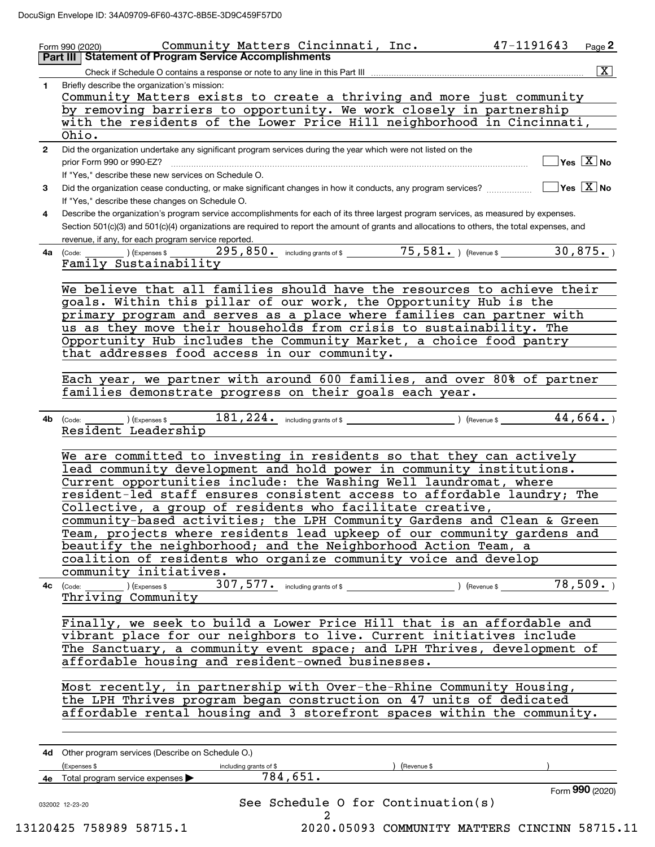|              | Community Matters Cincinnati, Inc.<br>Form 990 (2020)                                                                                                                                               | 47-1191643                       | Page $2$                               |
|--------------|-----------------------------------------------------------------------------------------------------------------------------------------------------------------------------------------------------|----------------------------------|----------------------------------------|
|              | <b>Part III   Statement of Program Service Accomplishments</b>                                                                                                                                      |                                  |                                        |
|              | Check if Schedule O contains a response or note to any line in this Part III                                                                                                                        |                                  | $\boxed{\text{X}}$                     |
| 1            | Briefly describe the organization's mission:<br>Community Matters exists to create a thriving and more just community                                                                               |                                  |                                        |
|              | by removing barriers to opportunity. We work closely in partnership                                                                                                                                 |                                  |                                        |
|              | with the residents of the Lower Price Hill neighborhood in Cincinnati,<br>Ohio.                                                                                                                     |                                  |                                        |
| $\mathbf{2}$ | Did the organization undertake any significant program services during the year which were not listed on the                                                                                        |                                  |                                        |
|              | prior Form 990 or 990-EZ?                                                                                                                                                                           |                                  | $\sqrt{\ }$ Yes $\sqrt{\ \text{X}}$ No |
|              | If "Yes," describe these new services on Schedule O.                                                                                                                                                |                                  |                                        |
| 3            | Did the organization cease conducting, or make significant changes in how it conducts, any program services?<br>If "Yes," describe these changes on Schedule O.                                     | $\Box$ Yes $\boxed{\text{X}}$ No |                                        |
| 4            | Describe the organization's program service accomplishments for each of its three largest program services, as measured by expenses.                                                                |                                  |                                        |
|              | Section 501(c)(3) and 501(c)(4) organizations are required to report the amount of grants and allocations to others, the total expenses, and<br>revenue, if any, for each program service reported. |                                  |                                        |
|              | <b>4a</b> (Code:                                                                                                                                                                                    |                                  | 30,875.                                |
|              | Family Sustainability                                                                                                                                                                               |                                  |                                        |
|              |                                                                                                                                                                                                     |                                  |                                        |
|              | We believe that all families should have the resources to achieve their<br>goals. Within this pillar of our work, the Opportunity Hub is the                                                        |                                  |                                        |
|              | primary program and serves as a place where families can partner with                                                                                                                               |                                  |                                        |
|              | us as they move their households from crisis to sustainability. The                                                                                                                                 |                                  |                                        |
|              | Opportunity Hub includes the Community Market, a choice food pantry                                                                                                                                 |                                  |                                        |
|              | that addresses food access in our community.                                                                                                                                                        |                                  |                                        |
|              |                                                                                                                                                                                                     |                                  |                                        |
|              | Each year, we partner with around 600 families, and over 80% of partner                                                                                                                             |                                  |                                        |
|              | families demonstrate progress on their goals each year.                                                                                                                                             |                                  |                                        |
|              |                                                                                                                                                                                                     |                                  |                                        |
|              | $(1)$ (Expenses \$ $\_\_$<br>4b (Code: __<br>Resident Leadership                                                                                                                                    | 44,664.                          |                                        |
|              |                                                                                                                                                                                                     |                                  |                                        |
|              | We are committed to investing in residents so that they can actively                                                                                                                                |                                  |                                        |
|              | lead community development and hold power in community institutions.                                                                                                                                |                                  |                                        |
|              | Current opportunities include: the Washing Well laundromat, where                                                                                                                                   |                                  |                                        |
|              | resident-led staff ensures consistent access to affordable laundry; The                                                                                                                             |                                  |                                        |
|              | Collective, a group of residents who facilitate creative,<br>community-based activities; the LPH Community Gardens and Clean & Green                                                                |                                  |                                        |
|              | Team, projects where residents lead upkeep of our community gardens and                                                                                                                             |                                  |                                        |
|              | beautify the neighborhood; and the Neighborhood Action Team, a                                                                                                                                      |                                  |                                        |
|              | coalition of residents who organize community voice and develop                                                                                                                                     |                                  |                                        |
|              | community initiatives.                                                                                                                                                                              |                                  |                                        |
|              |                                                                                                                                                                                                     |                                  | 78,509.                                |
|              | Thriving Community                                                                                                                                                                                  |                                  |                                        |
|              |                                                                                                                                                                                                     |                                  |                                        |
|              | Finally, we seek to build a Lower Price Hill that is an affordable and                                                                                                                              |                                  |                                        |
|              | vibrant place for our neighbors to live. Current initiatives include                                                                                                                                |                                  |                                        |
|              | The Sanctuary, a community event space; and LPH Thrives, development of                                                                                                                             |                                  |                                        |
|              | affordable housing and resident-owned businesses.                                                                                                                                                   |                                  |                                        |
|              | Most recently, in partnership with Over-the-Rhine Community Housing,                                                                                                                                |                                  |                                        |
|              | the LPH Thrives program began construction on 47 units of dedicated                                                                                                                                 |                                  |                                        |
|              | affordable rental housing and 3 storefront spaces within the community.                                                                                                                             |                                  |                                        |
|              |                                                                                                                                                                                                     |                                  |                                        |
|              |                                                                                                                                                                                                     |                                  |                                        |
|              | 4d Other program services (Describe on Schedule O.)                                                                                                                                                 |                                  |                                        |
|              | (Expenses \$<br>(Revenue \$<br>including grants of \$                                                                                                                                               |                                  |                                        |
|              | 784,651.<br>4e Total program service expenses                                                                                                                                                       |                                  |                                        |
|              | See Schedule 0 for Continuation(s)<br>032002 12-23-20                                                                                                                                               |                                  | Form 990 (2020)                        |
|              |                                                                                                                                                                                                     |                                  |                                        |

 <sup>13120425 758989 58715.1 2020.05093</sup> COMMUNITY MATTERS CINCINN 58715.11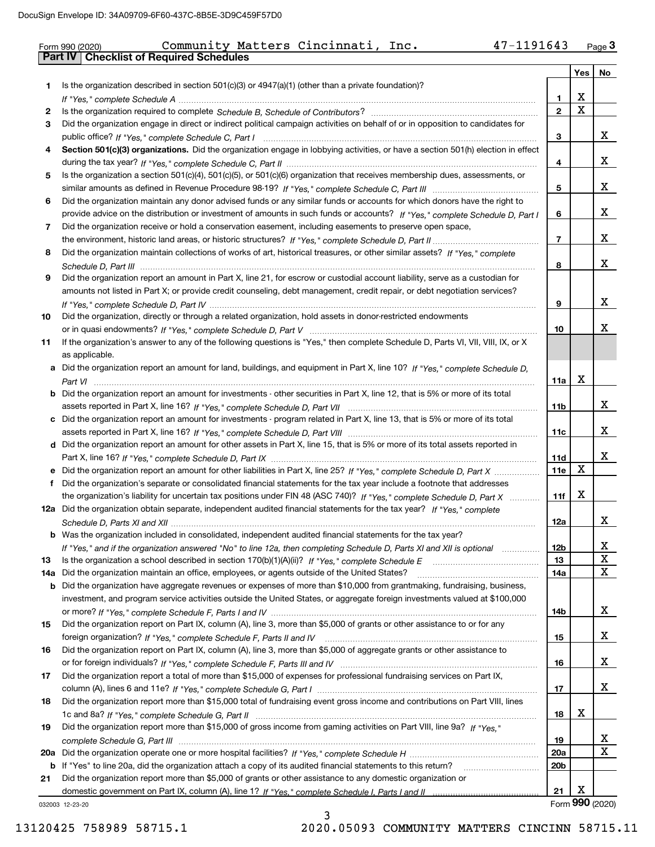# Form 990 (2020) Community Matters Cincinnati, Inc**.** 47-1191643 <sub>Page</sub> 3<br>**Part IV | Checklist of Required Schedules**

|       |                                                                                                                                                                                                                                                   |                 | Yes         | No              |
|-------|---------------------------------------------------------------------------------------------------------------------------------------------------------------------------------------------------------------------------------------------------|-----------------|-------------|-----------------|
| 1     | Is the organization described in section $501(c)(3)$ or $4947(a)(1)$ (other than a private foundation)?                                                                                                                                           |                 |             |                 |
|       |                                                                                                                                                                                                                                                   | 1               | X           |                 |
| 2     |                                                                                                                                                                                                                                                   | $\overline{2}$  | $\mathbf X$ |                 |
| 3     | Did the organization engage in direct or indirect political campaign activities on behalf of or in opposition to candidates for                                                                                                                   |                 |             |                 |
|       |                                                                                                                                                                                                                                                   | 3               |             | x               |
| 4     | Section 501(c)(3) organizations. Did the organization engage in lobbying activities, or have a section 501(h) election in effect                                                                                                                  |                 |             |                 |
|       |                                                                                                                                                                                                                                                   | 4               |             | x               |
| 5     | Is the organization a section 501(c)(4), 501(c)(5), or 501(c)(6) organization that receives membership dues, assessments, or                                                                                                                      |                 |             |                 |
|       |                                                                                                                                                                                                                                                   | 5               |             | x               |
| 6     | Did the organization maintain any donor advised funds or any similar funds or accounts for which donors have the right to                                                                                                                         |                 |             | x               |
|       | provide advice on the distribution or investment of amounts in such funds or accounts? If "Yes," complete Schedule D, Part I                                                                                                                      | 6               |             |                 |
| 7     | Did the organization receive or hold a conservation easement, including easements to preserve open space,                                                                                                                                         | $\overline{7}$  |             | x               |
| 8     | Did the organization maintain collections of works of art, historical treasures, or other similar assets? If "Yes," complete                                                                                                                      |                 |             |                 |
|       |                                                                                                                                                                                                                                                   | 8               |             | x               |
| 9     | Did the organization report an amount in Part X, line 21, for escrow or custodial account liability, serve as a custodian for                                                                                                                     |                 |             |                 |
|       | amounts not listed in Part X; or provide credit counseling, debt management, credit repair, or debt negotiation services?                                                                                                                         |                 |             |                 |
|       |                                                                                                                                                                                                                                                   | 9               |             | x               |
| 10    | Did the organization, directly or through a related organization, hold assets in donor-restricted endowments                                                                                                                                      |                 |             |                 |
|       |                                                                                                                                                                                                                                                   | 10              |             | x               |
| 11    | If the organization's answer to any of the following questions is "Yes," then complete Schedule D, Parts VI, VII, VIII, IX, or X                                                                                                                  |                 |             |                 |
|       | as applicable.                                                                                                                                                                                                                                    |                 |             |                 |
|       | a Did the organization report an amount for land, buildings, and equipment in Part X, line 10? If "Yes," complete Schedule D,                                                                                                                     |                 |             |                 |
|       |                                                                                                                                                                                                                                                   | 11a             | X           |                 |
|       | <b>b</b> Did the organization report an amount for investments - other securities in Part X, line 12, that is 5% or more of its total                                                                                                             |                 |             |                 |
|       |                                                                                                                                                                                                                                                   | 11b             |             | x               |
|       | c Did the organization report an amount for investments - program related in Part X, line 13, that is 5% or more of its total                                                                                                                     |                 |             |                 |
|       |                                                                                                                                                                                                                                                   | 11c             |             | x               |
|       | d Did the organization report an amount for other assets in Part X, line 15, that is 5% or more of its total assets reported in                                                                                                                   |                 |             |                 |
|       |                                                                                                                                                                                                                                                   | 11d             |             | x               |
|       | e Did the organization report an amount for other liabilities in Part X, line 25? If "Yes," complete Schedule D, Part X                                                                                                                           | 11e             | X           |                 |
| f     | Did the organization's separate or consolidated financial statements for the tax year include a footnote that addresses                                                                                                                           |                 | X           |                 |
|       | the organization's liability for uncertain tax positions under FIN 48 (ASC 740)? If "Yes," complete Schedule D, Part X<br>12a Did the organization obtain separate, independent audited financial statements for the tax year? If "Yes," complete | 11f             |             |                 |
|       |                                                                                                                                                                                                                                                   | 12a             |             | x               |
|       | <b>b</b> Was the organization included in consolidated, independent audited financial statements for the tax year?                                                                                                                                |                 |             |                 |
|       | If "Yes," and if the organization answered "No" to line 12a, then completing Schedule D, Parts XI and XII is optional                                                                                                                             | 12b             |             | X,              |
| 13    |                                                                                                                                                                                                                                                   | 13              |             | X               |
| 14a l | Did the organization maintain an office, employees, or agents outside of the United States?                                                                                                                                                       | 14a             |             | $\mathbf x$     |
|       | <b>b</b> Did the organization have aggregate revenues or expenses of more than \$10,000 from grantmaking, fundraising, business,                                                                                                                  |                 |             |                 |
|       | investment, and program service activities outside the United States, or aggregate foreign investments valued at \$100,000                                                                                                                        |                 |             |                 |
|       |                                                                                                                                                                                                                                                   | 14b             |             | х               |
| 15    | Did the organization report on Part IX, column (A), line 3, more than \$5,000 of grants or other assistance to or for any                                                                                                                         |                 |             |                 |
|       |                                                                                                                                                                                                                                                   | 15              |             | х               |
| 16    | Did the organization report on Part IX, column (A), line 3, more than \$5,000 of aggregate grants or other assistance to                                                                                                                          |                 |             |                 |
|       |                                                                                                                                                                                                                                                   | 16              |             | х               |
| 17    | Did the organization report a total of more than \$15,000 of expenses for professional fundraising services on Part IX,                                                                                                                           |                 |             |                 |
|       |                                                                                                                                                                                                                                                   | 17              |             | X               |
| 18    | Did the organization report more than \$15,000 total of fundraising event gross income and contributions on Part VIII, lines                                                                                                                      |                 |             |                 |
|       |                                                                                                                                                                                                                                                   | 18              | X           |                 |
| 19    | Did the organization report more than \$15,000 of gross income from gaming activities on Part VIII, line 9a? If "Yes."                                                                                                                            |                 |             |                 |
|       |                                                                                                                                                                                                                                                   | 19              |             | x<br>X          |
|       |                                                                                                                                                                                                                                                   | <b>20a</b>      |             |                 |
| 21    | b If "Yes" to line 20a, did the organization attach a copy of its audited financial statements to this return?<br>Did the organization report more than \$5,000 of grants or other assistance to any domestic organization or                     | 20 <sub>b</sub> |             |                 |
|       |                                                                                                                                                                                                                                                   | 21              | X           |                 |
|       | 032003 12-23-20                                                                                                                                                                                                                                   |                 |             | Form 990 (2020) |

3

032003 12-23-20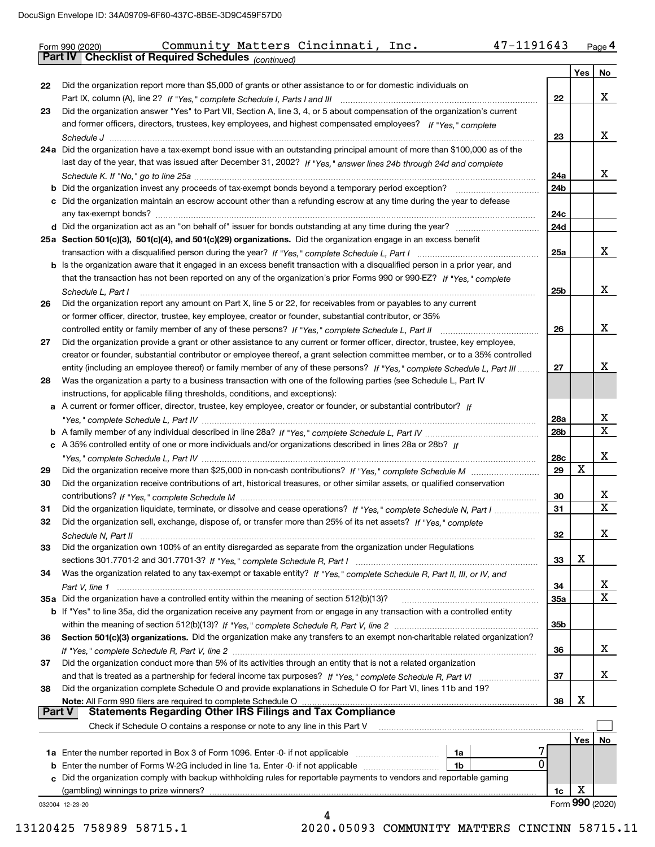|               | 47-1191643<br>Community Matters Cincinnati, Inc.<br>Form 990 (2020)                                                                                                                                                                          |                 |     | Page 4          |
|---------------|----------------------------------------------------------------------------------------------------------------------------------------------------------------------------------------------------------------------------------------------|-----------------|-----|-----------------|
|               | Part IV   Checklist of Required Schedules (continued)                                                                                                                                                                                        |                 |     |                 |
|               |                                                                                                                                                                                                                                              |                 | Yes | No              |
| 22            | Did the organization report more than \$5,000 of grants or other assistance to or for domestic individuals on                                                                                                                                |                 |     |                 |
|               |                                                                                                                                                                                                                                              | 22              |     | X.              |
| 23            | Did the organization answer "Yes" to Part VII, Section A, line 3, 4, or 5 about compensation of the organization's current<br>and former officers, directors, trustees, key employees, and highest compensated employees? If "Yes," complete |                 |     |                 |
|               |                                                                                                                                                                                                                                              | 23              |     | X.              |
|               | 24a Did the organization have a tax-exempt bond issue with an outstanding principal amount of more than \$100,000 as of the                                                                                                                  |                 |     |                 |
|               | last day of the year, that was issued after December 31, 2002? If "Yes," answer lines 24b through 24d and complete                                                                                                                           |                 |     |                 |
|               |                                                                                                                                                                                                                                              | 24a             |     | X.              |
|               | <b>b</b> Did the organization invest any proceeds of tax-exempt bonds beyond a temporary period exception?                                                                                                                                   | 24 <sub>b</sub> |     |                 |
|               | c Did the organization maintain an escrow account other than a refunding escrow at any time during the year to defease                                                                                                                       |                 |     |                 |
|               |                                                                                                                                                                                                                                              | 24c             |     |                 |
|               |                                                                                                                                                                                                                                              | 24d             |     |                 |
|               | 25a Section 501(c)(3), 501(c)(4), and 501(c)(29) organizations. Did the organization engage in an excess benefit                                                                                                                             | 25a             |     | X.              |
|               | b Is the organization aware that it engaged in an excess benefit transaction with a disqualified person in a prior year, and                                                                                                                 |                 |     |                 |
|               | that the transaction has not been reported on any of the organization's prior Forms 990 or 990-EZ? If "Yes," complete                                                                                                                        |                 |     |                 |
|               | Schedule L, Part I                                                                                                                                                                                                                           | 25 <sub>b</sub> |     | x               |
| 26            | Did the organization report any amount on Part X, line 5 or 22, for receivables from or payables to any current                                                                                                                              |                 |     |                 |
|               | or former officer, director, trustee, key employee, creator or founder, substantial contributor, or 35%                                                                                                                                      |                 |     |                 |
|               |                                                                                                                                                                                                                                              | 26              |     | x               |
| 27            | Did the organization provide a grant or other assistance to any current or former officer, director, trustee, key employee,                                                                                                                  |                 |     |                 |
|               | creator or founder, substantial contributor or employee thereof, a grant selection committee member, or to a 35% controlled                                                                                                                  |                 |     | x               |
|               | entity (including an employee thereof) or family member of any of these persons? If "Yes," complete Schedule L, Part III                                                                                                                     | 27              |     |                 |
| 28            | Was the organization a party to a business transaction with one of the following parties (see Schedule L, Part IV<br>instructions, for applicable filing thresholds, conditions, and exceptions):                                            |                 |     |                 |
|               | a A current or former officer, director, trustee, key employee, creator or founder, or substantial contributor? If                                                                                                                           |                 |     |                 |
|               |                                                                                                                                                                                                                                              | 28a             |     | х               |
|               |                                                                                                                                                                                                                                              | 28 <sub>b</sub> |     | X               |
|               | c A 35% controlled entity of one or more individuals and/or organizations described in lines 28a or 28b? If                                                                                                                                  |                 |     |                 |
|               |                                                                                                                                                                                                                                              | 28c             |     | x               |
| 29            |                                                                                                                                                                                                                                              | 29              | x   |                 |
| 30            | Did the organization receive contributions of art, historical treasures, or other similar assets, or qualified conservation                                                                                                                  |                 |     | X               |
| 31            | Did the organization liquidate, terminate, or dissolve and cease operations? If "Yes," complete Schedule N, Part I                                                                                                                           | 30<br>31        |     | X               |
| 32            | Did the organization sell, exchange, dispose of, or transfer more than 25% of its net assets? If "Yes." complete                                                                                                                             |                 |     |                 |
|               | Schedule N. Part II                                                                                                                                                                                                                          | 32              |     | x               |
| 33            | Did the organization own 100% of an entity disregarded as separate from the organization under Regulations                                                                                                                                   |                 |     |                 |
|               |                                                                                                                                                                                                                                              | 33              | х   |                 |
| 34            | Was the organization related to any tax-exempt or taxable entity? If "Yes," complete Schedule R, Part II, III, or IV, and                                                                                                                    |                 |     |                 |
|               |                                                                                                                                                                                                                                              | 34              |     | х               |
|               | 35a Did the organization have a controlled entity within the meaning of section 512(b)(13)?                                                                                                                                                  | 35a             |     | X               |
|               | <b>b</b> If "Yes" to line 35a, did the organization receive any payment from or engage in any transaction with a controlled entity                                                                                                           |                 |     |                 |
| 36            | Section 501(c)(3) organizations. Did the organization make any transfers to an exempt non-charitable related organization?                                                                                                                   | 35b             |     |                 |
|               |                                                                                                                                                                                                                                              | 36              |     | х               |
| 37            | Did the organization conduct more than 5% of its activities through an entity that is not a related organization                                                                                                                             |                 |     |                 |
|               |                                                                                                                                                                                                                                              | 37              |     | x               |
| 38            | Did the organization complete Schedule O and provide explanations in Schedule O for Part VI, lines 11b and 19?                                                                                                                               |                 |     |                 |
|               |                                                                                                                                                                                                                                              | 38              | x   |                 |
| <b>Part V</b> |                                                                                                                                                                                                                                              |                 |     |                 |
|               | Check if Schedule O contains a response or note to any line in this Part V                                                                                                                                                                   |                 |     |                 |
|               |                                                                                                                                                                                                                                              |                 | Yes | No.             |
| b             | 1a<br>0<br>Enter the number of Forms W-2G included in line 1a. Enter -0- if not applicable<br>1b                                                                                                                                             |                 |     |                 |
| с             | Did the organization comply with backup withholding rules for reportable payments to vendors and reportable gaming                                                                                                                           |                 |     |                 |
|               |                                                                                                                                                                                                                                              | 1c              | х   |                 |
|               | 032004 12-23-20                                                                                                                                                                                                                              |                 |     | Form 990 (2020) |
|               | 4                                                                                                                                                                                                                                            |                 |     |                 |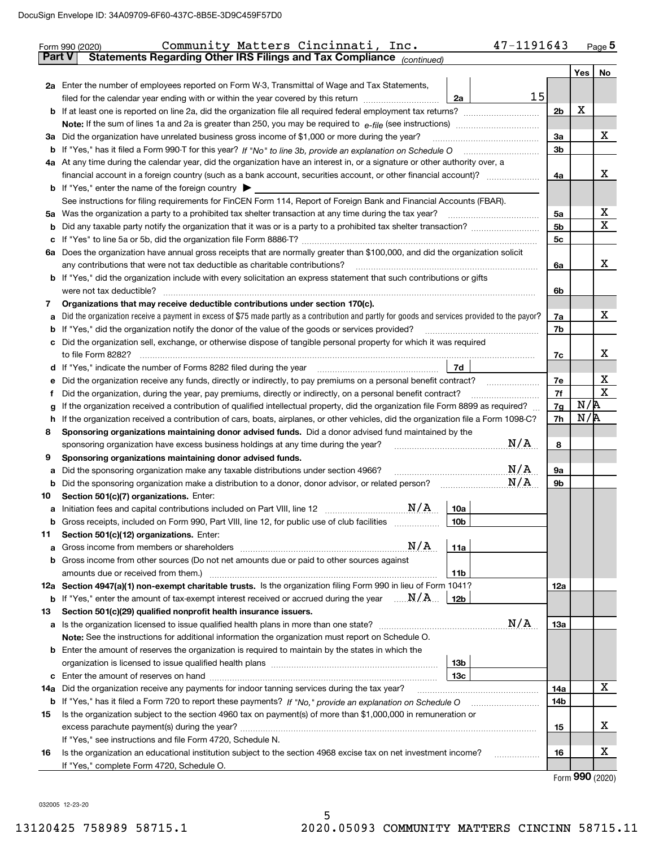|               | 47-1191643<br>Community Matters Cincinnati, Inc.<br>Form 990 (2020)                                                                             |                |     | Page $5$    |  |  |  |  |
|---------------|-------------------------------------------------------------------------------------------------------------------------------------------------|----------------|-----|-------------|--|--|--|--|
| <b>Part V</b> | Statements Regarding Other IRS Filings and Tax Compliance (continued)                                                                           |                |     |             |  |  |  |  |
|               |                                                                                                                                                 |                | Yes | No          |  |  |  |  |
|               | 2a Enter the number of employees reported on Form W-3, Transmittal of Wage and Tax Statements,                                                  |                |     |             |  |  |  |  |
|               | 15<br>filed for the calendar year ending with or within the year covered by this return<br>2a                                                   |                |     |             |  |  |  |  |
|               |                                                                                                                                                 | 2 <sub>b</sub> | X   |             |  |  |  |  |
|               |                                                                                                                                                 |                |     |             |  |  |  |  |
|               | 3a Did the organization have unrelated business gross income of \$1,000 or more during the year?                                                | За             |     | х           |  |  |  |  |
|               |                                                                                                                                                 | 3b             |     |             |  |  |  |  |
|               | 4a At any time during the calendar year, did the organization have an interest in, or a signature or other authority over, a                    |                |     |             |  |  |  |  |
|               |                                                                                                                                                 | 4a             |     | х           |  |  |  |  |
|               | <b>b</b> If "Yes," enter the name of the foreign country $\blacktriangleright$                                                                  |                |     |             |  |  |  |  |
|               | See instructions for filing requirements for FinCEN Form 114, Report of Foreign Bank and Financial Accounts (FBAR).                             |                |     |             |  |  |  |  |
|               |                                                                                                                                                 | 5а             |     | х           |  |  |  |  |
|               |                                                                                                                                                 | 5b             |     | $\mathbf X$ |  |  |  |  |
| c             |                                                                                                                                                 | 5c             |     |             |  |  |  |  |
|               | 6a Does the organization have annual gross receipts that are normally greater than \$100,000, and did the organization solicit                  |                |     |             |  |  |  |  |
|               |                                                                                                                                                 | 6a             |     | х           |  |  |  |  |
|               | <b>b</b> If "Yes," did the organization include with every solicitation an express statement that such contributions or gifts                   |                |     |             |  |  |  |  |
|               | were not tax deductible?                                                                                                                        | 6b             |     |             |  |  |  |  |
| 7             | Organizations that may receive deductible contributions under section 170(c).                                                                   |                |     |             |  |  |  |  |
| а             | Did the organization receive a payment in excess of \$75 made partly as a contribution and partly for goods and services provided to the payor? | 7a             |     | х           |  |  |  |  |
|               | <b>b</b> If "Yes," did the organization notify the donor of the value of the goods or services provided?                                        | 7b             |     |             |  |  |  |  |
|               | c Did the organization sell, exchange, or otherwise dispose of tangible personal property for which it was required                             |                |     |             |  |  |  |  |
|               |                                                                                                                                                 | 7c             |     | х           |  |  |  |  |
|               | 7d                                                                                                                                              |                |     |             |  |  |  |  |
| е             | Did the organization receive any funds, directly or indirectly, to pay premiums on a personal benefit contract?                                 | 7e             |     | х           |  |  |  |  |
|               | Did the organization, during the year, pay premiums, directly or indirectly, on a personal benefit contract?                                    |                |     |             |  |  |  |  |
|               | If the organization received a contribution of qualified intellectual property, did the organization file Form 8899 as required?                |                |     |             |  |  |  |  |
| h             | If the organization received a contribution of cars, boats, airplanes, or other vehicles, did the organization file a Form 1098-C?              |                |     |             |  |  |  |  |
| 8             | Sponsoring organizations maintaining donor advised funds. Did a donor advised fund maintained by the                                            |                |     |             |  |  |  |  |
|               | N/A<br>sponsoring organization have excess business holdings at any time during the year?                                                       | 8              |     |             |  |  |  |  |
| 9             | Sponsoring organizations maintaining donor advised funds.                                                                                       |                |     |             |  |  |  |  |
| а             | N/A<br>Did the sponsoring organization make any taxable distributions under section 4966?                                                       | 9а             |     |             |  |  |  |  |
| b             | N/A<br>Did the sponsoring organization make a distribution to a donor, donor advisor, or related person?                                        | 9b             |     |             |  |  |  |  |
| 10            | Section 501(c)(7) organizations. Enter:                                                                                                         |                |     |             |  |  |  |  |
|               | 10a                                                                                                                                             |                |     |             |  |  |  |  |
|               | Gross receipts, included on Form 990, Part VIII, line 12, for public use of club facilities<br>10 <sub>b</sub>                                  |                |     |             |  |  |  |  |
| 11            | Section 501(c)(12) organizations. Enter:                                                                                                        |                |     |             |  |  |  |  |
| а             | N/A<br>Gross income from members or shareholders<br>11a                                                                                         |                |     |             |  |  |  |  |
|               | b Gross income from other sources (Do not net amounts due or paid to other sources against                                                      |                |     |             |  |  |  |  |
|               | amounts due or received from them.)<br>11b                                                                                                      |                |     |             |  |  |  |  |
|               | 12a Section 4947(a)(1) non-exempt charitable trusts. Is the organization filing Form 990 in lieu of Form 1041?                                  | 12a            |     |             |  |  |  |  |
|               | <b>b</b> If "Yes," enter the amount of tax-exempt interest received or accrued during the year $\ldots \mathbf{N}/\mathbf{A}$<br>12b            |                |     |             |  |  |  |  |
| 13            | Section 501(c)(29) qualified nonprofit health insurance issuers.                                                                                |                |     |             |  |  |  |  |
|               | N/A                                                                                                                                             | 13a            |     |             |  |  |  |  |
|               | Note: See the instructions for additional information the organization must report on Schedule O.                                               |                |     |             |  |  |  |  |
|               | <b>b</b> Enter the amount of reserves the organization is required to maintain by the states in which the                                       |                |     |             |  |  |  |  |
|               | 13b                                                                                                                                             |                |     |             |  |  |  |  |
|               | 13 <sub>c</sub>                                                                                                                                 |                |     |             |  |  |  |  |
| 14a           | Did the organization receive any payments for indoor tanning services during the tax year?                                                      | 14a            |     | Х           |  |  |  |  |
|               | <b>b</b> If "Yes," has it filed a Form 720 to report these payments? If "No," provide an explanation on Schedule O                              | 14b            |     |             |  |  |  |  |
| 15            | Is the organization subject to the section 4960 tax on payment(s) of more than \$1,000,000 in remuneration or                                   |                |     |             |  |  |  |  |
|               |                                                                                                                                                 | 15             |     | х           |  |  |  |  |
|               | If "Yes," see instructions and file Form 4720, Schedule N.                                                                                      |                |     |             |  |  |  |  |
| 16            | Is the organization an educational institution subject to the section 4968 excise tax on net investment income?                                 | 16             |     | х           |  |  |  |  |
|               | If "Yes," complete Form 4720, Schedule O.                                                                                                       |                |     |             |  |  |  |  |

Form (2020) **990**

032005 12-23-20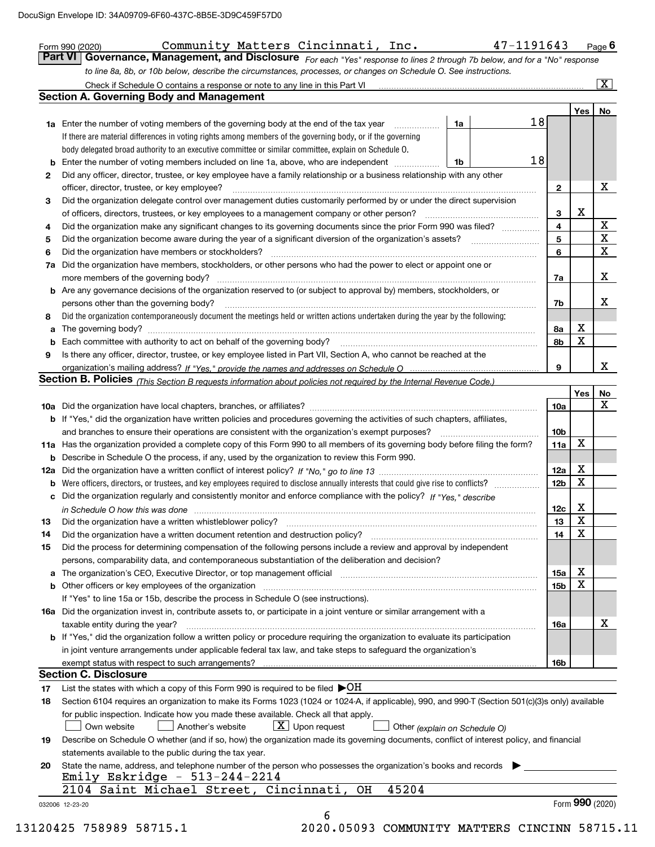|    | Check if Schedule O contains a response or note to any line in this Part VI [11] [12] Check if Schedule O contains a response or note to any line in this Part VI<br><b>Section A. Governing Body and Management</b>           |                         |             | $\overline{\mathbf{x}}$ |
|----|--------------------------------------------------------------------------------------------------------------------------------------------------------------------------------------------------------------------------------|-------------------------|-------------|-------------------------|
|    |                                                                                                                                                                                                                                |                         | Yes         | No                      |
|    | 18<br>1a Enter the number of voting members of the governing body at the end of the tax year<br>1a                                                                                                                             |                         |             |                         |
|    | If there are material differences in voting rights among members of the governing body, or if the governing                                                                                                                    |                         |             |                         |
|    | body delegated broad authority to an executive committee or similar committee, explain on Schedule O.                                                                                                                          |                         |             |                         |
| b  | 18<br>Enter the number of voting members included on line 1a, above, who are independent<br>1b                                                                                                                                 |                         |             |                         |
| 2  | Did any officer, director, trustee, or key employee have a family relationship or a business relationship with any other                                                                                                       |                         |             |                         |
|    | officer, director, trustee, or key employee?                                                                                                                                                                                   | $\mathbf{2}$            |             | X                       |
| 3  | Did the organization delegate control over management duties customarily performed by or under the direct supervision                                                                                                          |                         |             |                         |
|    | of officers, directors, trustees, or key employees to a management company or other person?                                                                                                                                    | 3                       | x           |                         |
| 4  | Did the organization make any significant changes to its governing documents since the prior Form 990 was filed?                                                                                                               | $\overline{\mathbf{4}}$ |             | $\mathbf{X}$            |
| 5  | Did the organization become aware during the year of a significant diversion of the organization's assets?                                                                                                                     | 5                       |             | $\overline{\mathbf{x}}$ |
| 6  | Did the organization have members or stockholders?                                                                                                                                                                             | 6                       |             | $\mathbf X$             |
| 7a | Did the organization have members, stockholders, or other persons who had the power to elect or appoint one or                                                                                                                 |                         |             |                         |
|    |                                                                                                                                                                                                                                | 7a                      |             | X                       |
|    | <b>b</b> Are any governance decisions of the organization reserved to (or subject to approval by) members, stockholders, or                                                                                                    |                         |             |                         |
|    | persons other than the governing body?                                                                                                                                                                                         | 7b                      |             | х                       |
| 8  | Did the organization contemporaneously document the meetings held or written actions undertaken during the year by the following:                                                                                              |                         |             |                         |
| a  |                                                                                                                                                                                                                                | 8а                      | X           |                         |
| b  |                                                                                                                                                                                                                                | 8b                      | X           |                         |
| 9  | Is there any officer, director, trustee, or key employee listed in Part VII, Section A, who cannot be reached at the                                                                                                           |                         |             |                         |
|    |                                                                                                                                                                                                                                | 9                       |             | x                       |
|    | Section B. Policies (This Section B requests information about policies not required by the Internal Revenue Code.)                                                                                                            |                         |             |                         |
|    |                                                                                                                                                                                                                                |                         | Yes         | <u>No</u>               |
|    |                                                                                                                                                                                                                                | 10a                     |             | X                       |
|    | <b>b</b> If "Yes," did the organization have written policies and procedures governing the activities of such chapters, affiliates,                                                                                            |                         |             |                         |
|    |                                                                                                                                                                                                                                | 10 <sub>b</sub>         |             |                         |
|    | 11a Has the organization provided a complete copy of this Form 990 to all members of its governing body before filing the form?                                                                                                | 11a                     | X           |                         |
|    | <b>b</b> Describe in Schedule O the process, if any, used by the organization to review this Form 990.                                                                                                                         |                         |             |                         |
|    |                                                                                                                                                                                                                                | 12a                     | X           |                         |
| b  | Were officers, directors, or trustees, and key employees required to disclose annually interests that could give rise to conflicts?                                                                                            | 12 <sub>b</sub>         | X           |                         |
|    | c Did the organization regularly and consistently monitor and enforce compliance with the policy? If "Yes." describe                                                                                                           |                         |             |                         |
|    | in Schedule O how this was done manufactured and contain an according to the state of the state of the state o                                                                                                                 | 12c                     | Х           |                         |
|    |                                                                                                                                                                                                                                | 13                      | $\mathbf X$ |                         |
| 14 | Did the organization have a written document retention and destruction policy? [11] manufaction policy?                                                                                                                        | 14                      | X           |                         |
| 15 | Did the process for determining compensation of the following persons include a review and approval by independent                                                                                                             |                         |             |                         |
|    | persons, comparability data, and contemporaneous substantiation of the deliberation and decision?                                                                                                                              |                         |             |                         |
|    | a The organization's CEO, Executive Director, or top management official manufactured content content of the organization's CEO, Executive Director, or top management official manufactured content of the state of the state | 15a                     | X           |                         |
|    |                                                                                                                                                                                                                                | 15 <sub>b</sub>         | X           |                         |
|    | If "Yes" to line 15a or 15b, describe the process in Schedule O (see instructions).                                                                                                                                            |                         |             |                         |
|    | 16a Did the organization invest in, contribute assets to, or participate in a joint venture or similar arrangement with a                                                                                                      |                         |             |                         |
|    | taxable entity during the year?                                                                                                                                                                                                | 16a                     |             | х                       |
|    | b If "Yes," did the organization follow a written policy or procedure requiring the organization to evaluate its participation                                                                                                 |                         |             |                         |
|    | in joint venture arrangements under applicable federal tax law, and take steps to safequard the organization's                                                                                                                 |                         |             |                         |
|    |                                                                                                                                                                                                                                | 16b                     |             |                         |
|    | <b>Section C. Disclosure</b>                                                                                                                                                                                                   |                         |             |                         |
| 17 | List the states with which a copy of this Form 990 is required to be filed $\blacktriangleright$ OH                                                                                                                            |                         |             |                         |
|    | Section 6104 requires an organization to make its Forms 1023 (1024 or 1024-A, if applicable), 990, and 990-T (Section 501(c)(3)s only) available                                                                               |                         |             |                         |
| 18 | for public inspection. Indicate how you made these available. Check all that apply.                                                                                                                                            |                         |             |                         |
|    | $\lfloor x \rfloor$ Upon request<br>Own website<br>Another's website<br>Other (explain on Schedule O)                                                                                                                          |                         |             |                         |
|    | Describe on Schedule O whether (and if so, how) the organization made its governing documents, conflict of interest policy, and financial                                                                                      |                         |             |                         |
| 19 |                                                                                                                                                                                                                                |                         |             |                         |
|    | statements available to the public during the tax year.                                                                                                                                                                        |                         |             |                         |
| 20 | State the name, address, and telephone number of the person who possesses the organization's books and records                                                                                                                 |                         |             |                         |
|    | Emily Eskridge - $513-244-2214$<br>2104 Saint Michael Street, Cincinnati,<br>45204<br>OH                                                                                                                                       |                         |             |                         |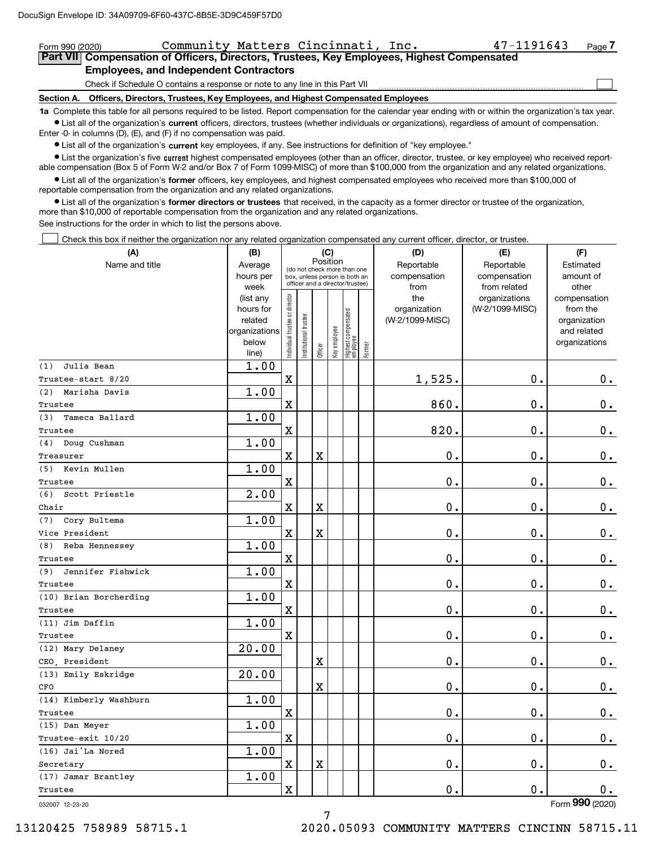| Community Matters Cincinnati, Inc.<br>Form 990 (2020)                                                                                                                                                                                                                                                     | $47 - 1191643$ | Page |  |  |  |  |  |  |
|-----------------------------------------------------------------------------------------------------------------------------------------------------------------------------------------------------------------------------------------------------------------------------------------------------------|----------------|------|--|--|--|--|--|--|
| Part VII Compensation of Officers, Directors, Trustees, Key Employees, Highest Compensated                                                                                                                                                                                                                |                |      |  |  |  |  |  |  |
| <b>Employees, and Independent Contractors</b>                                                                                                                                                                                                                                                             |                |      |  |  |  |  |  |  |
| Check if Schedule O contains a response or note to any line in this Part VII                                                                                                                                                                                                                              |                |      |  |  |  |  |  |  |
| Officers, Directors, Trustees, Key Employees, and Highest Compensated Employees<br>Section A.                                                                                                                                                                                                             |                |      |  |  |  |  |  |  |
| 1a Complete this table for all persons required to be listed. Report compensation for the calendar year ending with or within the organization's tax year.                                                                                                                                                |                |      |  |  |  |  |  |  |
| • List all of the organization's current officers, directors, trustees (whether individuals or organizations), regardless of amount of compensation.                                                                                                                                                      |                |      |  |  |  |  |  |  |
| Enter $-0$ in columns $(D)$ , $(E)$ , and $(F)$ if no compensation was paid.                                                                                                                                                                                                                              |                |      |  |  |  |  |  |  |
| • List all of the organization's current key employees, if any. See instructions for definition of "key employee."                                                                                                                                                                                        |                |      |  |  |  |  |  |  |
| • List the organization's five current highest compensated employees (other than an officer, director, trustee, or key employee) who received report-<br>able compensation (Box 5 of Form W-2 and/or Box 7 of Form 1099-MISC) of more than \$100,000 from the organization and any related organizations. |                |      |  |  |  |  |  |  |
| • List all of the organization's former officers, key employees, and highest compensated employees who received more than \$100,000 of<br>reportable compensation from the organization and any related organizations.                                                                                    |                |      |  |  |  |  |  |  |
| • List all of the organization's former directors or trustees that received, in the capacity as a former director or trustee of the organization,<br>more than \$10,000 of reportable compensation from the organization and any related organizations.                                                   |                |      |  |  |  |  |  |  |

See instructions for the order in which to list the persons above.

Check this box if neither the organization nor any related organization compensated any current officer, director, or trustee.

| Position<br>Name and title<br>Reportable<br>Estimated<br>Average<br>Reportable<br>(do not check more than one<br>hours per<br>compensation<br>compensation<br>amount of<br>box, unless person is both an<br>officer and a director/trustee)<br>week<br>from<br>from related<br>other<br>Individual trustee or director<br>the<br>organizations<br>(list any<br>compensation<br>hours for<br>organization<br>(W-2/1099-MISC)<br>from the<br>  Highest compensated<br>  employee<br>Institutional trustee<br>related<br>(W-2/1099-MISC)<br>organization<br>Key employee<br>organizations<br>and related<br>below<br>organizations<br>Former<br>Officer<br>line)<br>1.00<br>Julia Bean<br>$\mathbf x$<br>1,525.<br>0.<br>0.<br>1.00<br>(2) Marisha Davis<br>$\mathbf X$<br>860.<br>0.<br>$0$ .<br>1.00<br>(3)<br>Tameca Ballard<br>820.<br>$\rm X$<br>0.<br>$\mathbf 0$ .<br>1.00<br>(4) Doug Cushman<br>$\mathbf X$<br>0.<br>0.<br>X<br>$\mathbf 0$ .<br>1.00<br>(5) Kevin Mullen<br>$\mathbf x$<br>0.<br>0.<br>$\mathbf 0$ .<br>2.00<br>(6)<br>Scott Priestle<br>$\mathbf 0$ .<br>0.<br>$0_{.}$<br>$\mathbf x$<br>X<br>1.00<br>Cory Bultema<br>$\mathbf X$<br>$\mathbf 0$ .<br>0.<br>$\mathbf 0$ .<br>X<br>1.00<br>(8) Reba Hennessey<br>0.<br>0.<br>$\mathbf x$<br>$0_{.}$<br>1.00<br>Jennifer Fishwick<br>0.<br>$\mathbf x$<br>0.<br>$\mathbf 0$ .<br>1.00<br>$\mathbf X$<br>0.<br>0.<br>$\mathbf 0$ .<br>1.00<br>$\mathbf x$<br>$0$ .<br>0.<br>$0_{.}$<br>20.00<br>(12) Mary Delaney<br>$0$ .<br>0.<br>X<br>$\mathbf 0$ .<br>20.00<br>0.<br>X<br>0.<br>$\mathbf 0$ .<br>1.00<br>$\mathbf X$<br>0.<br>0.<br>0.<br>1.00<br>$\mathbf X$<br>0.<br>0.<br>0.<br>1.00<br>$\mathbf X$<br>X<br>0.<br>0.<br>0.<br>1.00<br>$\overline{\textbf{X}}$<br>0.<br>0.<br>0. | (A)                    | (B) |  | (C) |  | (D) | (E) | (F) |
|-------------------------------------------------------------------------------------------------------------------------------------------------------------------------------------------------------------------------------------------------------------------------------------------------------------------------------------------------------------------------------------------------------------------------------------------------------------------------------------------------------------------------------------------------------------------------------------------------------------------------------------------------------------------------------------------------------------------------------------------------------------------------------------------------------------------------------------------------------------------------------------------------------------------------------------------------------------------------------------------------------------------------------------------------------------------------------------------------------------------------------------------------------------------------------------------------------------------------------------------------------------------------------------------------------------------------------------------------------------------------------------------------------------------------------------------------------------------------------------------------------------------------------------------------------------------------------------------------------------------------------------------------------------------------------------------------------------------------------------------------------------|------------------------|-----|--|-----|--|-----|-----|-----|
|                                                                                                                                                                                                                                                                                                                                                                                                                                                                                                                                                                                                                                                                                                                                                                                                                                                                                                                                                                                                                                                                                                                                                                                                                                                                                                                                                                                                                                                                                                                                                                                                                                                                                                                                                             |                        |     |  |     |  |     |     |     |
|                                                                                                                                                                                                                                                                                                                                                                                                                                                                                                                                                                                                                                                                                                                                                                                                                                                                                                                                                                                                                                                                                                                                                                                                                                                                                                                                                                                                                                                                                                                                                                                                                                                                                                                                                             |                        |     |  |     |  |     |     |     |
|                                                                                                                                                                                                                                                                                                                                                                                                                                                                                                                                                                                                                                                                                                                                                                                                                                                                                                                                                                                                                                                                                                                                                                                                                                                                                                                                                                                                                                                                                                                                                                                                                                                                                                                                                             |                        |     |  |     |  |     |     |     |
|                                                                                                                                                                                                                                                                                                                                                                                                                                                                                                                                                                                                                                                                                                                                                                                                                                                                                                                                                                                                                                                                                                                                                                                                                                                                                                                                                                                                                                                                                                                                                                                                                                                                                                                                                             |                        |     |  |     |  |     |     |     |
|                                                                                                                                                                                                                                                                                                                                                                                                                                                                                                                                                                                                                                                                                                                                                                                                                                                                                                                                                                                                                                                                                                                                                                                                                                                                                                                                                                                                                                                                                                                                                                                                                                                                                                                                                             |                        |     |  |     |  |     |     |     |
|                                                                                                                                                                                                                                                                                                                                                                                                                                                                                                                                                                                                                                                                                                                                                                                                                                                                                                                                                                                                                                                                                                                                                                                                                                                                                                                                                                                                                                                                                                                                                                                                                                                                                                                                                             |                        |     |  |     |  |     |     |     |
|                                                                                                                                                                                                                                                                                                                                                                                                                                                                                                                                                                                                                                                                                                                                                                                                                                                                                                                                                                                                                                                                                                                                                                                                                                                                                                                                                                                                                                                                                                                                                                                                                                                                                                                                                             |                        |     |  |     |  |     |     |     |
|                                                                                                                                                                                                                                                                                                                                                                                                                                                                                                                                                                                                                                                                                                                                                                                                                                                                                                                                                                                                                                                                                                                                                                                                                                                                                                                                                                                                                                                                                                                                                                                                                                                                                                                                                             |                        |     |  |     |  |     |     |     |
|                                                                                                                                                                                                                                                                                                                                                                                                                                                                                                                                                                                                                                                                                                                                                                                                                                                                                                                                                                                                                                                                                                                                                                                                                                                                                                                                                                                                                                                                                                                                                                                                                                                                                                                                                             | (1)                    |     |  |     |  |     |     |     |
|                                                                                                                                                                                                                                                                                                                                                                                                                                                                                                                                                                                                                                                                                                                                                                                                                                                                                                                                                                                                                                                                                                                                                                                                                                                                                                                                                                                                                                                                                                                                                                                                                                                                                                                                                             | Trustee-start 8/20     |     |  |     |  |     |     |     |
|                                                                                                                                                                                                                                                                                                                                                                                                                                                                                                                                                                                                                                                                                                                                                                                                                                                                                                                                                                                                                                                                                                                                                                                                                                                                                                                                                                                                                                                                                                                                                                                                                                                                                                                                                             |                        |     |  |     |  |     |     |     |
|                                                                                                                                                                                                                                                                                                                                                                                                                                                                                                                                                                                                                                                                                                                                                                                                                                                                                                                                                                                                                                                                                                                                                                                                                                                                                                                                                                                                                                                                                                                                                                                                                                                                                                                                                             | Trustee                |     |  |     |  |     |     |     |
|                                                                                                                                                                                                                                                                                                                                                                                                                                                                                                                                                                                                                                                                                                                                                                                                                                                                                                                                                                                                                                                                                                                                                                                                                                                                                                                                                                                                                                                                                                                                                                                                                                                                                                                                                             |                        |     |  |     |  |     |     |     |
|                                                                                                                                                                                                                                                                                                                                                                                                                                                                                                                                                                                                                                                                                                                                                                                                                                                                                                                                                                                                                                                                                                                                                                                                                                                                                                                                                                                                                                                                                                                                                                                                                                                                                                                                                             | Trustee                |     |  |     |  |     |     |     |
|                                                                                                                                                                                                                                                                                                                                                                                                                                                                                                                                                                                                                                                                                                                                                                                                                                                                                                                                                                                                                                                                                                                                                                                                                                                                                                                                                                                                                                                                                                                                                                                                                                                                                                                                                             |                        |     |  |     |  |     |     |     |
|                                                                                                                                                                                                                                                                                                                                                                                                                                                                                                                                                                                                                                                                                                                                                                                                                                                                                                                                                                                                                                                                                                                                                                                                                                                                                                                                                                                                                                                                                                                                                                                                                                                                                                                                                             | Treasurer              |     |  |     |  |     |     |     |
|                                                                                                                                                                                                                                                                                                                                                                                                                                                                                                                                                                                                                                                                                                                                                                                                                                                                                                                                                                                                                                                                                                                                                                                                                                                                                                                                                                                                                                                                                                                                                                                                                                                                                                                                                             |                        |     |  |     |  |     |     |     |
|                                                                                                                                                                                                                                                                                                                                                                                                                                                                                                                                                                                                                                                                                                                                                                                                                                                                                                                                                                                                                                                                                                                                                                                                                                                                                                                                                                                                                                                                                                                                                                                                                                                                                                                                                             | Trustee                |     |  |     |  |     |     |     |
|                                                                                                                                                                                                                                                                                                                                                                                                                                                                                                                                                                                                                                                                                                                                                                                                                                                                                                                                                                                                                                                                                                                                                                                                                                                                                                                                                                                                                                                                                                                                                                                                                                                                                                                                                             |                        |     |  |     |  |     |     |     |
|                                                                                                                                                                                                                                                                                                                                                                                                                                                                                                                                                                                                                                                                                                                                                                                                                                                                                                                                                                                                                                                                                                                                                                                                                                                                                                                                                                                                                                                                                                                                                                                                                                                                                                                                                             | Chair                  |     |  |     |  |     |     |     |
|                                                                                                                                                                                                                                                                                                                                                                                                                                                                                                                                                                                                                                                                                                                                                                                                                                                                                                                                                                                                                                                                                                                                                                                                                                                                                                                                                                                                                                                                                                                                                                                                                                                                                                                                                             | (7)                    |     |  |     |  |     |     |     |
|                                                                                                                                                                                                                                                                                                                                                                                                                                                                                                                                                                                                                                                                                                                                                                                                                                                                                                                                                                                                                                                                                                                                                                                                                                                                                                                                                                                                                                                                                                                                                                                                                                                                                                                                                             | Vice President         |     |  |     |  |     |     |     |
|                                                                                                                                                                                                                                                                                                                                                                                                                                                                                                                                                                                                                                                                                                                                                                                                                                                                                                                                                                                                                                                                                                                                                                                                                                                                                                                                                                                                                                                                                                                                                                                                                                                                                                                                                             |                        |     |  |     |  |     |     |     |
|                                                                                                                                                                                                                                                                                                                                                                                                                                                                                                                                                                                                                                                                                                                                                                                                                                                                                                                                                                                                                                                                                                                                                                                                                                                                                                                                                                                                                                                                                                                                                                                                                                                                                                                                                             | Trustee                |     |  |     |  |     |     |     |
|                                                                                                                                                                                                                                                                                                                                                                                                                                                                                                                                                                                                                                                                                                                                                                                                                                                                                                                                                                                                                                                                                                                                                                                                                                                                                                                                                                                                                                                                                                                                                                                                                                                                                                                                                             | (9)                    |     |  |     |  |     |     |     |
|                                                                                                                                                                                                                                                                                                                                                                                                                                                                                                                                                                                                                                                                                                                                                                                                                                                                                                                                                                                                                                                                                                                                                                                                                                                                                                                                                                                                                                                                                                                                                                                                                                                                                                                                                             | Trustee                |     |  |     |  |     |     |     |
|                                                                                                                                                                                                                                                                                                                                                                                                                                                                                                                                                                                                                                                                                                                                                                                                                                                                                                                                                                                                                                                                                                                                                                                                                                                                                                                                                                                                                                                                                                                                                                                                                                                                                                                                                             | (10) Brian Borcherding |     |  |     |  |     |     |     |
|                                                                                                                                                                                                                                                                                                                                                                                                                                                                                                                                                                                                                                                                                                                                                                                                                                                                                                                                                                                                                                                                                                                                                                                                                                                                                                                                                                                                                                                                                                                                                                                                                                                                                                                                                             | Trustee                |     |  |     |  |     |     |     |
|                                                                                                                                                                                                                                                                                                                                                                                                                                                                                                                                                                                                                                                                                                                                                                                                                                                                                                                                                                                                                                                                                                                                                                                                                                                                                                                                                                                                                                                                                                                                                                                                                                                                                                                                                             | (11) Jim Daffin        |     |  |     |  |     |     |     |
|                                                                                                                                                                                                                                                                                                                                                                                                                                                                                                                                                                                                                                                                                                                                                                                                                                                                                                                                                                                                                                                                                                                                                                                                                                                                                                                                                                                                                                                                                                                                                                                                                                                                                                                                                             | Trustee                |     |  |     |  |     |     |     |
|                                                                                                                                                                                                                                                                                                                                                                                                                                                                                                                                                                                                                                                                                                                                                                                                                                                                                                                                                                                                                                                                                                                                                                                                                                                                                                                                                                                                                                                                                                                                                                                                                                                                                                                                                             |                        |     |  |     |  |     |     |     |
|                                                                                                                                                                                                                                                                                                                                                                                                                                                                                                                                                                                                                                                                                                                                                                                                                                                                                                                                                                                                                                                                                                                                                                                                                                                                                                                                                                                                                                                                                                                                                                                                                                                                                                                                                             | CEO President          |     |  |     |  |     |     |     |
|                                                                                                                                                                                                                                                                                                                                                                                                                                                                                                                                                                                                                                                                                                                                                                                                                                                                                                                                                                                                                                                                                                                                                                                                                                                                                                                                                                                                                                                                                                                                                                                                                                                                                                                                                             | (13) Emily Eskridge    |     |  |     |  |     |     |     |
|                                                                                                                                                                                                                                                                                                                                                                                                                                                                                                                                                                                                                                                                                                                                                                                                                                                                                                                                                                                                                                                                                                                                                                                                                                                                                                                                                                                                                                                                                                                                                                                                                                                                                                                                                             | CFO                    |     |  |     |  |     |     |     |
|                                                                                                                                                                                                                                                                                                                                                                                                                                                                                                                                                                                                                                                                                                                                                                                                                                                                                                                                                                                                                                                                                                                                                                                                                                                                                                                                                                                                                                                                                                                                                                                                                                                                                                                                                             | (14) Kimberly Washburn |     |  |     |  |     |     |     |
|                                                                                                                                                                                                                                                                                                                                                                                                                                                                                                                                                                                                                                                                                                                                                                                                                                                                                                                                                                                                                                                                                                                                                                                                                                                                                                                                                                                                                                                                                                                                                                                                                                                                                                                                                             | Trustee                |     |  |     |  |     |     |     |
|                                                                                                                                                                                                                                                                                                                                                                                                                                                                                                                                                                                                                                                                                                                                                                                                                                                                                                                                                                                                                                                                                                                                                                                                                                                                                                                                                                                                                                                                                                                                                                                                                                                                                                                                                             | (15) Dan Meyer         |     |  |     |  |     |     |     |
|                                                                                                                                                                                                                                                                                                                                                                                                                                                                                                                                                                                                                                                                                                                                                                                                                                                                                                                                                                                                                                                                                                                                                                                                                                                                                                                                                                                                                                                                                                                                                                                                                                                                                                                                                             | Trustee-exit 10/20     |     |  |     |  |     |     |     |
|                                                                                                                                                                                                                                                                                                                                                                                                                                                                                                                                                                                                                                                                                                                                                                                                                                                                                                                                                                                                                                                                                                                                                                                                                                                                                                                                                                                                                                                                                                                                                                                                                                                                                                                                                             | (16) Jai'La Nored      |     |  |     |  |     |     |     |
|                                                                                                                                                                                                                                                                                                                                                                                                                                                                                                                                                                                                                                                                                                                                                                                                                                                                                                                                                                                                                                                                                                                                                                                                                                                                                                                                                                                                                                                                                                                                                                                                                                                                                                                                                             | Secretary              |     |  |     |  |     |     |     |
|                                                                                                                                                                                                                                                                                                                                                                                                                                                                                                                                                                                                                                                                                                                                                                                                                                                                                                                                                                                                                                                                                                                                                                                                                                                                                                                                                                                                                                                                                                                                                                                                                                                                                                                                                             | (17) Jamar Brantley    |     |  |     |  |     |     |     |
|                                                                                                                                                                                                                                                                                                                                                                                                                                                                                                                                                                                                                                                                                                                                                                                                                                                                                                                                                                                                                                                                                                                                                                                                                                                                                                                                                                                                                                                                                                                                                                                                                                                                                                                                                             | Trustee                |     |  |     |  |     |     |     |

7

032007 12-23-20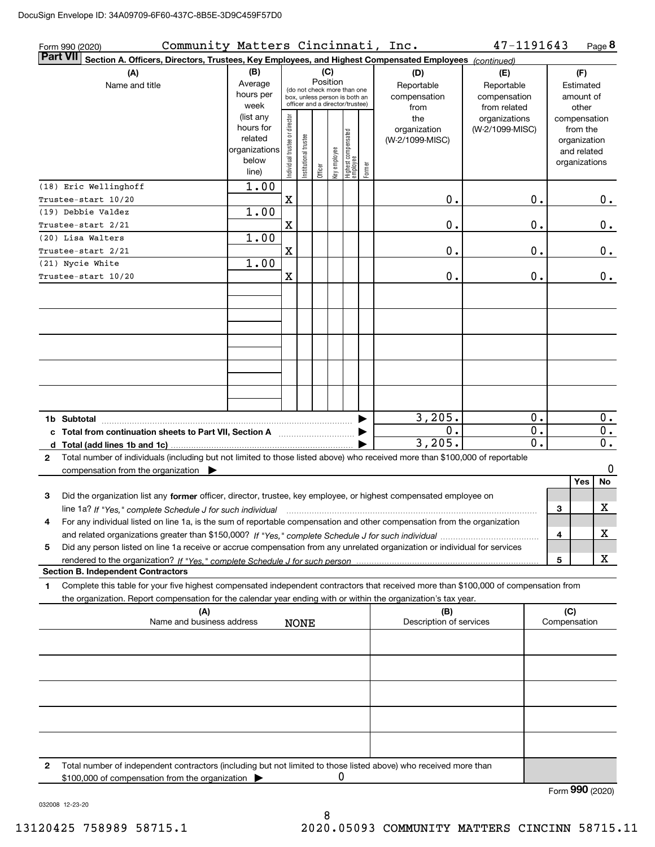| Community Matters Cincinnati, Inc.<br>Form 990 (2020)                                                                                        |                                 |                                |                       |          |              |                                                              |        |                         | 47-1191643       |              | Page 8          |                  |
|----------------------------------------------------------------------------------------------------------------------------------------------|---------------------------------|--------------------------------|-----------------------|----------|--------------|--------------------------------------------------------------|--------|-------------------------|------------------|--------------|-----------------|------------------|
| <b>Part VII</b><br>Section A. Officers, Directors, Trustees, Key Employees, and Highest Compensated Employees (continued)                    |                                 |                                |                       |          |              |                                                              |        |                         |                  |              |                 |                  |
| (A)                                                                                                                                          | (B)<br>(C)<br>(F)<br>(D)<br>(E) |                                |                       |          |              |                                                              |        |                         |                  |              |                 |                  |
| Name and title                                                                                                                               | Average                         |                                |                       | Position |              |                                                              |        | Reportable              | Reportable       |              | Estimated       |                  |
|                                                                                                                                              | hours per                       |                                |                       |          |              | (do not check more than one<br>box, unless person is both an |        | compensation            | compensation     |              | amount of       |                  |
|                                                                                                                                              | week                            |                                |                       |          |              | officer and a director/trustee)                              |        | from                    | from related     |              | other           |                  |
|                                                                                                                                              | (list any                       |                                |                       |          |              |                                                              |        | the                     | organizations    |              | compensation    |                  |
|                                                                                                                                              | hours for                       |                                |                       |          |              |                                                              |        | organization            | (W-2/1099-MISC)  |              | from the        |                  |
|                                                                                                                                              | related                         |                                |                       |          |              |                                                              |        | (W-2/1099-MISC)         |                  |              | organization    |                  |
|                                                                                                                                              | organizations                   |                                |                       |          |              |                                                              |        |                         |                  |              | and related     |                  |
|                                                                                                                                              | below                           | Individual trustee or director | Institutional trustee | Officer  | Key employee | Highest compensated<br> employee                             | Former |                         |                  |              | organizations   |                  |
|                                                                                                                                              | line)                           |                                |                       |          |              |                                                              |        |                         |                  |              |                 |                  |
| (18) Eric Wellinghoff                                                                                                                        | 1.00                            |                                |                       |          |              |                                                              |        |                         |                  |              |                 |                  |
| Trustee-start 10/20                                                                                                                          |                                 | $\mathbf X$                    |                       |          |              |                                                              |        | 0.                      | 0.               |              |                 | 0.               |
| (19) Debbie Valdez                                                                                                                           | 1.00                            |                                |                       |          |              |                                                              |        |                         |                  |              |                 |                  |
| Trustee-start 2/21                                                                                                                           |                                 | $\mathbf X$                    |                       |          |              |                                                              |        | 0.                      | 0.               |              |                 | 0.               |
| (20) Lisa Walters                                                                                                                            | 1.00                            |                                |                       |          |              |                                                              |        |                         |                  |              |                 |                  |
| Trustee-start 2/21                                                                                                                           |                                 | $\mathbf X$                    |                       |          |              |                                                              |        | 0.                      | 0.               |              |                 | 0.               |
| (21) Nycie White                                                                                                                             | 1.00                            |                                |                       |          |              |                                                              |        |                         |                  |              |                 |                  |
| Trustee-start 10/20                                                                                                                          |                                 | $\mathbf X$                    |                       |          |              |                                                              |        | 0.                      | 0.               |              |                 | 0.               |
|                                                                                                                                              |                                 |                                |                       |          |              |                                                              |        |                         |                  |              |                 |                  |
|                                                                                                                                              |                                 |                                |                       |          |              |                                                              |        |                         |                  |              |                 |                  |
|                                                                                                                                              |                                 |                                |                       |          |              |                                                              |        |                         |                  |              |                 |                  |
|                                                                                                                                              |                                 |                                |                       |          |              |                                                              |        |                         |                  |              |                 |                  |
|                                                                                                                                              |                                 |                                |                       |          |              |                                                              |        |                         |                  |              |                 |                  |
|                                                                                                                                              |                                 |                                |                       |          |              |                                                              |        |                         |                  |              |                 |                  |
|                                                                                                                                              |                                 |                                |                       |          |              |                                                              |        |                         |                  |              |                 |                  |
|                                                                                                                                              |                                 |                                |                       |          |              |                                                              |        |                         |                  |              |                 |                  |
|                                                                                                                                              |                                 |                                |                       |          |              |                                                              |        |                         |                  |              |                 |                  |
|                                                                                                                                              |                                 |                                |                       |          |              |                                                              |        |                         |                  |              |                 |                  |
| 1b Subtotal                                                                                                                                  |                                 |                                |                       |          |              |                                                              |        | 3,205.                  | 0.               |              |                 | 0.               |
| c Total from continuation sheets to Part VII, Section A <b>Constanting the Continuum</b>                                                     |                                 |                                |                       |          |              |                                                              |        | 0.                      | 0.               |              |                 | $\overline{0}$ . |
|                                                                                                                                              |                                 |                                |                       |          |              |                                                              |        | 3,205.                  | $\overline{0}$ . |              |                 | $\overline{0}$ . |
| Total number of individuals (including but not limited to those listed above) who received more than \$100,000 of reportable<br>$\mathbf{2}$ |                                 |                                |                       |          |              |                                                              |        |                         |                  |              |                 |                  |
| compensation from the organization $\blacktriangleright$                                                                                     |                                 |                                |                       |          |              |                                                              |        |                         |                  |              |                 | 0                |
|                                                                                                                                              |                                 |                                |                       |          |              |                                                              |        |                         |                  |              | Yes<br>No       |                  |
| Did the organization list any former officer, director, trustee, key employee, or highest compensated employee on<br>3                       |                                 |                                |                       |          |              |                                                              |        |                         |                  |              |                 |                  |
| line 1a? If "Yes," complete Schedule J for such individual manufactured contained and the manufactured complete                              |                                 |                                |                       |          |              |                                                              |        |                         |                  | 3            | X               |                  |
| For any individual listed on line 1a, is the sum of reportable compensation and other compensation from the organization                     |                                 |                                |                       |          |              |                                                              |        |                         |                  |              |                 |                  |
|                                                                                                                                              |                                 |                                |                       |          |              |                                                              |        |                         |                  | 4            | х               |                  |
| Did any person listed on line 1a receive or accrue compensation from any unrelated organization or individual for services<br>5              |                                 |                                |                       |          |              |                                                              |        |                         |                  |              |                 |                  |
|                                                                                                                                              |                                 |                                |                       |          |              |                                                              |        |                         |                  | 5            | x               |                  |
| <b>Section B. Independent Contractors</b>                                                                                                    |                                 |                                |                       |          |              |                                                              |        |                         |                  |              |                 |                  |
| Complete this table for your five highest compensated independent contractors that received more than \$100,000 of compensation from<br>1    |                                 |                                |                       |          |              |                                                              |        |                         |                  |              |                 |                  |
| the organization. Report compensation for the calendar year ending with or within the organization's tax year.                               |                                 |                                |                       |          |              |                                                              |        |                         |                  |              |                 |                  |
| (A)                                                                                                                                          |                                 |                                |                       |          |              |                                                              |        | (B)                     |                  | (C)          |                 |                  |
| Name and business address                                                                                                                    |                                 |                                | <b>NONE</b>           |          |              |                                                              |        | Description of services |                  | Compensation |                 |                  |
|                                                                                                                                              |                                 |                                |                       |          |              |                                                              |        |                         |                  |              |                 |                  |
|                                                                                                                                              |                                 |                                |                       |          |              |                                                              |        |                         |                  |              |                 |                  |
|                                                                                                                                              |                                 |                                |                       |          |              |                                                              |        |                         |                  |              |                 |                  |
|                                                                                                                                              |                                 |                                |                       |          |              |                                                              |        |                         |                  |              |                 |                  |
|                                                                                                                                              |                                 |                                |                       |          |              |                                                              |        |                         |                  |              |                 |                  |
|                                                                                                                                              |                                 |                                |                       |          |              |                                                              |        |                         |                  |              |                 |                  |
|                                                                                                                                              |                                 |                                |                       |          |              |                                                              |        |                         |                  |              |                 |                  |
|                                                                                                                                              |                                 |                                |                       |          |              |                                                              |        |                         |                  |              |                 |                  |
|                                                                                                                                              |                                 |                                |                       |          |              |                                                              |        |                         |                  |              |                 |                  |
|                                                                                                                                              |                                 |                                |                       |          |              |                                                              |        |                         |                  |              |                 |                  |
| Total number of independent contractors (including but not limited to those listed above) who received more than<br>2                        |                                 |                                |                       |          |              |                                                              |        |                         |                  |              |                 |                  |
| \$100,000 of compensation from the organization                                                                                              |                                 |                                |                       |          | 0            |                                                              |        |                         |                  |              |                 |                  |
|                                                                                                                                              |                                 |                                |                       |          |              |                                                              |        |                         |                  |              | Form 990 (2020) |                  |

032008 12-23-20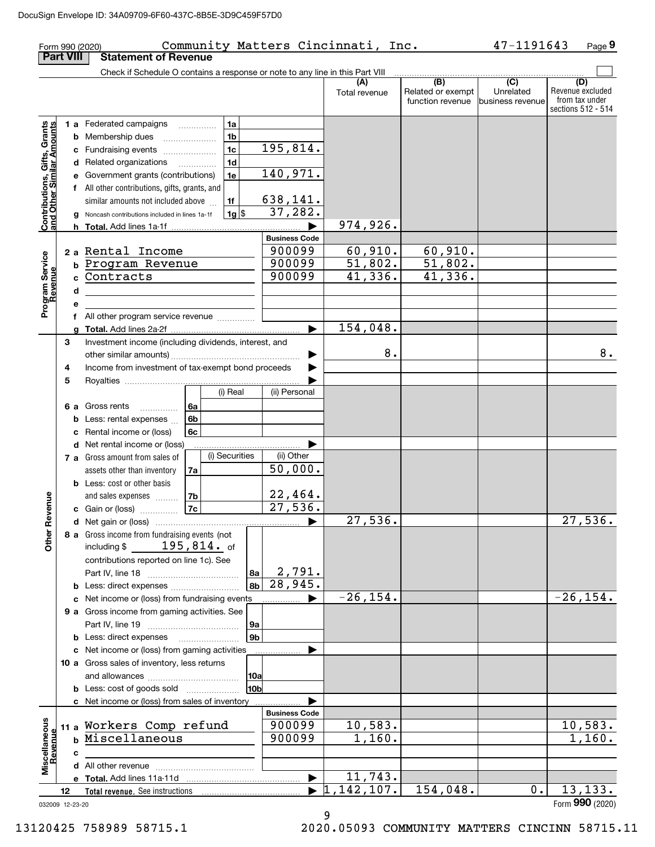| <b>Part VIII</b><br>Check if Schedule O contains a response or note to any line in this Part VIII<br>(B)<br>$\overline{(C)}$<br>(D)<br>(A)<br>Revenue excluded<br>Related or exempt<br>Unrelated<br>Total revenue<br>from tax under<br>function revenue<br>Ibusiness revenue<br>sections 512 - 514<br>1a<br>1 a Federated campaigns<br>Contributions, Gifts, Grants<br>and Other Similar Amounts<br><b>b</b> Membership dues<br>1b<br>195,814.<br>1 <sub>c</sub><br>c Fundraising events <i>manually</i><br>1d<br>d Related organizations<br>$\cdots$<br>140,971.<br>1e<br>e Government grants (contributions)<br>f All other contributions, gifts, grants, and<br>638, 141.<br>similar amounts not included above<br>1f<br>37,282.<br> 1g <br>g Noncash contributions included in lines 1a-1f<br>974,926.<br><b>Business Code</b><br>60,910.<br>60,910.<br>900099<br>2 a Rental Income<br>Program Service<br>Revenue<br>900099<br>51,802.<br>$\frac{51,802.}{41,336.}$<br><b>b Program Revenue</b><br>41,336.<br>900099<br>Contracts<br>d<br>f All other program service revenue<br>154,048.<br>Investment income (including dividends, interest, and<br>3<br>8.<br>8.<br>Income from investment of tax-exempt bond proceeds<br>4<br>5<br>(i) Real<br>(ii) Personal<br>6 a Gross rents<br>  6a<br>Less: rental expenses<br>6b<br>b<br>Rental income or (loss)<br>6с<br>d Net rental income or (loss)<br>(i) Securities<br>(ii) Other<br>7 a Gross amount from sales of<br>50,000.<br>assets other than inventory<br>7a<br><b>b</b> Less: cost or other basis<br>22,464.<br>evenue<br>  7b<br>and sales expenses<br>27,536.<br><b>7c</b><br>c Gain or (loss)<br>27,536.<br>$\overline{27,536}$ .<br>Other R<br>8 a Gross income from fundraising events (not<br>including $$195,814.$ of<br>contributions reported on line 1c). See<br>2,791.<br>8a<br>28,945.<br>8 <sub>b</sub><br><b>b</b> Less: direct expenses<br>$-26, 154.$<br>$-26, 154.$<br>c Net income or (loss) from fundraising events<br>9 a Gross income from gaming activities. See<br>9a<br>9 <sub>b</sub><br><b>b</b> Less: direct expenses <b>manually</b><br>c Net income or (loss) from gaming activities<br>10 a Gross sales of inventory, less returns<br> 10a<br>10b<br><b>b</b> Less: cost of goods sold<br>c Net income or (loss) from sales of inventory<br><b>Business Code</b><br>Miscellaneous<br>Revenue<br>10,583.<br>10,583.<br>11 a Workers Comp refund<br>900099<br>b Miscellaneous<br>900099<br>1,160.<br>1,160.<br>с<br>11,743.<br>$\blacktriangleright$<br>, 142, 107.<br>154,048.<br>13, 133.<br>0.<br>11<br>12<br>Form 990 (2020)<br>032009 12-23-20 | 47-1191643<br>Community Matters Cincinnati, Inc.<br>Form 990 (2020) |  |  |                             |  |  |  |  |  |
|---------------------------------------------------------------------------------------------------------------------------------------------------------------------------------------------------------------------------------------------------------------------------------------------------------------------------------------------------------------------------------------------------------------------------------------------------------------------------------------------------------------------------------------------------------------------------------------------------------------------------------------------------------------------------------------------------------------------------------------------------------------------------------------------------------------------------------------------------------------------------------------------------------------------------------------------------------------------------------------------------------------------------------------------------------------------------------------------------------------------------------------------------------------------------------------------------------------------------------------------------------------------------------------------------------------------------------------------------------------------------------------------------------------------------------------------------------------------------------------------------------------------------------------------------------------------------------------------------------------------------------------------------------------------------------------------------------------------------------------------------------------------------------------------------------------------------------------------------------------------------------------------------------------------------------------------------------------------------------------------------------------------------------------------------------------------------------------------------------------------------------------------------------------------------------------------------------------------------------------------------------------------------------------------------------------------------------------------------------------------------------------------------------------------------------------------------------------------------------------------------------------------------------------------------------------------------------------------------------------------------------------------|---------------------------------------------------------------------|--|--|-----------------------------|--|--|--|--|--|
|                                                                                                                                                                                                                                                                                                                                                                                                                                                                                                                                                                                                                                                                                                                                                                                                                                                                                                                                                                                                                                                                                                                                                                                                                                                                                                                                                                                                                                                                                                                                                                                                                                                                                                                                                                                                                                                                                                                                                                                                                                                                                                                                                                                                                                                                                                                                                                                                                                                                                                                                                                                                                                             |                                                                     |  |  | <b>Statement of Revenue</b> |  |  |  |  |  |
|                                                                                                                                                                                                                                                                                                                                                                                                                                                                                                                                                                                                                                                                                                                                                                                                                                                                                                                                                                                                                                                                                                                                                                                                                                                                                                                                                                                                                                                                                                                                                                                                                                                                                                                                                                                                                                                                                                                                                                                                                                                                                                                                                                                                                                                                                                                                                                                                                                                                                                                                                                                                                                             |                                                                     |  |  |                             |  |  |  |  |  |
|                                                                                                                                                                                                                                                                                                                                                                                                                                                                                                                                                                                                                                                                                                                                                                                                                                                                                                                                                                                                                                                                                                                                                                                                                                                                                                                                                                                                                                                                                                                                                                                                                                                                                                                                                                                                                                                                                                                                                                                                                                                                                                                                                                                                                                                                                                                                                                                                                                                                                                                                                                                                                                             |                                                                     |  |  |                             |  |  |  |  |  |
|                                                                                                                                                                                                                                                                                                                                                                                                                                                                                                                                                                                                                                                                                                                                                                                                                                                                                                                                                                                                                                                                                                                                                                                                                                                                                                                                                                                                                                                                                                                                                                                                                                                                                                                                                                                                                                                                                                                                                                                                                                                                                                                                                                                                                                                                                                                                                                                                                                                                                                                                                                                                                                             |                                                                     |  |  |                             |  |  |  |  |  |
|                                                                                                                                                                                                                                                                                                                                                                                                                                                                                                                                                                                                                                                                                                                                                                                                                                                                                                                                                                                                                                                                                                                                                                                                                                                                                                                                                                                                                                                                                                                                                                                                                                                                                                                                                                                                                                                                                                                                                                                                                                                                                                                                                                                                                                                                                                                                                                                                                                                                                                                                                                                                                                             |                                                                     |  |  |                             |  |  |  |  |  |
|                                                                                                                                                                                                                                                                                                                                                                                                                                                                                                                                                                                                                                                                                                                                                                                                                                                                                                                                                                                                                                                                                                                                                                                                                                                                                                                                                                                                                                                                                                                                                                                                                                                                                                                                                                                                                                                                                                                                                                                                                                                                                                                                                                                                                                                                                                                                                                                                                                                                                                                                                                                                                                             |                                                                     |  |  |                             |  |  |  |  |  |
|                                                                                                                                                                                                                                                                                                                                                                                                                                                                                                                                                                                                                                                                                                                                                                                                                                                                                                                                                                                                                                                                                                                                                                                                                                                                                                                                                                                                                                                                                                                                                                                                                                                                                                                                                                                                                                                                                                                                                                                                                                                                                                                                                                                                                                                                                                                                                                                                                                                                                                                                                                                                                                             |                                                                     |  |  |                             |  |  |  |  |  |
|                                                                                                                                                                                                                                                                                                                                                                                                                                                                                                                                                                                                                                                                                                                                                                                                                                                                                                                                                                                                                                                                                                                                                                                                                                                                                                                                                                                                                                                                                                                                                                                                                                                                                                                                                                                                                                                                                                                                                                                                                                                                                                                                                                                                                                                                                                                                                                                                                                                                                                                                                                                                                                             |                                                                     |  |  |                             |  |  |  |  |  |
|                                                                                                                                                                                                                                                                                                                                                                                                                                                                                                                                                                                                                                                                                                                                                                                                                                                                                                                                                                                                                                                                                                                                                                                                                                                                                                                                                                                                                                                                                                                                                                                                                                                                                                                                                                                                                                                                                                                                                                                                                                                                                                                                                                                                                                                                                                                                                                                                                                                                                                                                                                                                                                             |                                                                     |  |  |                             |  |  |  |  |  |
|                                                                                                                                                                                                                                                                                                                                                                                                                                                                                                                                                                                                                                                                                                                                                                                                                                                                                                                                                                                                                                                                                                                                                                                                                                                                                                                                                                                                                                                                                                                                                                                                                                                                                                                                                                                                                                                                                                                                                                                                                                                                                                                                                                                                                                                                                                                                                                                                                                                                                                                                                                                                                                             |                                                                     |  |  |                             |  |  |  |  |  |
|                                                                                                                                                                                                                                                                                                                                                                                                                                                                                                                                                                                                                                                                                                                                                                                                                                                                                                                                                                                                                                                                                                                                                                                                                                                                                                                                                                                                                                                                                                                                                                                                                                                                                                                                                                                                                                                                                                                                                                                                                                                                                                                                                                                                                                                                                                                                                                                                                                                                                                                                                                                                                                             |                                                                     |  |  |                             |  |  |  |  |  |
|                                                                                                                                                                                                                                                                                                                                                                                                                                                                                                                                                                                                                                                                                                                                                                                                                                                                                                                                                                                                                                                                                                                                                                                                                                                                                                                                                                                                                                                                                                                                                                                                                                                                                                                                                                                                                                                                                                                                                                                                                                                                                                                                                                                                                                                                                                                                                                                                                                                                                                                                                                                                                                             |                                                                     |  |  |                             |  |  |  |  |  |
|                                                                                                                                                                                                                                                                                                                                                                                                                                                                                                                                                                                                                                                                                                                                                                                                                                                                                                                                                                                                                                                                                                                                                                                                                                                                                                                                                                                                                                                                                                                                                                                                                                                                                                                                                                                                                                                                                                                                                                                                                                                                                                                                                                                                                                                                                                                                                                                                                                                                                                                                                                                                                                             |                                                                     |  |  |                             |  |  |  |  |  |
|                                                                                                                                                                                                                                                                                                                                                                                                                                                                                                                                                                                                                                                                                                                                                                                                                                                                                                                                                                                                                                                                                                                                                                                                                                                                                                                                                                                                                                                                                                                                                                                                                                                                                                                                                                                                                                                                                                                                                                                                                                                                                                                                                                                                                                                                                                                                                                                                                                                                                                                                                                                                                                             |                                                                     |  |  |                             |  |  |  |  |  |
|                                                                                                                                                                                                                                                                                                                                                                                                                                                                                                                                                                                                                                                                                                                                                                                                                                                                                                                                                                                                                                                                                                                                                                                                                                                                                                                                                                                                                                                                                                                                                                                                                                                                                                                                                                                                                                                                                                                                                                                                                                                                                                                                                                                                                                                                                                                                                                                                                                                                                                                                                                                                                                             |                                                                     |  |  |                             |  |  |  |  |  |
|                                                                                                                                                                                                                                                                                                                                                                                                                                                                                                                                                                                                                                                                                                                                                                                                                                                                                                                                                                                                                                                                                                                                                                                                                                                                                                                                                                                                                                                                                                                                                                                                                                                                                                                                                                                                                                                                                                                                                                                                                                                                                                                                                                                                                                                                                                                                                                                                                                                                                                                                                                                                                                             |                                                                     |  |  |                             |  |  |  |  |  |
|                                                                                                                                                                                                                                                                                                                                                                                                                                                                                                                                                                                                                                                                                                                                                                                                                                                                                                                                                                                                                                                                                                                                                                                                                                                                                                                                                                                                                                                                                                                                                                                                                                                                                                                                                                                                                                                                                                                                                                                                                                                                                                                                                                                                                                                                                                                                                                                                                                                                                                                                                                                                                                             |                                                                     |  |  |                             |  |  |  |  |  |
|                                                                                                                                                                                                                                                                                                                                                                                                                                                                                                                                                                                                                                                                                                                                                                                                                                                                                                                                                                                                                                                                                                                                                                                                                                                                                                                                                                                                                                                                                                                                                                                                                                                                                                                                                                                                                                                                                                                                                                                                                                                                                                                                                                                                                                                                                                                                                                                                                                                                                                                                                                                                                                             |                                                                     |  |  |                             |  |  |  |  |  |
|                                                                                                                                                                                                                                                                                                                                                                                                                                                                                                                                                                                                                                                                                                                                                                                                                                                                                                                                                                                                                                                                                                                                                                                                                                                                                                                                                                                                                                                                                                                                                                                                                                                                                                                                                                                                                                                                                                                                                                                                                                                                                                                                                                                                                                                                                                                                                                                                                                                                                                                                                                                                                                             |                                                                     |  |  |                             |  |  |  |  |  |
|                                                                                                                                                                                                                                                                                                                                                                                                                                                                                                                                                                                                                                                                                                                                                                                                                                                                                                                                                                                                                                                                                                                                                                                                                                                                                                                                                                                                                                                                                                                                                                                                                                                                                                                                                                                                                                                                                                                                                                                                                                                                                                                                                                                                                                                                                                                                                                                                                                                                                                                                                                                                                                             |                                                                     |  |  |                             |  |  |  |  |  |
|                                                                                                                                                                                                                                                                                                                                                                                                                                                                                                                                                                                                                                                                                                                                                                                                                                                                                                                                                                                                                                                                                                                                                                                                                                                                                                                                                                                                                                                                                                                                                                                                                                                                                                                                                                                                                                                                                                                                                                                                                                                                                                                                                                                                                                                                                                                                                                                                                                                                                                                                                                                                                                             |                                                                     |  |  |                             |  |  |  |  |  |
|                                                                                                                                                                                                                                                                                                                                                                                                                                                                                                                                                                                                                                                                                                                                                                                                                                                                                                                                                                                                                                                                                                                                                                                                                                                                                                                                                                                                                                                                                                                                                                                                                                                                                                                                                                                                                                                                                                                                                                                                                                                                                                                                                                                                                                                                                                                                                                                                                                                                                                                                                                                                                                             |                                                                     |  |  |                             |  |  |  |  |  |
|                                                                                                                                                                                                                                                                                                                                                                                                                                                                                                                                                                                                                                                                                                                                                                                                                                                                                                                                                                                                                                                                                                                                                                                                                                                                                                                                                                                                                                                                                                                                                                                                                                                                                                                                                                                                                                                                                                                                                                                                                                                                                                                                                                                                                                                                                                                                                                                                                                                                                                                                                                                                                                             |                                                                     |  |  |                             |  |  |  |  |  |
|                                                                                                                                                                                                                                                                                                                                                                                                                                                                                                                                                                                                                                                                                                                                                                                                                                                                                                                                                                                                                                                                                                                                                                                                                                                                                                                                                                                                                                                                                                                                                                                                                                                                                                                                                                                                                                                                                                                                                                                                                                                                                                                                                                                                                                                                                                                                                                                                                                                                                                                                                                                                                                             |                                                                     |  |  |                             |  |  |  |  |  |
|                                                                                                                                                                                                                                                                                                                                                                                                                                                                                                                                                                                                                                                                                                                                                                                                                                                                                                                                                                                                                                                                                                                                                                                                                                                                                                                                                                                                                                                                                                                                                                                                                                                                                                                                                                                                                                                                                                                                                                                                                                                                                                                                                                                                                                                                                                                                                                                                                                                                                                                                                                                                                                             |                                                                     |  |  |                             |  |  |  |  |  |
|                                                                                                                                                                                                                                                                                                                                                                                                                                                                                                                                                                                                                                                                                                                                                                                                                                                                                                                                                                                                                                                                                                                                                                                                                                                                                                                                                                                                                                                                                                                                                                                                                                                                                                                                                                                                                                                                                                                                                                                                                                                                                                                                                                                                                                                                                                                                                                                                                                                                                                                                                                                                                                             |                                                                     |  |  |                             |  |  |  |  |  |
|                                                                                                                                                                                                                                                                                                                                                                                                                                                                                                                                                                                                                                                                                                                                                                                                                                                                                                                                                                                                                                                                                                                                                                                                                                                                                                                                                                                                                                                                                                                                                                                                                                                                                                                                                                                                                                                                                                                                                                                                                                                                                                                                                                                                                                                                                                                                                                                                                                                                                                                                                                                                                                             |                                                                     |  |  |                             |  |  |  |  |  |
|                                                                                                                                                                                                                                                                                                                                                                                                                                                                                                                                                                                                                                                                                                                                                                                                                                                                                                                                                                                                                                                                                                                                                                                                                                                                                                                                                                                                                                                                                                                                                                                                                                                                                                                                                                                                                                                                                                                                                                                                                                                                                                                                                                                                                                                                                                                                                                                                                                                                                                                                                                                                                                             |                                                                     |  |  |                             |  |  |  |  |  |
|                                                                                                                                                                                                                                                                                                                                                                                                                                                                                                                                                                                                                                                                                                                                                                                                                                                                                                                                                                                                                                                                                                                                                                                                                                                                                                                                                                                                                                                                                                                                                                                                                                                                                                                                                                                                                                                                                                                                                                                                                                                                                                                                                                                                                                                                                                                                                                                                                                                                                                                                                                                                                                             |                                                                     |  |  |                             |  |  |  |  |  |
|                                                                                                                                                                                                                                                                                                                                                                                                                                                                                                                                                                                                                                                                                                                                                                                                                                                                                                                                                                                                                                                                                                                                                                                                                                                                                                                                                                                                                                                                                                                                                                                                                                                                                                                                                                                                                                                                                                                                                                                                                                                                                                                                                                                                                                                                                                                                                                                                                                                                                                                                                                                                                                             |                                                                     |  |  |                             |  |  |  |  |  |
|                                                                                                                                                                                                                                                                                                                                                                                                                                                                                                                                                                                                                                                                                                                                                                                                                                                                                                                                                                                                                                                                                                                                                                                                                                                                                                                                                                                                                                                                                                                                                                                                                                                                                                                                                                                                                                                                                                                                                                                                                                                                                                                                                                                                                                                                                                                                                                                                                                                                                                                                                                                                                                             |                                                                     |  |  |                             |  |  |  |  |  |
|                                                                                                                                                                                                                                                                                                                                                                                                                                                                                                                                                                                                                                                                                                                                                                                                                                                                                                                                                                                                                                                                                                                                                                                                                                                                                                                                                                                                                                                                                                                                                                                                                                                                                                                                                                                                                                                                                                                                                                                                                                                                                                                                                                                                                                                                                                                                                                                                                                                                                                                                                                                                                                             |                                                                     |  |  |                             |  |  |  |  |  |
|                                                                                                                                                                                                                                                                                                                                                                                                                                                                                                                                                                                                                                                                                                                                                                                                                                                                                                                                                                                                                                                                                                                                                                                                                                                                                                                                                                                                                                                                                                                                                                                                                                                                                                                                                                                                                                                                                                                                                                                                                                                                                                                                                                                                                                                                                                                                                                                                                                                                                                                                                                                                                                             |                                                                     |  |  |                             |  |  |  |  |  |
|                                                                                                                                                                                                                                                                                                                                                                                                                                                                                                                                                                                                                                                                                                                                                                                                                                                                                                                                                                                                                                                                                                                                                                                                                                                                                                                                                                                                                                                                                                                                                                                                                                                                                                                                                                                                                                                                                                                                                                                                                                                                                                                                                                                                                                                                                                                                                                                                                                                                                                                                                                                                                                             |                                                                     |  |  |                             |  |  |  |  |  |
|                                                                                                                                                                                                                                                                                                                                                                                                                                                                                                                                                                                                                                                                                                                                                                                                                                                                                                                                                                                                                                                                                                                                                                                                                                                                                                                                                                                                                                                                                                                                                                                                                                                                                                                                                                                                                                                                                                                                                                                                                                                                                                                                                                                                                                                                                                                                                                                                                                                                                                                                                                                                                                             |                                                                     |  |  |                             |  |  |  |  |  |
|                                                                                                                                                                                                                                                                                                                                                                                                                                                                                                                                                                                                                                                                                                                                                                                                                                                                                                                                                                                                                                                                                                                                                                                                                                                                                                                                                                                                                                                                                                                                                                                                                                                                                                                                                                                                                                                                                                                                                                                                                                                                                                                                                                                                                                                                                                                                                                                                                                                                                                                                                                                                                                             |                                                                     |  |  |                             |  |  |  |  |  |
|                                                                                                                                                                                                                                                                                                                                                                                                                                                                                                                                                                                                                                                                                                                                                                                                                                                                                                                                                                                                                                                                                                                                                                                                                                                                                                                                                                                                                                                                                                                                                                                                                                                                                                                                                                                                                                                                                                                                                                                                                                                                                                                                                                                                                                                                                                                                                                                                                                                                                                                                                                                                                                             |                                                                     |  |  |                             |  |  |  |  |  |
|                                                                                                                                                                                                                                                                                                                                                                                                                                                                                                                                                                                                                                                                                                                                                                                                                                                                                                                                                                                                                                                                                                                                                                                                                                                                                                                                                                                                                                                                                                                                                                                                                                                                                                                                                                                                                                                                                                                                                                                                                                                                                                                                                                                                                                                                                                                                                                                                                                                                                                                                                                                                                                             |                                                                     |  |  |                             |  |  |  |  |  |
|                                                                                                                                                                                                                                                                                                                                                                                                                                                                                                                                                                                                                                                                                                                                                                                                                                                                                                                                                                                                                                                                                                                                                                                                                                                                                                                                                                                                                                                                                                                                                                                                                                                                                                                                                                                                                                                                                                                                                                                                                                                                                                                                                                                                                                                                                                                                                                                                                                                                                                                                                                                                                                             |                                                                     |  |  |                             |  |  |  |  |  |
|                                                                                                                                                                                                                                                                                                                                                                                                                                                                                                                                                                                                                                                                                                                                                                                                                                                                                                                                                                                                                                                                                                                                                                                                                                                                                                                                                                                                                                                                                                                                                                                                                                                                                                                                                                                                                                                                                                                                                                                                                                                                                                                                                                                                                                                                                                                                                                                                                                                                                                                                                                                                                                             |                                                                     |  |  |                             |  |  |  |  |  |
|                                                                                                                                                                                                                                                                                                                                                                                                                                                                                                                                                                                                                                                                                                                                                                                                                                                                                                                                                                                                                                                                                                                                                                                                                                                                                                                                                                                                                                                                                                                                                                                                                                                                                                                                                                                                                                                                                                                                                                                                                                                                                                                                                                                                                                                                                                                                                                                                                                                                                                                                                                                                                                             |                                                                     |  |  |                             |  |  |  |  |  |
|                                                                                                                                                                                                                                                                                                                                                                                                                                                                                                                                                                                                                                                                                                                                                                                                                                                                                                                                                                                                                                                                                                                                                                                                                                                                                                                                                                                                                                                                                                                                                                                                                                                                                                                                                                                                                                                                                                                                                                                                                                                                                                                                                                                                                                                                                                                                                                                                                                                                                                                                                                                                                                             |                                                                     |  |  |                             |  |  |  |  |  |
|                                                                                                                                                                                                                                                                                                                                                                                                                                                                                                                                                                                                                                                                                                                                                                                                                                                                                                                                                                                                                                                                                                                                                                                                                                                                                                                                                                                                                                                                                                                                                                                                                                                                                                                                                                                                                                                                                                                                                                                                                                                                                                                                                                                                                                                                                                                                                                                                                                                                                                                                                                                                                                             |                                                                     |  |  |                             |  |  |  |  |  |
|                                                                                                                                                                                                                                                                                                                                                                                                                                                                                                                                                                                                                                                                                                                                                                                                                                                                                                                                                                                                                                                                                                                                                                                                                                                                                                                                                                                                                                                                                                                                                                                                                                                                                                                                                                                                                                                                                                                                                                                                                                                                                                                                                                                                                                                                                                                                                                                                                                                                                                                                                                                                                                             |                                                                     |  |  |                             |  |  |  |  |  |
|                                                                                                                                                                                                                                                                                                                                                                                                                                                                                                                                                                                                                                                                                                                                                                                                                                                                                                                                                                                                                                                                                                                                                                                                                                                                                                                                                                                                                                                                                                                                                                                                                                                                                                                                                                                                                                                                                                                                                                                                                                                                                                                                                                                                                                                                                                                                                                                                                                                                                                                                                                                                                                             |                                                                     |  |  |                             |  |  |  |  |  |
|                                                                                                                                                                                                                                                                                                                                                                                                                                                                                                                                                                                                                                                                                                                                                                                                                                                                                                                                                                                                                                                                                                                                                                                                                                                                                                                                                                                                                                                                                                                                                                                                                                                                                                                                                                                                                                                                                                                                                                                                                                                                                                                                                                                                                                                                                                                                                                                                                                                                                                                                                                                                                                             |                                                                     |  |  |                             |  |  |  |  |  |
|                                                                                                                                                                                                                                                                                                                                                                                                                                                                                                                                                                                                                                                                                                                                                                                                                                                                                                                                                                                                                                                                                                                                                                                                                                                                                                                                                                                                                                                                                                                                                                                                                                                                                                                                                                                                                                                                                                                                                                                                                                                                                                                                                                                                                                                                                                                                                                                                                                                                                                                                                                                                                                             |                                                                     |  |  |                             |  |  |  |  |  |
|                                                                                                                                                                                                                                                                                                                                                                                                                                                                                                                                                                                                                                                                                                                                                                                                                                                                                                                                                                                                                                                                                                                                                                                                                                                                                                                                                                                                                                                                                                                                                                                                                                                                                                                                                                                                                                                                                                                                                                                                                                                                                                                                                                                                                                                                                                                                                                                                                                                                                                                                                                                                                                             |                                                                     |  |  |                             |  |  |  |  |  |
|                                                                                                                                                                                                                                                                                                                                                                                                                                                                                                                                                                                                                                                                                                                                                                                                                                                                                                                                                                                                                                                                                                                                                                                                                                                                                                                                                                                                                                                                                                                                                                                                                                                                                                                                                                                                                                                                                                                                                                                                                                                                                                                                                                                                                                                                                                                                                                                                                                                                                                                                                                                                                                             |                                                                     |  |  |                             |  |  |  |  |  |
|                                                                                                                                                                                                                                                                                                                                                                                                                                                                                                                                                                                                                                                                                                                                                                                                                                                                                                                                                                                                                                                                                                                                                                                                                                                                                                                                                                                                                                                                                                                                                                                                                                                                                                                                                                                                                                                                                                                                                                                                                                                                                                                                                                                                                                                                                                                                                                                                                                                                                                                                                                                                                                             |                                                                     |  |  |                             |  |  |  |  |  |
|                                                                                                                                                                                                                                                                                                                                                                                                                                                                                                                                                                                                                                                                                                                                                                                                                                                                                                                                                                                                                                                                                                                                                                                                                                                                                                                                                                                                                                                                                                                                                                                                                                                                                                                                                                                                                                                                                                                                                                                                                                                                                                                                                                                                                                                                                                                                                                                                                                                                                                                                                                                                                                             |                                                                     |  |  |                             |  |  |  |  |  |
|                                                                                                                                                                                                                                                                                                                                                                                                                                                                                                                                                                                                                                                                                                                                                                                                                                                                                                                                                                                                                                                                                                                                                                                                                                                                                                                                                                                                                                                                                                                                                                                                                                                                                                                                                                                                                                                                                                                                                                                                                                                                                                                                                                                                                                                                                                                                                                                                                                                                                                                                                                                                                                             |                                                                     |  |  |                             |  |  |  |  |  |
|                                                                                                                                                                                                                                                                                                                                                                                                                                                                                                                                                                                                                                                                                                                                                                                                                                                                                                                                                                                                                                                                                                                                                                                                                                                                                                                                                                                                                                                                                                                                                                                                                                                                                                                                                                                                                                                                                                                                                                                                                                                                                                                                                                                                                                                                                                                                                                                                                                                                                                                                                                                                                                             |                                                                     |  |  |                             |  |  |  |  |  |
|                                                                                                                                                                                                                                                                                                                                                                                                                                                                                                                                                                                                                                                                                                                                                                                                                                                                                                                                                                                                                                                                                                                                                                                                                                                                                                                                                                                                                                                                                                                                                                                                                                                                                                                                                                                                                                                                                                                                                                                                                                                                                                                                                                                                                                                                                                                                                                                                                                                                                                                                                                                                                                             |                                                                     |  |  |                             |  |  |  |  |  |
|                                                                                                                                                                                                                                                                                                                                                                                                                                                                                                                                                                                                                                                                                                                                                                                                                                                                                                                                                                                                                                                                                                                                                                                                                                                                                                                                                                                                                                                                                                                                                                                                                                                                                                                                                                                                                                                                                                                                                                                                                                                                                                                                                                                                                                                                                                                                                                                                                                                                                                                                                                                                                                             |                                                                     |  |  |                             |  |  |  |  |  |

9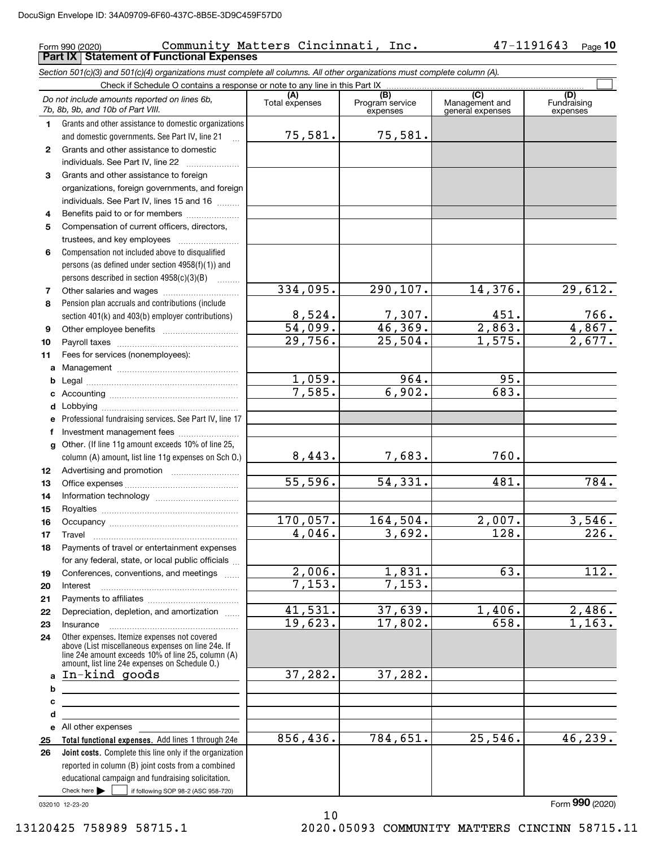### Form 990 (2020) Community Matters Cincinnati, Inc. 47-1191643  $_{\rm Page}$ **Part IX Statement of Functional Expenses**

*Section 501(c)(3) and 501(c)(4) organizations must complete all columns. All other organizations must complete column (A).*

|              | Check if Schedule O contains a response or note to any line in this Part IX                                                                                                                                |                       |                                    |                                           |                                |  |  |  |  |  |
|--------------|------------------------------------------------------------------------------------------------------------------------------------------------------------------------------------------------------------|-----------------------|------------------------------------|-------------------------------------------|--------------------------------|--|--|--|--|--|
|              | Do not include amounts reported on lines 6b,<br>7b, 8b, 9b, and 10b of Part VIII.                                                                                                                          | (A)<br>Total expenses | (B)<br>Program service<br>expenses | (C)<br>Management and<br>general expenses | (D)<br>Fundraising<br>expenses |  |  |  |  |  |
| 1.           | Grants and other assistance to domestic organizations                                                                                                                                                      |                       |                                    |                                           |                                |  |  |  |  |  |
|              | and domestic governments. See Part IV, line 21                                                                                                                                                             | 75,581.               | 75,581.                            |                                           |                                |  |  |  |  |  |
| $\mathbf{2}$ | Grants and other assistance to domestic                                                                                                                                                                    |                       |                                    |                                           |                                |  |  |  |  |  |
|              | individuals. See Part IV, line 22                                                                                                                                                                          |                       |                                    |                                           |                                |  |  |  |  |  |
| 3            | Grants and other assistance to foreign                                                                                                                                                                     |                       |                                    |                                           |                                |  |  |  |  |  |
|              | organizations, foreign governments, and foreign                                                                                                                                                            |                       |                                    |                                           |                                |  |  |  |  |  |
|              | individuals. See Part IV, lines 15 and 16                                                                                                                                                                  |                       |                                    |                                           |                                |  |  |  |  |  |
| 4            | Benefits paid to or for members                                                                                                                                                                            |                       |                                    |                                           |                                |  |  |  |  |  |
| 5            | Compensation of current officers, directors,                                                                                                                                                               |                       |                                    |                                           |                                |  |  |  |  |  |
|              | trustees, and key employees                                                                                                                                                                                |                       |                                    |                                           |                                |  |  |  |  |  |
| 6            | Compensation not included above to disqualified                                                                                                                                                            |                       |                                    |                                           |                                |  |  |  |  |  |
|              | persons (as defined under section 4958(f)(1)) and                                                                                                                                                          |                       |                                    |                                           |                                |  |  |  |  |  |
| 7            | persons described in section 4958(c)(3)(B)<br>$\overline{\phantom{a}}$                                                                                                                                     | 334,095.              | 290, 107.                          | 14,376.                                   | 29,612.                        |  |  |  |  |  |
| 8            | Pension plan accruals and contributions (include                                                                                                                                                           |                       |                                    |                                           |                                |  |  |  |  |  |
|              | section 401(k) and 403(b) employer contributions)                                                                                                                                                          | 8,524.                |                                    | 451.                                      | 766.                           |  |  |  |  |  |
| 9            | Other employee benefits                                                                                                                                                                                    | 54,099.               | $\frac{7,307.}{46,369.}$           | 2,863.                                    |                                |  |  |  |  |  |
| 10           |                                                                                                                                                                                                            | 29,756.               | 25,504.                            | 1,575.                                    | $\frac{4,867.}{2,677.}$        |  |  |  |  |  |
| 11           | Fees for services (nonemployees):                                                                                                                                                                          |                       |                                    |                                           |                                |  |  |  |  |  |
| a            |                                                                                                                                                                                                            |                       |                                    |                                           |                                |  |  |  |  |  |
| b            |                                                                                                                                                                                                            | 1,059.                | 964.                               | 95.                                       |                                |  |  |  |  |  |
| c            |                                                                                                                                                                                                            | 7,585.                | 6,902.                             | 683.                                      |                                |  |  |  |  |  |
| d            |                                                                                                                                                                                                            |                       |                                    |                                           |                                |  |  |  |  |  |
| е            | Professional fundraising services. See Part IV, line 17                                                                                                                                                    |                       |                                    |                                           |                                |  |  |  |  |  |
| f            | Investment management fees                                                                                                                                                                                 |                       |                                    |                                           |                                |  |  |  |  |  |
| g            | Other. (If line 11g amount exceeds 10% of line 25,                                                                                                                                                         |                       |                                    |                                           |                                |  |  |  |  |  |
|              | column (A) amount, list line 11g expenses on Sch O.)                                                                                                                                                       | 8,443.                | 7,683.                             | 760.                                      |                                |  |  |  |  |  |
| 12           |                                                                                                                                                                                                            |                       |                                    |                                           |                                |  |  |  |  |  |
| 13           |                                                                                                                                                                                                            | 55,596.               | 54,331.                            | 481.                                      | 784.                           |  |  |  |  |  |
| 14           |                                                                                                                                                                                                            |                       |                                    |                                           |                                |  |  |  |  |  |
| 15           |                                                                                                                                                                                                            |                       |                                    |                                           |                                |  |  |  |  |  |
| 16           |                                                                                                                                                                                                            | 170,057.<br>4,046.    | 164,504.<br>3,692.                 | 2,007.<br>128.                            | 3,546.<br>$\overline{226}$ .   |  |  |  |  |  |
| 17           | Travel                                                                                                                                                                                                     |                       |                                    |                                           |                                |  |  |  |  |  |
| 18           | Payments of travel or entertainment expenses<br>for any federal, state, or local public officials                                                                                                          |                       |                                    |                                           |                                |  |  |  |  |  |
| 19           | Conferences, conventions, and meetings                                                                                                                                                                     | 2,006.                | 1,831.                             | $\overline{63}$ .                         | $\overline{112}$ .             |  |  |  |  |  |
| 20           | Interest                                                                                                                                                                                                   | 7,153.                | 7,153.                             |                                           |                                |  |  |  |  |  |
| 21           |                                                                                                                                                                                                            |                       |                                    |                                           |                                |  |  |  |  |  |
| 22           | Depreciation, depletion, and amortization                                                                                                                                                                  | 41,531.               | 37,639.                            | 1,406.                                    | 2,486.                         |  |  |  |  |  |
| 23           | Insurance                                                                                                                                                                                                  | 19,623.               | 17,802.                            | 658.                                      | $\overline{1,163}$ .           |  |  |  |  |  |
| 24           | Other expenses. Itemize expenses not covered<br>above (List miscellaneous expenses on line 24e. If<br>line 24e amount exceeds 10% of line 25, column (A)<br>amount, list line 24e expenses on Schedule O.) |                       |                                    |                                           |                                |  |  |  |  |  |
| a            | In-kind goods                                                                                                                                                                                              | 37,282.               | 37,282.                            |                                           |                                |  |  |  |  |  |
| b            |                                                                                                                                                                                                            |                       |                                    |                                           |                                |  |  |  |  |  |
| с            |                                                                                                                                                                                                            |                       |                                    |                                           |                                |  |  |  |  |  |
| d            |                                                                                                                                                                                                            |                       |                                    |                                           |                                |  |  |  |  |  |
| е            | All other expenses                                                                                                                                                                                         |                       |                                    |                                           |                                |  |  |  |  |  |
| 25           | Total functional expenses. Add lines 1 through 24e                                                                                                                                                         | 856,436.              | 784,651.                           | 25,546.                                   | 46,239.                        |  |  |  |  |  |
| 26           | Joint costs. Complete this line only if the organization                                                                                                                                                   |                       |                                    |                                           |                                |  |  |  |  |  |
|              | reported in column (B) joint costs from a combined                                                                                                                                                         |                       |                                    |                                           |                                |  |  |  |  |  |
|              | educational campaign and fundraising solicitation.                                                                                                                                                         |                       |                                    |                                           |                                |  |  |  |  |  |
|              | Check here $\blacktriangleright$<br>if following SOP 98-2 (ASC 958-720)                                                                                                                                    |                       |                                    |                                           |                                |  |  |  |  |  |

10

032010 12-23-20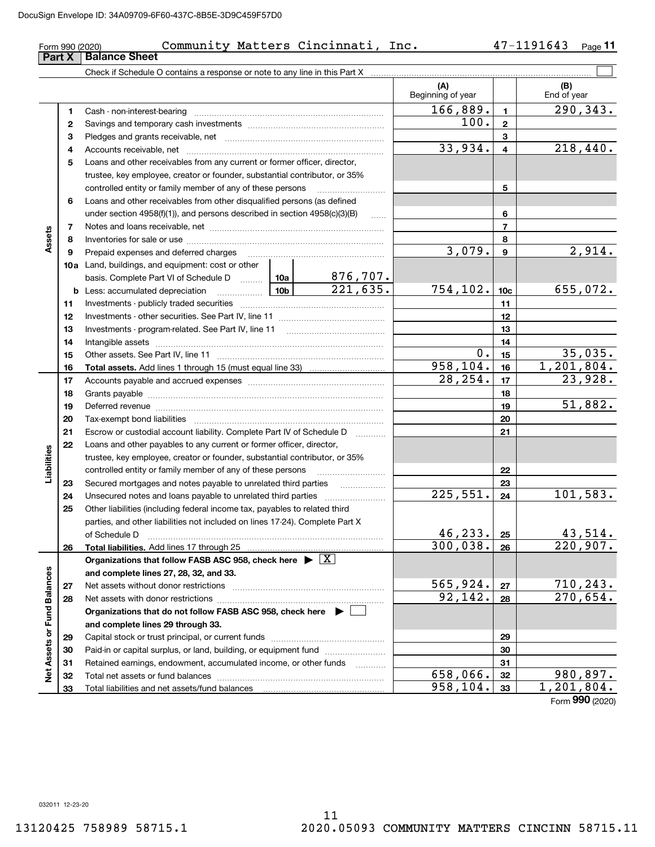|                             | Form 990 (2020) | Community Matters Cincinnati, Inc.                                                                                                                                                                                             |          |          |                          |                 | 47-1191643 Page 11      |
|-----------------------------|-----------------|--------------------------------------------------------------------------------------------------------------------------------------------------------------------------------------------------------------------------------|----------|----------|--------------------------|-----------------|-------------------------|
|                             | Part X          | <b>Balance Sheet</b>                                                                                                                                                                                                           |          |          |                          |                 |                         |
|                             |                 |                                                                                                                                                                                                                                |          |          |                          |                 |                         |
|                             |                 |                                                                                                                                                                                                                                |          |          | (A)<br>Beginning of year |                 | (B)<br>End of year      |
|                             | 1               |                                                                                                                                                                                                                                |          |          | 166,889.                 | $\mathbf{1}$    | 290,343.                |
|                             | $\mathbf{2}$    |                                                                                                                                                                                                                                |          |          | 100.                     | $\mathbf{2}$    |                         |
|                             | 3               |                                                                                                                                                                                                                                |          | 3        |                          |                 |                         |
|                             | 4               |                                                                                                                                                                                                                                | 33,934.  | 4        | 218, 440.                |                 |                         |
|                             | 5               | Loans and other receivables from any current or former officer, director,                                                                                                                                                      |          |          |                          |                 |                         |
|                             |                 | trustee, key employee, creator or founder, substantial contributor, or 35%                                                                                                                                                     |          |          |                          |                 |                         |
|                             |                 |                                                                                                                                                                                                                                |          | 5        |                          |                 |                         |
|                             | 6               | Loans and other receivables from other disqualified persons (as defined                                                                                                                                                        |          |          |                          |                 |                         |
|                             |                 | under section $4958(f)(1)$ , and persons described in section $4958(c)(3)(B)$                                                                                                                                                  |          | 6        |                          |                 |                         |
|                             | 7               |                                                                                                                                                                                                                                |          |          |                          | 7               |                         |
| Assets                      | 8               |                                                                                                                                                                                                                                |          |          | 8                        |                 |                         |
|                             | 9               |                                                                                                                                                                                                                                |          |          | 3,079.                   | 9               | 2,914.                  |
|                             |                 | 10a Land, buildings, and equipment: cost or other                                                                                                                                                                              |          |          |                          |                 |                         |
|                             |                 | basis. Complete Part VI of Schedule D  10a                                                                                                                                                                                     |          | 876,707. |                          |                 |                         |
|                             |                 |                                                                                                                                                                                                                                |          | 221,635. | 754, 102.                | 10 <sub>c</sub> | 655,072.                |
|                             | 11              |                                                                                                                                                                                                                                |          | 11       |                          |                 |                         |
|                             | 12              |                                                                                                                                                                                                                                |          | 12       |                          |                 |                         |
|                             | 13              |                                                                                                                                                                                                                                |          | 13       |                          |                 |                         |
|                             | 14              |                                                                                                                                                                                                                                |          | 14       |                          |                 |                         |
|                             | 15              |                                                                                                                                                                                                                                | $0$ .    | 15       | 35,035.                  |                 |                         |
|                             | 16              |                                                                                                                                                                                                                                |          |          | 958,104.                 | 16              | 1,201,804.              |
|                             | 17              |                                                                                                                                                                                                                                | 28, 254. | 17       | 23,928.                  |                 |                         |
|                             | 18              |                                                                                                                                                                                                                                |          | 18       |                          |                 |                         |
|                             | 19              | Deferred revenue material contracts and a contract of the contract of the contract of the contract of the contract of the contract of the contract of the contract of the contract of the contract of the contract of the cont |          |          |                          | 19              | 51,882.                 |
|                             | 20              |                                                                                                                                                                                                                                |          |          |                          | 20              |                         |
|                             | 21<br>22        | Escrow or custodial account liability. Complete Part IV of Schedule D                                                                                                                                                          |          |          |                          | 21              |                         |
|                             |                 | Loans and other payables to any current or former officer, director,<br>trustee, key employee, creator or founder, substantial contributor, or 35%                                                                             |          |          |                          |                 |                         |
| Liabilities                 |                 | controlled entity or family member of any of these persons                                                                                                                                                                     |          |          |                          | 22              |                         |
|                             | 23              |                                                                                                                                                                                                                                |          |          |                          | 23              |                         |
|                             | 24              |                                                                                                                                                                                                                                |          |          | 225,551.                 | 24              | 101,583.                |
|                             | 25              | Other liabilities (including federal income tax, payables to related third                                                                                                                                                     |          |          |                          |                 |                         |
|                             |                 | parties, and other liabilities not included on lines 17-24). Complete Part X                                                                                                                                                   |          |          |                          |                 |                         |
|                             |                 | of Schedule D                                                                                                                                                                                                                  |          |          | 46,233.                  | 25              | 43,514.                 |
|                             | 26              | Total liabilities. Add lines 17 through 25                                                                                                                                                                                     |          |          | 300,038.                 | 26              | $\overline{220}$ , 907. |
|                             |                 | Organizations that follow FASB ASC 958, check here $\blacktriangleright \boxed{X}$                                                                                                                                             |          |          |                          |                 |                         |
|                             |                 | and complete lines 27, 28, 32, and 33.                                                                                                                                                                                         |          |          |                          |                 |                         |
|                             | 27              |                                                                                                                                                                                                                                |          |          | 565,924.                 | 27              | 710,243.                |
|                             | 28              |                                                                                                                                                                                                                                |          |          | 92,142.                  | 28              | 270,654.                |
|                             |                 | Organizations that do not follow FASB ASC 958, check here $\blacktriangleright$                                                                                                                                                |          |          |                          |                 |                         |
|                             |                 | and complete lines 29 through 33.                                                                                                                                                                                              |          |          |                          |                 |                         |
|                             | 29              |                                                                                                                                                                                                                                |          |          |                          | 29              |                         |
|                             | 30              | Paid-in or capital surplus, or land, building, or equipment fund                                                                                                                                                               |          |          |                          | 30              |                         |
| Net Assets or Fund Balances | 31              | Retained earnings, endowment, accumulated income, or other funds                                                                                                                                                               |          |          |                          | 31              |                         |
|                             | 32              |                                                                                                                                                                                                                                |          |          | 658,066.                 | 32              | 980,897.                |
|                             | 33              |                                                                                                                                                                                                                                |          |          | 958,104.                 | 33              | 1,201,804.              |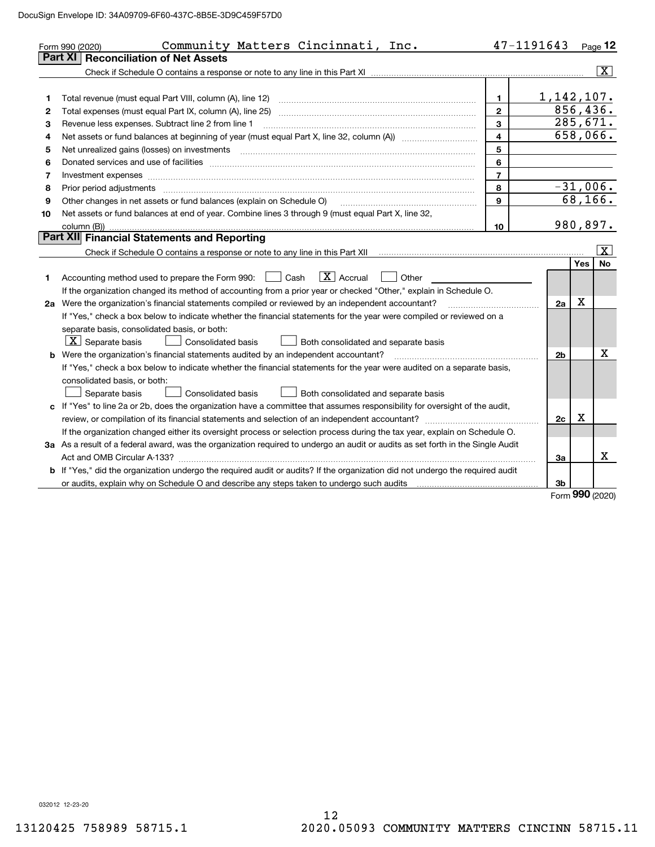|    | Community Matters Cincinnati, Inc.<br>Form 990 (2020)                                                                                                                                                                         | 47-1191643              |                |     | Page $12$               |
|----|-------------------------------------------------------------------------------------------------------------------------------------------------------------------------------------------------------------------------------|-------------------------|----------------|-----|-------------------------|
|    | <b>Reconciliation of Net Assets</b><br>Part XI                                                                                                                                                                                |                         |                |     |                         |
|    |                                                                                                                                                                                                                               |                         |                |     | $\overline{\mathbf{x}}$ |
|    |                                                                                                                                                                                                                               |                         |                |     |                         |
| 1  | Total revenue (must equal Part VIII, column (A), line 12)                                                                                                                                                                     | $\mathbf{1}$            | 1, 142, 107.   |     |                         |
| 2  | Total expenses (must equal Part IX, column (A), line 25)                                                                                                                                                                      | $\mathfrak{p}$          | 856,436.       |     |                         |
| З  | Revenue less expenses. Subtract line 2 from line 1                                                                                                                                                                            | $\mathbf{3}$            |                |     | 285,671.                |
| 4  |                                                                                                                                                                                                                               | $\overline{\mathbf{4}}$ |                |     | 658,066.                |
| 5  |                                                                                                                                                                                                                               | 5                       |                |     |                         |
| 6  |                                                                                                                                                                                                                               | 6                       |                |     |                         |
| 7  |                                                                                                                                                                                                                               | $\overline{7}$          |                |     |                         |
| 8  | Prior period adjustments                                                                                                                                                                                                      | 8                       |                |     | $-31,006.$              |
| 9  | Other changes in net assets or fund balances (explain on Schedule O)                                                                                                                                                          | 9                       |                |     | 68, 166.                |
| 10 | Net assets or fund balances at end of year. Combine lines 3 through 9 (must equal Part X, line 32,                                                                                                                            |                         |                |     |                         |
|    | column (B))                                                                                                                                                                                                                   | 10                      |                |     | 980,897.                |
|    | Part XII Financial Statements and Reporting                                                                                                                                                                                   |                         |                |     |                         |
|    |                                                                                                                                                                                                                               |                         |                |     | x                       |
|    |                                                                                                                                                                                                                               |                         |                | Yes | <b>No</b>               |
| 1. | $\boxed{\mathbf{X}}$ Accrual<br>Accounting method used to prepare the Form 990: <u>I</u> Cash<br>Other                                                                                                                        |                         |                |     |                         |
|    | If the organization changed its method of accounting from a prior year or checked "Other," explain in Schedule O.                                                                                                             |                         |                |     |                         |
|    | 2a Were the organization's financial statements compiled or reviewed by an independent accountant?                                                                                                                            |                         | 2a             | X   |                         |
|    | If "Yes," check a box below to indicate whether the financial statements for the year were compiled or reviewed on a                                                                                                          |                         |                |     |                         |
|    | separate basis, consolidated basis, or both:                                                                                                                                                                                  |                         |                |     |                         |
|    | $\lfloor x \rfloor$ Separate basis<br><b>Consolidated basis</b><br>Both consolidated and separate basis                                                                                                                       |                         |                |     |                         |
|    | <b>b</b> Were the organization's financial statements audited by an independent accountant?                                                                                                                                   |                         | 2 <sub>b</sub> |     | х                       |
|    | If "Yes," check a box below to indicate whether the financial statements for the year were audited on a separate basis,                                                                                                       |                         |                |     |                         |
|    | consolidated basis, or both:                                                                                                                                                                                                  |                         |                |     |                         |
|    | Separate basis<br><b>Consolidated basis</b><br>Both consolidated and separate basis                                                                                                                                           |                         |                |     |                         |
|    | c If "Yes" to line 2a or 2b, does the organization have a committee that assumes responsibility for oversight of the audit,                                                                                                   |                         |                |     |                         |
|    | review, or compilation of its financial statements and selection of an independent accountant?                                                                                                                                |                         | 2c             | Х   |                         |
|    | If the organization changed either its oversight process or selection process during the tax year, explain on Schedule O.                                                                                                     |                         |                |     |                         |
|    | 3a As a result of a federal award, was the organization required to undergo an audit or audits as set forth in the Single Audit                                                                                               |                         |                |     |                         |
|    |                                                                                                                                                                                                                               |                         | За             |     | х                       |
|    | b If "Yes," did the organization undergo the required audit or audits? If the organization did not undergo the required audit                                                                                                 |                         |                |     |                         |
|    | or audits, explain why on Schedule O and describe any steps taken to undergo such audits [11] contains the school of audits [11] or audits [11] or audits [11] or audits [11] or audits [11] or audits [11] or audits [11] or |                         | 3b             |     |                         |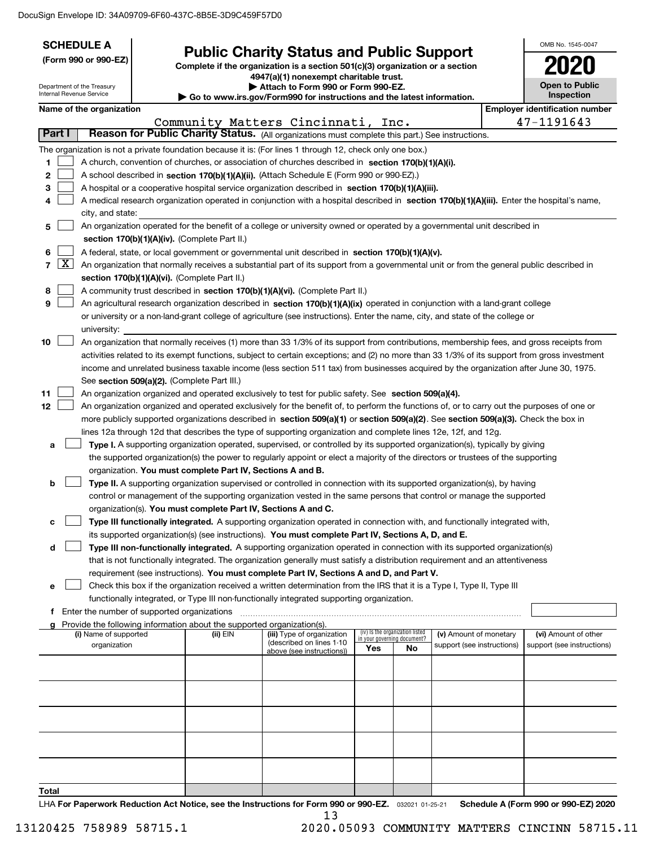|                      |                     | <b>SCHEDULE A</b>                                                                                                                  |                                               |                                                                                    |                                                                                                                                                                                             |                                    |                                 |                            |  | OMB No. 1545-0047                     |
|----------------------|---------------------|------------------------------------------------------------------------------------------------------------------------------------|-----------------------------------------------|------------------------------------------------------------------------------------|---------------------------------------------------------------------------------------------------------------------------------------------------------------------------------------------|------------------------------------|---------------------------------|----------------------------|--|---------------------------------------|
| (Form 990 or 990-EZ) |                     | <b>Public Charity Status and Public Support</b><br>Complete if the organization is a section $501(c)(3)$ organization or a section |                                               |                                                                                    |                                                                                                                                                                                             |                                    |                                 |                            |  |                                       |
|                      |                     |                                                                                                                                    | 4947(a)(1) nonexempt charitable trust.        |                                                                                    |                                                                                                                                                                                             |                                    |                                 |                            |  |                                       |
|                      |                     | Department of the Treasury<br>Internal Revenue Service                                                                             |                                               |                                                                                    | Attach to Form 990 or Form 990-EZ.<br>Go to www.irs.gov/Form990 for instructions and the latest information.                                                                                |                                    |                                 |                            |  | <b>Open to Public</b><br>Inspection   |
|                      |                     | Name of the organization                                                                                                           |                                               |                                                                                    |                                                                                                                                                                                             |                                    |                                 |                            |  | <b>Employer identification number</b> |
|                      |                     |                                                                                                                                    |                                               |                                                                                    | Community Matters Cincinnati, Inc.                                                                                                                                                          |                                    |                                 |                            |  | 47-1191643                            |
|                      | Part I              |                                                                                                                                    |                                               |                                                                                    | Reason for Public Charity Status. (All organizations must complete this part.) See instructions.                                                                                            |                                    |                                 |                            |  |                                       |
|                      |                     |                                                                                                                                    |                                               |                                                                                    | The organization is not a private foundation because it is: (For lines 1 through 12, check only one box.)                                                                                   |                                    |                                 |                            |  |                                       |
| 1                    |                     |                                                                                                                                    |                                               |                                                                                    | A church, convention of churches, or association of churches described in section 170(b)(1)(A)(i).                                                                                          |                                    |                                 |                            |  |                                       |
| 2                    |                     |                                                                                                                                    |                                               |                                                                                    | A school described in section 170(b)(1)(A)(ii). (Attach Schedule E (Form 990 or 990-EZ).)                                                                                                   |                                    |                                 |                            |  |                                       |
| 3                    |                     |                                                                                                                                    |                                               |                                                                                    | A hospital or a cooperative hospital service organization described in section $170(b)(1)(A)(iii)$ .                                                                                        |                                    |                                 |                            |  |                                       |
| 4                    |                     |                                                                                                                                    |                                               |                                                                                    | A medical research organization operated in conjunction with a hospital described in section 170(b)(1)(A)(iii). Enter the hospital's name,                                                  |                                    |                                 |                            |  |                                       |
|                      |                     | city, and state:                                                                                                                   |                                               |                                                                                    |                                                                                                                                                                                             |                                    |                                 |                            |  |                                       |
| 5                    |                     |                                                                                                                                    |                                               | section 170(b)(1)(A)(iv). (Complete Part II.)                                      | An organization operated for the benefit of a college or university owned or operated by a governmental unit described in                                                                   |                                    |                                 |                            |  |                                       |
| 6                    |                     |                                                                                                                                    |                                               |                                                                                    | A federal, state, or local government or governmental unit described in section 170(b)(1)(A)(v).                                                                                            |                                    |                                 |                            |  |                                       |
| $\overline{7}$       | $\lfloor x \rfloor$ |                                                                                                                                    |                                               |                                                                                    | An organization that normally receives a substantial part of its support from a governmental unit or from the general public described in                                                   |                                    |                                 |                            |  |                                       |
|                      |                     |                                                                                                                                    |                                               | section 170(b)(1)(A)(vi). (Complete Part II.)                                      |                                                                                                                                                                                             |                                    |                                 |                            |  |                                       |
| 8                    |                     |                                                                                                                                    |                                               |                                                                                    | A community trust described in section 170(b)(1)(A)(vi). (Complete Part II.)                                                                                                                |                                    |                                 |                            |  |                                       |
| 9                    |                     |                                                                                                                                    |                                               |                                                                                    | An agricultural research organization described in section 170(b)(1)(A)(ix) operated in conjunction with a land-grant college                                                               |                                    |                                 |                            |  |                                       |
|                      |                     |                                                                                                                                    |                                               |                                                                                    | or university or a non-land-grant college of agriculture (see instructions). Enter the name, city, and state of the college or                                                              |                                    |                                 |                            |  |                                       |
|                      |                     | university:                                                                                                                        |                                               |                                                                                    |                                                                                                                                                                                             |                                    |                                 |                            |  |                                       |
| 10                   |                     |                                                                                                                                    |                                               |                                                                                    | An organization that normally receives (1) more than 33 1/3% of its support from contributions, membership fees, and gross receipts from                                                    |                                    |                                 |                            |  |                                       |
|                      |                     |                                                                                                                                    |                                               |                                                                                    | activities related to its exempt functions, subject to certain exceptions; and (2) no more than 33 1/3% of its support from gross investment                                                |                                    |                                 |                            |  |                                       |
|                      |                     |                                                                                                                                    |                                               | See section 509(a)(2). (Complete Part III.)                                        | income and unrelated business taxable income (less section 511 tax) from businesses acquired by the organization after June 30, 1975.                                                       |                                    |                                 |                            |  |                                       |
| 11                   |                     |                                                                                                                                    |                                               |                                                                                    | An organization organized and operated exclusively to test for public safety. See section 509(a)(4).                                                                                        |                                    |                                 |                            |  |                                       |
| 12                   |                     |                                                                                                                                    |                                               |                                                                                    | An organization organized and operated exclusively for the benefit of, to perform the functions of, or to carry out the purposes of one or                                                  |                                    |                                 |                            |  |                                       |
|                      |                     |                                                                                                                                    |                                               |                                                                                    | more publicly supported organizations described in section 509(a)(1) or section 509(a)(2). See section 509(a)(3). Check the box in                                                          |                                    |                                 |                            |  |                                       |
|                      |                     |                                                                                                                                    |                                               |                                                                                    | lines 12a through 12d that describes the type of supporting organization and complete lines 12e, 12f, and 12g.                                                                              |                                    |                                 |                            |  |                                       |
| a                    |                     |                                                                                                                                    |                                               |                                                                                    | Type I. A supporting organization operated, supervised, or controlled by its supported organization(s), typically by giving                                                                 |                                    |                                 |                            |  |                                       |
|                      |                     |                                                                                                                                    |                                               |                                                                                    | the supported organization(s) the power to regularly appoint or elect a majority of the directors or trustees of the supporting                                                             |                                    |                                 |                            |  |                                       |
|                      |                     |                                                                                                                                    |                                               | organization. You must complete Part IV, Sections A and B.                         |                                                                                                                                                                                             |                                    |                                 |                            |  |                                       |
| b                    |                     |                                                                                                                                    |                                               |                                                                                    | Type II. A supporting organization supervised or controlled in connection with its supported organization(s), by having                                                                     |                                    |                                 |                            |  |                                       |
|                      |                     |                                                                                                                                    |                                               |                                                                                    | control or management of the supporting organization vested in the same persons that control or manage the supported                                                                        |                                    |                                 |                            |  |                                       |
|                      |                     |                                                                                                                                    |                                               |                                                                                    | organization(s). You must complete Part IV, Sections A and C.<br>Type III functionally integrated. A supporting organization operated in connection with, and functionally integrated with, |                                    |                                 |                            |  |                                       |
| с                    |                     |                                                                                                                                    |                                               |                                                                                    | its supported organization(s) (see instructions). You must complete Part IV, Sections A, D, and E.                                                                                          |                                    |                                 |                            |  |                                       |
| d                    |                     |                                                                                                                                    |                                               |                                                                                    | Type III non-functionally integrated. A supporting organization operated in connection with its supported organization(s)                                                                   |                                    |                                 |                            |  |                                       |
|                      |                     |                                                                                                                                    |                                               |                                                                                    | that is not functionally integrated. The organization generally must satisfy a distribution requirement and an attentiveness                                                                |                                    |                                 |                            |  |                                       |
|                      |                     |                                                                                                                                    |                                               |                                                                                    | requirement (see instructions). You must complete Part IV, Sections A and D, and Part V.                                                                                                    |                                    |                                 |                            |  |                                       |
| е                    |                     |                                                                                                                                    |                                               |                                                                                    | Check this box if the organization received a written determination from the IRS that it is a Type I, Type II, Type III                                                                     |                                    |                                 |                            |  |                                       |
|                      |                     |                                                                                                                                    |                                               |                                                                                    | functionally integrated, or Type III non-functionally integrated supporting organization.                                                                                                   |                                    |                                 |                            |  |                                       |
|                      |                     |                                                                                                                                    | f Enter the number of supported organizations |                                                                                    |                                                                                                                                                                                             |                                    |                                 |                            |  |                                       |
| g                    |                     | (i) Name of supported                                                                                                              |                                               | Provide the following information about the supported organization(s).<br>(ii) EIN | (iii) Type of organization                                                                                                                                                                  |                                    | (iv) Is the organization listed | (v) Amount of monetary     |  | (vi) Amount of other                  |
|                      |                     | organization                                                                                                                       |                                               |                                                                                    | (described on lines 1-10                                                                                                                                                                    | in your governing document?<br>Yes | No                              | support (see instructions) |  | support (see instructions)            |
|                      |                     |                                                                                                                                    |                                               |                                                                                    | above (see instructions))                                                                                                                                                                   |                                    |                                 |                            |  |                                       |
|                      |                     |                                                                                                                                    |                                               |                                                                                    |                                                                                                                                                                                             |                                    |                                 |                            |  |                                       |
|                      |                     |                                                                                                                                    |                                               |                                                                                    |                                                                                                                                                                                             |                                    |                                 |                            |  |                                       |
|                      |                     |                                                                                                                                    |                                               |                                                                                    |                                                                                                                                                                                             |                                    |                                 |                            |  |                                       |
|                      |                     |                                                                                                                                    |                                               |                                                                                    |                                                                                                                                                                                             |                                    |                                 |                            |  |                                       |
|                      |                     |                                                                                                                                    |                                               |                                                                                    |                                                                                                                                                                                             |                                    |                                 |                            |  |                                       |
|                      |                     |                                                                                                                                    |                                               |                                                                                    |                                                                                                                                                                                             |                                    |                                 |                            |  |                                       |
|                      |                     |                                                                                                                                    |                                               |                                                                                    |                                                                                                                                                                                             |                                    |                                 |                            |  |                                       |
|                      |                     |                                                                                                                                    |                                               |                                                                                    |                                                                                                                                                                                             |                                    |                                 |                            |  |                                       |
| <b>Total</b>         |                     |                                                                                                                                    |                                               |                                                                                    |                                                                                                                                                                                             |                                    |                                 |                            |  |                                       |
|                      |                     |                                                                                                                                    |                                               |                                                                                    |                                                                                                                                                                                             |                                    |                                 |                            |  |                                       |

LHA For Paperwork Reduction Act Notice, see the Instructions for Form 990 or 990-EZ. <sub>032021</sub> o1-25-21 Schedule A (Form 990 or 990-EZ) 2020 13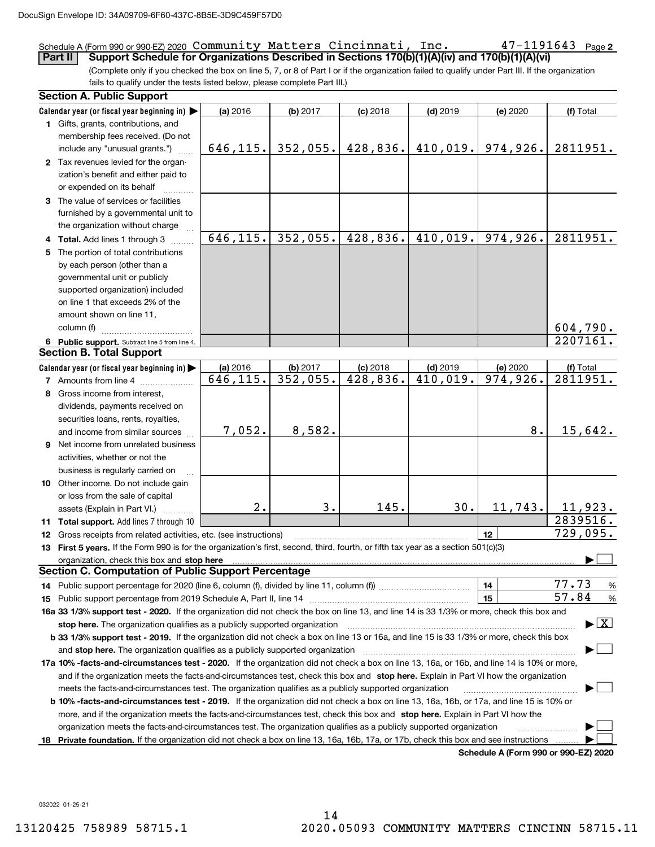### $47 - 1191643$  Page 2 Schedule A (Form 990 or 990-EZ) 2020 Page Community Matters Cincinnati, Inc. 47-1191643

(Complete only if you checked the box on line 5, 7, or 8 of Part I or if the organization failed to qualify under Part III. If the organization fails to qualify under the tests listed below, please complete Part III.) **Part II Support Schedule for Organizations Described in Sections 170(b)(1)(A)(iv) and 170(b)(1)(A)(vi)**

|     | <b>Section A. Public Support</b>                                                                                                           |           |                       |            |                       |                                      |                                          |  |
|-----|--------------------------------------------------------------------------------------------------------------------------------------------|-----------|-----------------------|------------|-----------------------|--------------------------------------|------------------------------------------|--|
|     | Calendar year (or fiscal year beginning in)                                                                                                | (a) 2016  | (b) 2017              | $(c)$ 2018 | $(d)$ 2019            | (e) 2020                             | (f) Total                                |  |
|     | 1 Gifts, grants, contributions, and                                                                                                        |           |                       |            |                       |                                      |                                          |  |
|     | membership fees received. (Do not                                                                                                          |           |                       |            |                       |                                      |                                          |  |
|     | include any "unusual grants.")                                                                                                             |           | $646, 115.$ 352, 055. | 428,836.   |                       | $410,019.$ 974,926.                  | 2811951.                                 |  |
|     | 2 Tax revenues levied for the organ-                                                                                                       |           |                       |            |                       |                                      |                                          |  |
|     | ization's benefit and either paid to                                                                                                       |           |                       |            |                       |                                      |                                          |  |
|     | or expended on its behalf                                                                                                                  |           |                       |            |                       |                                      |                                          |  |
|     | 3 The value of services or facilities                                                                                                      |           |                       |            |                       |                                      |                                          |  |
|     | furnished by a governmental unit to                                                                                                        |           |                       |            |                       |                                      |                                          |  |
|     | the organization without charge                                                                                                            |           |                       |            |                       |                                      |                                          |  |
|     | 4 Total. Add lines 1 through 3                                                                                                             | 646, 115. | 352,055.              |            | $428,836.$ $410,019.$ | 974,926.                             | 2811951.                                 |  |
|     | 5 The portion of total contributions                                                                                                       |           |                       |            |                       |                                      |                                          |  |
|     | by each person (other than a                                                                                                               |           |                       |            |                       |                                      |                                          |  |
|     | governmental unit or publicly                                                                                                              |           |                       |            |                       |                                      |                                          |  |
|     | supported organization) included                                                                                                           |           |                       |            |                       |                                      |                                          |  |
|     | on line 1 that exceeds 2% of the                                                                                                           |           |                       |            |                       |                                      |                                          |  |
|     | amount shown on line 11,                                                                                                                   |           |                       |            |                       |                                      |                                          |  |
|     | column (f)                                                                                                                                 |           |                       |            |                       |                                      | 604,790.                                 |  |
|     | 6 Public support. Subtract line 5 from line 4.                                                                                             |           |                       |            |                       |                                      | 2207161.                                 |  |
|     | <b>Section B. Total Support</b>                                                                                                            |           |                       |            |                       |                                      |                                          |  |
|     | Calendar year (or fiscal year beginning in)                                                                                                | (a) 2016  | (b) 2017              | $(c)$ 2018 | $(d)$ 2019            | (e) 2020                             | (f) Total                                |  |
|     | 7 Amounts from line 4                                                                                                                      | 646,115.  | 352,055.              | 428,836.   | 410,019.              | 974,926.                             | 2811951.                                 |  |
|     | 8 Gross income from interest,                                                                                                              |           |                       |            |                       |                                      |                                          |  |
|     | dividends, payments received on                                                                                                            |           |                       |            |                       |                                      |                                          |  |
|     | securities loans, rents, royalties,                                                                                                        |           |                       |            |                       |                                      |                                          |  |
|     | and income from similar sources                                                                                                            | 7,052.    | 8,582.                |            |                       | 8.                                   | 15,642.                                  |  |
|     | <b>9</b> Net income from unrelated business                                                                                                |           |                       |            |                       |                                      |                                          |  |
|     | activities, whether or not the                                                                                                             |           |                       |            |                       |                                      |                                          |  |
|     | business is regularly carried on                                                                                                           |           |                       |            |                       |                                      |                                          |  |
|     | 10 Other income. Do not include gain                                                                                                       |           |                       |            |                       |                                      |                                          |  |
|     | or loss from the sale of capital                                                                                                           |           |                       |            |                       |                                      |                                          |  |
|     | assets (Explain in Part VI.)                                                                                                               | 2.        | 3.                    | 145.       | 30.                   | 11, 743.                             | 11,923.                                  |  |
|     | <b>11 Total support.</b> Add lines 7 through 10                                                                                            |           |                       |            |                       |                                      | 2839516.                                 |  |
|     | 12 Gross receipts from related activities, etc. (see instructions)                                                                         |           |                       |            |                       | 12                                   | 729,095.                                 |  |
|     | 13 First 5 years. If the Form 990 is for the organization's first, second, third, fourth, or fifth tax year as a section 501(c)(3)         |           |                       |            |                       |                                      |                                          |  |
|     | organization, check this box and stop here                                                                                                 |           |                       |            |                       |                                      |                                          |  |
|     | Section C. Computation of Public Support Percentage                                                                                        |           |                       |            |                       |                                      |                                          |  |
|     |                                                                                                                                            |           |                       |            |                       | 14                                   | 77.73<br>%                               |  |
|     |                                                                                                                                            |           |                       |            |                       | 15                                   | 57.84<br>%                               |  |
|     | 16a 33 1/3% support test - 2020. If the organization did not check the box on line 13, and line 14 is 33 1/3% or more, check this box and  |           |                       |            |                       |                                      |                                          |  |
|     | stop here. The organization qualifies as a publicly supported organization                                                                 |           |                       |            |                       |                                      | $\blacktriangleright$ $\boxed{\text{X}}$ |  |
|     | b 33 1/3% support test - 2019. If the organization did not check a box on line 13 or 16a, and line 15 is 33 1/3% or more, check this box   |           |                       |            |                       |                                      |                                          |  |
|     | and stop here. The organization qualifies as a publicly supported organization manufactured content and stop here. The organization        |           |                       |            |                       |                                      |                                          |  |
|     | 17a 10% -facts-and-circumstances test - 2020. If the organization did not check a box on line 13, 16a, or 16b, and line 14 is 10% or more, |           |                       |            |                       |                                      |                                          |  |
|     | and if the organization meets the facts-and-circumstances test, check this box and stop here. Explain in Part VI how the organization      |           |                       |            |                       |                                      |                                          |  |
|     | meets the facts-and-circumstances test. The organization qualifies as a publicly supported organization                                    |           |                       |            |                       |                                      |                                          |  |
|     | b 10% -facts-and-circumstances test - 2019. If the organization did not check a box on line 13, 16a, 16b, or 17a, and line 15 is 10% or    |           |                       |            |                       |                                      |                                          |  |
|     | more, and if the organization meets the facts-and-circumstances test, check this box and stop here. Explain in Part VI how the             |           |                       |            |                       |                                      |                                          |  |
|     | organization meets the facts-and-circumstances test. The organization qualifies as a publicly supported organization                       |           |                       |            |                       |                                      |                                          |  |
| 18. | Private foundation. If the organization did not check a box on line 13, 16a, 16b, 17a, or 17b, check this box and see instructions         |           |                       |            |                       |                                      |                                          |  |
|     |                                                                                                                                            |           |                       |            |                       | Schodule A (Form 000 or 000 F7) 2020 |                                          |  |

**Schedule A (Form 990 or 990-EZ) 2020**

032022 01-25-21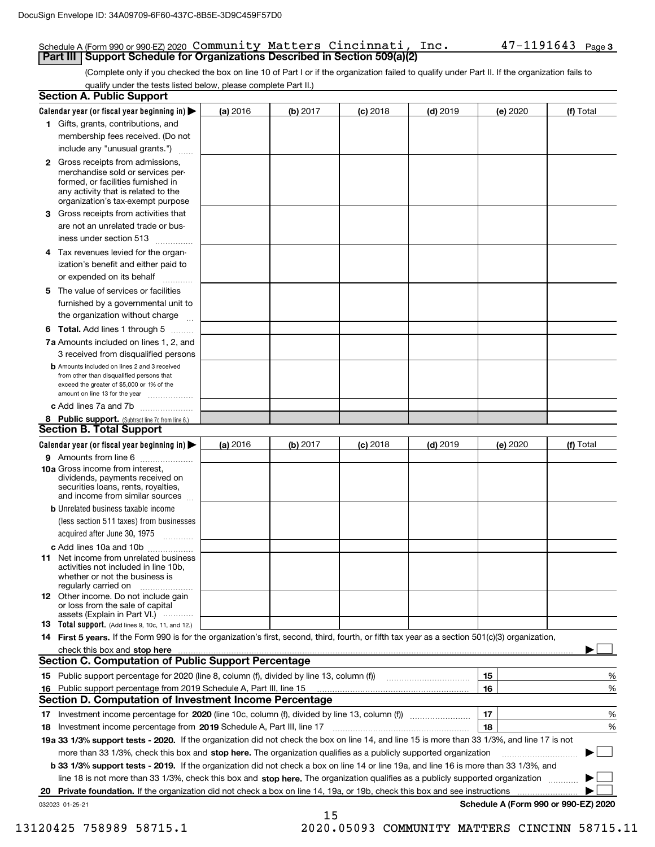### Schedule A (Form 990 or 990-EZ) 2020 Page Community Matters Cincinnati, Inc. 47-1191643 **Part III | Support Schedule for Organizations Described in Section 509(a)(2)**

(Complete only if you checked the box on line 10 of Part I or if the organization failed to qualify under Part II. If the organization fails to qualify under the tests listed below, please complete Part II.)

| <b>Section A. Public Support</b>                                                                                                                                                                                               |            |          |            |            |          |                                      |
|--------------------------------------------------------------------------------------------------------------------------------------------------------------------------------------------------------------------------------|------------|----------|------------|------------|----------|--------------------------------------|
| Calendar year (or fiscal year beginning in) $\blacktriangleright$                                                                                                                                                              | $(a)$ 2016 | (b) 2017 | $(c)$ 2018 | $(d)$ 2019 | (e) 2020 | (f) Total                            |
| 1 Gifts, grants, contributions, and                                                                                                                                                                                            |            |          |            |            |          |                                      |
| membership fees received. (Do not                                                                                                                                                                                              |            |          |            |            |          |                                      |
| include any "unusual grants.")                                                                                                                                                                                                 |            |          |            |            |          |                                      |
| <b>2</b> Gross receipts from admissions,<br>merchandise sold or services per-<br>formed, or facilities furnished in<br>any activity that is related to the<br>organization's tax-exempt purpose                                |            |          |            |            |          |                                      |
| 3 Gross receipts from activities that<br>are not an unrelated trade or bus-                                                                                                                                                    |            |          |            |            |          |                                      |
| iness under section 513                                                                                                                                                                                                        |            |          |            |            |          |                                      |
| 4 Tax revenues levied for the organ-<br>ization's benefit and either paid to                                                                                                                                                   |            |          |            |            |          |                                      |
| or expended on its behalf<br>.                                                                                                                                                                                                 |            |          |            |            |          |                                      |
| 5 The value of services or facilities<br>furnished by a governmental unit to                                                                                                                                                   |            |          |            |            |          |                                      |
| the organization without charge                                                                                                                                                                                                |            |          |            |            |          |                                      |
| <b>6 Total.</b> Add lines 1 through 5                                                                                                                                                                                          |            |          |            |            |          |                                      |
| 7a Amounts included on lines 1, 2, and<br>3 received from disqualified persons                                                                                                                                                 |            |          |            |            |          |                                      |
| <b>b</b> Amounts included on lines 2 and 3 received<br>from other than disqualified persons that<br>exceed the greater of \$5,000 or 1% of the<br>amount on line 13 for the year                                               |            |          |            |            |          |                                      |
| c Add lines 7a and 7b                                                                                                                                                                                                          |            |          |            |            |          |                                      |
| 8 Public support. (Subtract line 7c from line 6.)<br><b>Section B. Total Support</b>                                                                                                                                           |            |          |            |            |          |                                      |
| Calendar year (or fiscal year beginning in)                                                                                                                                                                                    | (a) 2016   | (b) 2017 | $(c)$ 2018 | $(d)$ 2019 | (e) 2020 | (f) Total                            |
| 9 Amounts from line 6                                                                                                                                                                                                          |            |          |            |            |          |                                      |
| <b>10a</b> Gross income from interest,<br>dividends, payments received on<br>securities loans, rents, royalties,<br>and income from similar sources                                                                            |            |          |            |            |          |                                      |
| <b>b</b> Unrelated business taxable income<br>(less section 511 taxes) from businesses<br>acquired after June 30, 1975                                                                                                         |            |          |            |            |          |                                      |
| c Add lines 10a and 10b                                                                                                                                                                                                        |            |          |            |            |          |                                      |
| <b>11</b> Net income from unrelated business<br>activities not included in line 10b,<br>whether or not the business is<br>regularly carried on                                                                                 |            |          |            |            |          |                                      |
| <b>12</b> Other income. Do not include gain<br>or loss from the sale of capital<br>assets (Explain in Part VI.)                                                                                                                |            |          |            |            |          |                                      |
| <b>13</b> Total support. (Add lines 9, 10c, 11, and 12.)                                                                                                                                                                       |            |          |            |            |          |                                      |
| 14 First 5 years. If the Form 990 is for the organization's first, second, third, fourth, or fifth tax year as a section 501(c)(3) organization,                                                                               |            |          |            |            |          |                                      |
| check this box and stop here measure contained and an extraordinary contact the state of the state of the contact the state of the contact the contact of the contact of the contact of the contact of the contact of the cont |            |          |            |            |          |                                      |
| <b>Section C. Computation of Public Support Percentage</b>                                                                                                                                                                     |            |          |            |            |          |                                      |
|                                                                                                                                                                                                                                |            |          |            |            | 15       | %                                    |
| 16 Public support percentage from 2019 Schedule A, Part III, line 15                                                                                                                                                           |            |          |            |            | 16       | %                                    |
| Section D. Computation of Investment Income Percentage                                                                                                                                                                         |            |          |            |            |          |                                      |
| 17 Investment income percentage for 2020 (line 10c, column (f), divided by line 13, column (f))<br>18 Investment income percentage from 2019 Schedule A, Part III, line 17                                                     |            |          |            |            | 17<br>18 | %<br>%                               |
| 19a 33 1/3% support tests - 2020. If the organization did not check the box on line 14, and line 15 is more than 33 1/3%, and line 17 is not                                                                                   |            |          |            |            |          |                                      |
| more than 33 1/3%, check this box and stop here. The organization qualifies as a publicly supported organization                                                                                                               |            |          |            |            |          | ▶                                    |
| b 33 1/3% support tests - 2019. If the organization did not check a box on line 14 or line 19a, and line 16 is more than 33 1/3%, and                                                                                          |            |          |            |            |          |                                      |
| line 18 is not more than 33 1/3%, check this box and stop here. The organization qualifies as a publicly supported organization                                                                                                |            |          |            |            |          |                                      |
| 20 Private foundation. If the organization did not check a box on line 14, 19a, or 19b, check this box and see instructions                                                                                                    |            |          |            |            |          |                                      |
| 032023 01-25-21                                                                                                                                                                                                                |            |          |            |            |          | Schedule A (Form 990 or 990-EZ) 2020 |
|                                                                                                                                                                                                                                |            | 15       |            |            |          |                                      |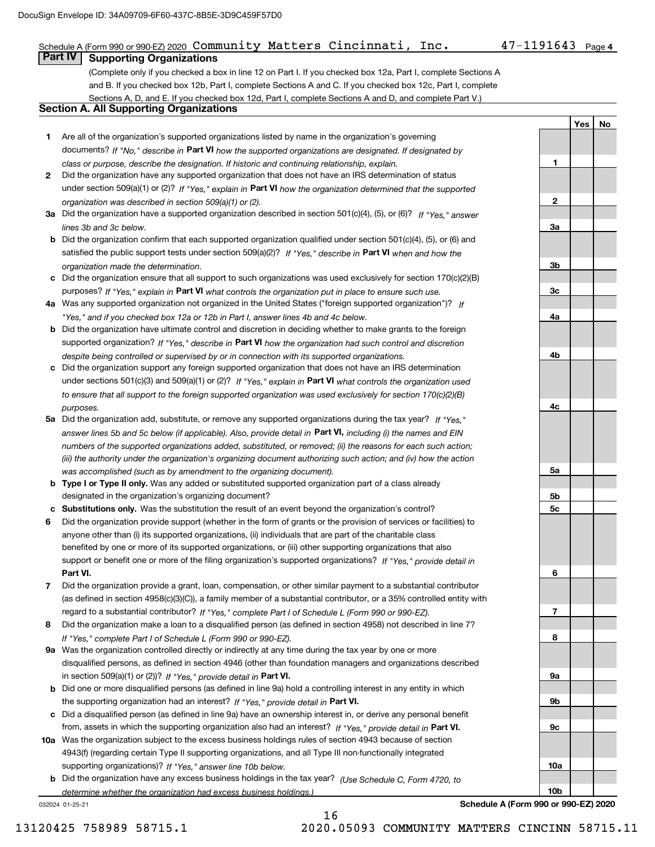### Schedule A (Form 990 or 990-EZ) 2020 Page Community Matters Cincinnati, Inc. 47-1191643

**1**

**2**

**3a**

**3b**

**3c**

**4a**

**4b**

**4c**

**5a**

**5b5c**

**6**

**7**

**8**

**9a**

**9b**

**9c**

**10a**

**10b**

**YesNo**

(Complete only if you checked a box in line 12 on Part I. If you checked box 12a, Part I, complete Sections A and B. If you checked box 12b, Part I, complete Sections A and C. If you checked box 12c, Part I, complete Sections A, D, and E. If you checked box 12d, Part I, complete Sections A and D, and complete Part V.) **Part IV Supporting Organizations**

### **Section A. All Supporting Organizations**

- **1** Are all of the organization's supported organizations listed by name in the organization's governing documents? If "No," describe in **Part VI** how the supported organizations are designated. If designated by *class or purpose, describe the designation. If historic and continuing relationship, explain.*
- **2** Did the organization have any supported organization that does not have an IRS determination of status under section 509(a)(1) or (2)? If "Yes," explain in Part VI how the organization determined that the supported *organization was described in section 509(a)(1) or (2).*
- **3a** Did the organization have a supported organization described in section 501(c)(4), (5), or (6)? If "Yes," answer *lines 3b and 3c below.*
- **b** Did the organization confirm that each supported organization qualified under section 501(c)(4), (5), or (6) and satisfied the public support tests under section 509(a)(2)? If "Yes," describe in **Part VI** when and how the *organization made the determination.*
- **c**Did the organization ensure that all support to such organizations was used exclusively for section 170(c)(2)(B) purposes? If "Yes," explain in **Part VI** what controls the organization put in place to ensure such use.
- **4a***If* Was any supported organization not organized in the United States ("foreign supported organization")? *"Yes," and if you checked box 12a or 12b in Part I, answer lines 4b and 4c below.*
- **b** Did the organization have ultimate control and discretion in deciding whether to make grants to the foreign supported organization? If "Yes," describe in **Part VI** how the organization had such control and discretion *despite being controlled or supervised by or in connection with its supported organizations.*
- **c** Did the organization support any foreign supported organization that does not have an IRS determination under sections 501(c)(3) and 509(a)(1) or (2)? If "Yes," explain in **Part VI** what controls the organization used *to ensure that all support to the foreign supported organization was used exclusively for section 170(c)(2)(B) purposes.*
- **5a** Did the organization add, substitute, or remove any supported organizations during the tax year? If "Yes," answer lines 5b and 5c below (if applicable). Also, provide detail in **Part VI,** including (i) the names and EIN *numbers of the supported organizations added, substituted, or removed; (ii) the reasons for each such action; (iii) the authority under the organization's organizing document authorizing such action; and (iv) how the action was accomplished (such as by amendment to the organizing document).*
- **b** Type I or Type II only. Was any added or substituted supported organization part of a class already designated in the organization's organizing document?
- **cSubstitutions only.**  Was the substitution the result of an event beyond the organization's control?
- **6** Did the organization provide support (whether in the form of grants or the provision of services or facilities) to **Part VI.** *If "Yes," provide detail in* support or benefit one or more of the filing organization's supported organizations? anyone other than (i) its supported organizations, (ii) individuals that are part of the charitable class benefited by one or more of its supported organizations, or (iii) other supporting organizations that also
- **7**Did the organization provide a grant, loan, compensation, or other similar payment to a substantial contributor *If "Yes," complete Part I of Schedule L (Form 990 or 990-EZ).* regard to a substantial contributor? (as defined in section 4958(c)(3)(C)), a family member of a substantial contributor, or a 35% controlled entity with
- **8** Did the organization make a loan to a disqualified person (as defined in section 4958) not described in line 7? *If "Yes," complete Part I of Schedule L (Form 990 or 990-EZ).*
- **9a** Was the organization controlled directly or indirectly at any time during the tax year by one or more in section 509(a)(1) or (2))? If "Yes," *provide detail in* <code>Part VI.</code> disqualified persons, as defined in section 4946 (other than foundation managers and organizations described
- **b** Did one or more disqualified persons (as defined in line 9a) hold a controlling interest in any entity in which the supporting organization had an interest? If "Yes," provide detail in P**art VI**.
- **c**Did a disqualified person (as defined in line 9a) have an ownership interest in, or derive any personal benefit from, assets in which the supporting organization also had an interest? If "Yes," provide detail in P**art VI.**
- **10a** Was the organization subject to the excess business holdings rules of section 4943 because of section supporting organizations)? If "Yes," answer line 10b below. 4943(f) (regarding certain Type II supporting organizations, and all Type III non-functionally integrated
- **b** Did the organization have any excess business holdings in the tax year? (Use Schedule C, Form 4720, to *determine whether the organization had excess business holdings.)*

16

032024 01-25-21

**Schedule A (Form 990 or 990-EZ) 2020**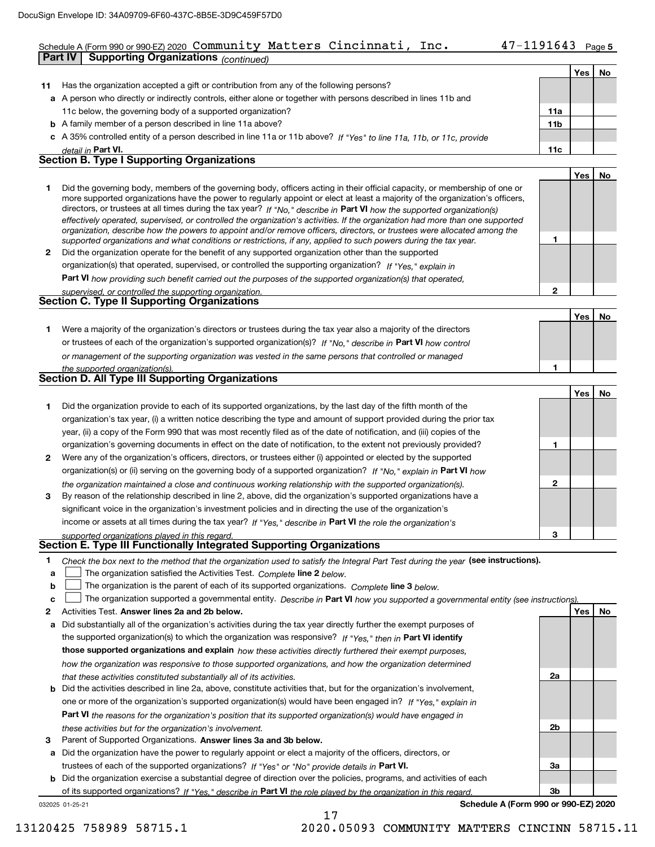# Community Matters Cincinnati, Inc. 47-1191643

**5**

|    | Schedule A (Form 990 or 990-EZ) 2020 COMMUNITY Matters Cincinnati,<br>inc.<br><b>Supporting Organizations (continued)</b><br>Part IV                                                                                                                     | 4/-1191643 |     | Page 5 |
|----|----------------------------------------------------------------------------------------------------------------------------------------------------------------------------------------------------------------------------------------------------------|------------|-----|--------|
|    |                                                                                                                                                                                                                                                          |            |     |        |
|    |                                                                                                                                                                                                                                                          |            | Yes | No     |
| 11 | Has the organization accepted a gift or contribution from any of the following persons?                                                                                                                                                                  |            |     |        |
|    | a A person who directly or indirectly controls, either alone or together with persons described in lines 11b and                                                                                                                                         |            |     |        |
|    | 11c below, the governing body of a supported organization?                                                                                                                                                                                               | 11a        |     |        |
|    | <b>b</b> A family member of a person described in line 11a above?                                                                                                                                                                                        | 11b        |     |        |
|    | c A 35% controlled entity of a person described in line 11a or 11b above? If "Yes" to line 11a, 11b, or 11c, provide                                                                                                                                     |            |     |        |
|    | detail in Part VI.<br><b>Section B. Type I Supporting Organizations</b>                                                                                                                                                                                  | 11c        |     |        |
|    |                                                                                                                                                                                                                                                          |            |     |        |
|    |                                                                                                                                                                                                                                                          |            | Yes | No     |
| 1  | Did the governing body, members of the governing body, officers acting in their official capacity, or membership of one or                                                                                                                               |            |     |        |
|    | more supported organizations have the power to regularly appoint or elect at least a majority of the organization's officers,<br>directors, or trustees at all times during the tax year? If "No," describe in Part VI how the supported organization(s) |            |     |        |
|    | effectively operated, supervised, or controlled the organization's activities. If the organization had more than one supported                                                                                                                           |            |     |        |
|    | organization, describe how the powers to appoint and/or remove officers, directors, or trustees were allocated among the                                                                                                                                 |            |     |        |
|    | supported organizations and what conditions or restrictions, if any, applied to such powers during the tax year.                                                                                                                                         | 1          |     |        |
| 2  | Did the organization operate for the benefit of any supported organization other than the supported                                                                                                                                                      |            |     |        |
|    | organization(s) that operated, supervised, or controlled the supporting organization? If "Yes," explain in                                                                                                                                               |            |     |        |
|    | Part VI how providing such benefit carried out the purposes of the supported organization(s) that operated,                                                                                                                                              |            |     |        |
|    | supervised, or controlled the supporting organization.                                                                                                                                                                                                   | 2          |     |        |
|    | <b>Section C. Type II Supporting Organizations</b>                                                                                                                                                                                                       |            |     |        |
|    |                                                                                                                                                                                                                                                          |            | Yes | No     |
| 1. | Were a majority of the organization's directors or trustees during the tax year also a majority of the directors                                                                                                                                         |            |     |        |
|    | or trustees of each of the organization's supported organization(s)? If "No," describe in Part VI how control                                                                                                                                            |            |     |        |
|    | or management of the supporting organization was vested in the same persons that controlled or managed                                                                                                                                                   |            |     |        |
|    | the supported organization(s).                                                                                                                                                                                                                           | 1          |     |        |
|    | <b>Section D. All Type III Supporting Organizations</b>                                                                                                                                                                                                  |            |     |        |
|    |                                                                                                                                                                                                                                                          |            | Yes | No     |
| 1  | Did the organization provide to each of its supported organizations, by the last day of the fifth month of the                                                                                                                                           |            |     |        |
|    | organization's tax year, (i) a written notice describing the type and amount of support provided during the prior tax                                                                                                                                    |            |     |        |
|    | year, (ii) a copy of the Form 990 that was most recently filed as of the date of notification, and (iii) copies of the                                                                                                                                   |            |     |        |
|    | organization's governing documents in effect on the date of notification, to the extent not previously provided?                                                                                                                                         | 1          |     |        |
| 2  | Were any of the organization's officers, directors, or trustees either (i) appointed or elected by the supported                                                                                                                                         |            |     |        |
|    | organization(s) or (ii) serving on the governing body of a supported organization? If "No," explain in Part VI how                                                                                                                                       |            |     |        |
|    | the organization maintained a close and continuous working relationship with the supported organization(s).                                                                                                                                              | 2          |     |        |
| 3  | By reason of the relationship described in line 2, above, did the organization's supported organizations have a                                                                                                                                          |            |     |        |
|    | significant voice in the organization's investment policies and in directing the use of the organization's                                                                                                                                               |            |     |        |
|    | income or assets at all times during the tax year? If "Yes," describe in Part VI the role the organization's                                                                                                                                             |            |     |        |
|    | supported organizations played in this regard.                                                                                                                                                                                                           | 3          |     |        |
|    | Section E. Type III Functionally Integrated Supporting Organizations                                                                                                                                                                                     |            |     |        |
| 1  | Check the box next to the method that the organization used to satisfy the Integral Part Test during the year (see instructions).                                                                                                                        |            |     |        |
| a  | The organization satisfied the Activities Test. Complete line 2 below.                                                                                                                                                                                   |            |     |        |
| b  | The organization is the parent of each of its supported organizations. Complete line 3 below.                                                                                                                                                            |            |     |        |
| с  | The organization supported a governmental entity. Describe in Part VI how you supported a governmental entity (see instructions).                                                                                                                        |            |     |        |
| 2  | Activities Test. Answer lines 2a and 2b below.                                                                                                                                                                                                           |            | Yes | No     |
| а  | Did substantially all of the organization's activities during the tax year directly further the exempt purposes of                                                                                                                                       |            |     |        |
|    | the supported organization(s) to which the organization was responsive? If "Yes," then in Part VI identify                                                                                                                                               |            |     |        |
|    | those supported organizations and explain how these activities directly furthered their exempt purposes,                                                                                                                                                 |            |     |        |
|    | how the organization was responsive to those supported organizations, and how the organization determined                                                                                                                                                |            |     |        |
|    |                                                                                                                                                                                                                                                          |            |     |        |

- **b** Did the activities described in line 2a, above, constitute activities that, but for the organization's involvement, **Part VI**  *the reasons for the organization's position that its supported organization(s) would have engaged in that these activities constituted substantially all of its activities.* one or more of the organization's supported organization(s) would have been engaged in? If "Yes," e*xplain in these activities but for the organization's involvement.*
- **3** Parent of Supported Organizations. Answer lines 3a and 3b below.

**a** Did the organization have the power to regularly appoint or elect a majority of the officers, directors, or trustees of each of the supported organizations? If "Yes" or "No" provide details in **Part VI.** 

032025 01-25-21 **b** Did the organization exercise a substantial degree of direction over the policies, programs, and activities of each of its supported organizations? If "Yes," describe in Part VI the role played by the organization in this regard.

17

**Schedule A (Form 990 or 990-EZ) 2020**

**2a**

**2b**

**3a**

**3b**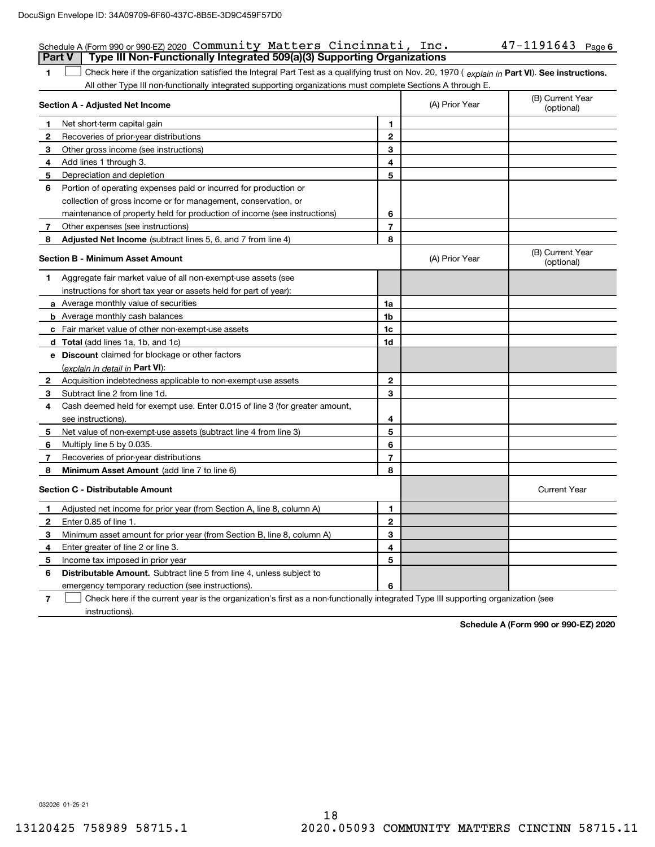### 47-1191643 Page 6 Schedule A (Form 990 or 990-EZ) 2020 Page Community Matters Cincinnati, Inc. 47-1191643 **Part V Type III Non-Functionally Integrated 509(a)(3) Supporting Organizations**

**1**1 Check here if the organization satisfied the Integral Part Test as a qualifying trust on Nov. 20, 1970 (explain in Part VI). See instructions. All other Type III non-functionally integrated supporting organizations must complete Sections A through E.

|              | Section A - Adjusted Net Income                                             | (A) Prior Year | (B) Current Year<br>(optional) |                                |
|--------------|-----------------------------------------------------------------------------|----------------|--------------------------------|--------------------------------|
| 1            | Net short-term capital gain                                                 | 1              |                                |                                |
| 2            | Recoveries of prior-year distributions                                      | $\mathbf{2}$   |                                |                                |
| 3            | Other gross income (see instructions)                                       | 3              |                                |                                |
| 4            | Add lines 1 through 3.                                                      | 4              |                                |                                |
| 5            | Depreciation and depletion                                                  | 5              |                                |                                |
| 6            | Portion of operating expenses paid or incurred for production or            |                |                                |                                |
|              | collection of gross income or for management, conservation, or              |                |                                |                                |
|              | maintenance of property held for production of income (see instructions)    | 6              |                                |                                |
| 7            | Other expenses (see instructions)                                           | $\overline{7}$ |                                |                                |
| 8            | Adjusted Net Income (subtract lines 5, 6, and 7 from line 4)                | 8              |                                |                                |
|              | <b>Section B - Minimum Asset Amount</b>                                     |                | (A) Prior Year                 | (B) Current Year<br>(optional) |
| 1            | Aggregate fair market value of all non-exempt-use assets (see               |                |                                |                                |
|              | instructions for short tax year or assets held for part of year):           |                |                                |                                |
|              | a Average monthly value of securities                                       | 1a             |                                |                                |
|              | <b>b</b> Average monthly cash balances                                      | 1b             |                                |                                |
|              | c Fair market value of other non-exempt-use assets                          | 1c             |                                |                                |
|              | <b>d</b> Total (add lines 1a, 1b, and 1c)                                   | 1d             |                                |                                |
|              | e Discount claimed for blockage or other factors                            |                |                                |                                |
|              | (explain in detail in Part VI):                                             |                |                                |                                |
| $\mathbf{2}$ | Acquisition indebtedness applicable to non-exempt-use assets                | $\mathbf{2}$   |                                |                                |
| 3            | Subtract line 2 from line 1d.                                               | 3              |                                |                                |
| 4            | Cash deemed held for exempt use. Enter 0.015 of line 3 (for greater amount, |                |                                |                                |
|              | see instructions).                                                          | 4              |                                |                                |
| 5            | Net value of non-exempt-use assets (subtract line 4 from line 3)            | 5              |                                |                                |
| 6            | Multiply line 5 by 0.035.                                                   | 6              |                                |                                |
| 7            | Recoveries of prior-year distributions                                      | $\overline{7}$ |                                |                                |
| 8            | Minimum Asset Amount (add line 7 to line 6)                                 | 8              |                                |                                |
|              | <b>Section C - Distributable Amount</b>                                     |                |                                | <b>Current Year</b>            |
| 1            | Adjusted net income for prior year (from Section A, line 8, column A)       | 1              |                                |                                |
| $\mathbf{2}$ | Enter 0.85 of line 1.                                                       | $\mathbf{2}$   |                                |                                |
| 3            | Minimum asset amount for prior year (from Section B, line 8, column A)      | 3              |                                |                                |
| 4            | Enter greater of line 2 or line 3.                                          | 4              |                                |                                |
| 5            | Income tax imposed in prior year                                            | 5              |                                |                                |
| 6            | <b>Distributable Amount.</b> Subtract line 5 from line 4, unless subject to |                |                                |                                |
|              | emergency temporary reduction (see instructions).                           | 6              |                                |                                |
|              |                                                                             |                |                                |                                |

**7**Check here if the current year is the organization's first as a non-functionally integrated Type III supporting organization (see instructions).

**Schedule A (Form 990 or 990-EZ) 2020**

032026 01-25-21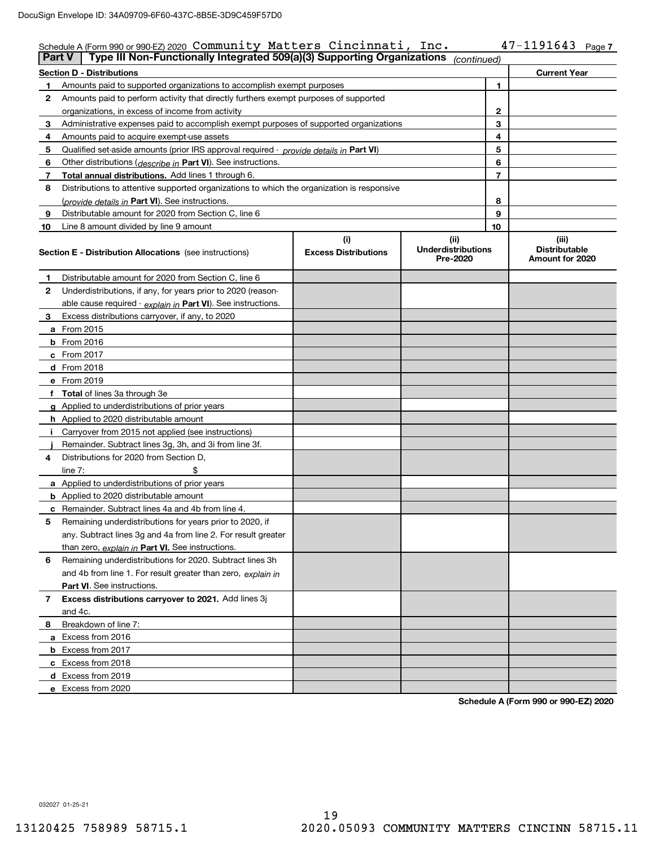| <b>Part V</b> | Schedule A (Form 990 or 990-EZ) 2020 Community Matters Cincinnati, Inc.<br>Type III Non-Functionally Integrated 509(a)(3) Supporting Organizations |                                    |                                               |                | $47 - 1191643$ Page 7                            |
|---------------|----------------------------------------------------------------------------------------------------------------------------------------------------|------------------------------------|-----------------------------------------------|----------------|--------------------------------------------------|
|               |                                                                                                                                                    |                                    | (continued)                                   |                |                                                  |
|               | <b>Section D - Distributions</b>                                                                                                                   |                                    |                                               |                | <b>Current Year</b>                              |
| 1             | Amounts paid to supported organizations to accomplish exempt purposes                                                                              |                                    |                                               | 1              |                                                  |
| 2             | Amounts paid to perform activity that directly furthers exempt purposes of supported                                                               |                                    |                                               |                |                                                  |
|               | organizations, in excess of income from activity                                                                                                   |                                    |                                               | 2              |                                                  |
| 3             | Administrative expenses paid to accomplish exempt purposes of supported organizations                                                              |                                    |                                               | 3              |                                                  |
| 4             | Amounts paid to acquire exempt-use assets                                                                                                          |                                    |                                               | 4              |                                                  |
| 5             | Qualified set aside amounts (prior IRS approval required - provide details in Part VI)                                                             |                                    |                                               | 5              |                                                  |
| 6             | Other distributions ( <i>describe in</i> Part VI). See instructions.                                                                               |                                    |                                               | 6              |                                                  |
| 7             | <b>Total annual distributions.</b> Add lines 1 through 6.                                                                                          |                                    |                                               | $\overline{7}$ |                                                  |
| 8             | Distributions to attentive supported organizations to which the organization is responsive                                                         |                                    |                                               |                |                                                  |
|               | (provide details in Part VI). See instructions.                                                                                                    |                                    |                                               | 8              |                                                  |
| 9             | Distributable amount for 2020 from Section C, line 6                                                                                               |                                    |                                               | 9              |                                                  |
| 10            | Line 8 amount divided by line 9 amount                                                                                                             |                                    |                                               | 10             |                                                  |
|               | <b>Section E - Distribution Allocations</b> (see instructions)                                                                                     | (i)<br><b>Excess Distributions</b> | (ii)<br><b>Underdistributions</b><br>Pre-2020 |                | (iii)<br><b>Distributable</b><br>Amount for 2020 |
| 1             | Distributable amount for 2020 from Section C, line 6                                                                                               |                                    |                                               |                |                                                  |
| 2             | Underdistributions, if any, for years prior to 2020 (reason-                                                                                       |                                    |                                               |                |                                                  |
|               | able cause required - explain in Part VI). See instructions.                                                                                       |                                    |                                               |                |                                                  |
| 3             | Excess distributions carryover, if any, to 2020                                                                                                    |                                    |                                               |                |                                                  |
|               | <b>a</b> From 2015                                                                                                                                 |                                    |                                               |                |                                                  |
|               | $b$ From 2016                                                                                                                                      |                                    |                                               |                |                                                  |
|               | $c$ From 2017                                                                                                                                      |                                    |                                               |                |                                                  |
|               | <b>d</b> From 2018                                                                                                                                 |                                    |                                               |                |                                                  |
|               | e From 2019                                                                                                                                        |                                    |                                               |                |                                                  |
|               | f Total of lines 3a through 3e                                                                                                                     |                                    |                                               |                |                                                  |
|               | g Applied to underdistributions of prior years                                                                                                     |                                    |                                               |                |                                                  |
|               | <b>h</b> Applied to 2020 distributable amount                                                                                                      |                                    |                                               |                |                                                  |
|               | i Carryover from 2015 not applied (see instructions)                                                                                               |                                    |                                               |                |                                                  |
|               | Remainder. Subtract lines 3g, 3h, and 3i from line 3f.                                                                                             |                                    |                                               |                |                                                  |
| 4             | Distributions for 2020 from Section D,                                                                                                             |                                    |                                               |                |                                                  |
|               | \$<br>line $7:$                                                                                                                                    |                                    |                                               |                |                                                  |
|               | <b>a</b> Applied to underdistributions of prior years                                                                                              |                                    |                                               |                |                                                  |
|               | <b>b</b> Applied to 2020 distributable amount                                                                                                      |                                    |                                               |                |                                                  |
|               | <b>c</b> Remainder. Subtract lines 4a and 4b from line 4.                                                                                          |                                    |                                               |                |                                                  |
| 5             | Remaining underdistributions for years prior to 2020, if                                                                                           |                                    |                                               |                |                                                  |
|               | any. Subtract lines 3q and 4a from line 2. For result greater                                                                                      |                                    |                                               |                |                                                  |
|               | than zero, explain in Part VI. See instructions.                                                                                                   |                                    |                                               |                |                                                  |
| 6             | Remaining underdistributions for 2020. Subtract lines 3h                                                                                           |                                    |                                               |                |                                                  |
|               | and 4b from line 1. For result greater than zero, explain in                                                                                       |                                    |                                               |                |                                                  |
|               | <b>Part VI.</b> See instructions.                                                                                                                  |                                    |                                               |                |                                                  |
| 7             | Excess distributions carryover to 2021. Add lines 3j                                                                                               |                                    |                                               |                |                                                  |
|               | and 4c.                                                                                                                                            |                                    |                                               |                |                                                  |
| 8             | Breakdown of line 7:                                                                                                                               |                                    |                                               |                |                                                  |
|               | a Excess from 2016                                                                                                                                 |                                    |                                               |                |                                                  |
|               | <b>b</b> Excess from 2017                                                                                                                          |                                    |                                               |                |                                                  |
|               | c Excess from 2018                                                                                                                                 |                                    |                                               |                |                                                  |
|               | d Excess from 2019                                                                                                                                 |                                    |                                               |                |                                                  |
|               | e Excess from 2020                                                                                                                                 |                                    |                                               |                |                                                  |

**Schedule A (Form 990 or 990-EZ) 2020**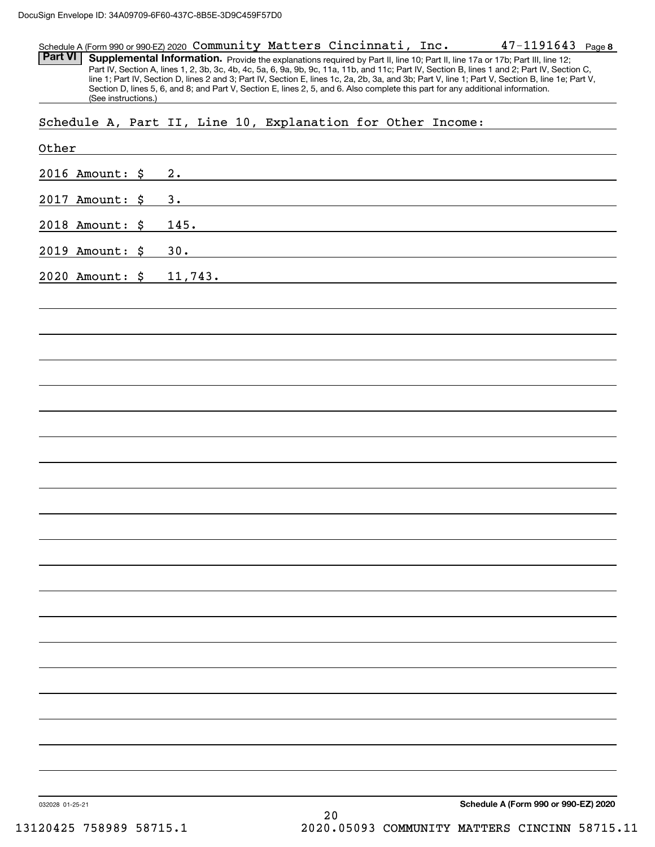#### **8**47-1191643 Schedule A (Form 990 or 990-EZ) 2020 Page Community Matters Cincinnati, Inc.

Part VI | Supplemental Information. Provide the explanations required by Part II, line 10; Part II, line 17a or 17b; Part III, line 12; Part IV, Section A, lines 1, 2, 3b, 3c, 4b, 4c, 5a, 6, 9a, 9b, 9c, 11a, 11b, and 11c; Part IV, Section B, lines 1 and 2; Part IV, Section C, line 1; Part IV, Section D, lines 2 and 3; Part IV, Section E, lines 1c, 2a, 2b, 3a, and 3b; Part V, line 1; Part V, Section B, line 1e; Part V, Section D, lines 5, 6, and 8; and Part V, Section E, lines 2, 5, and 6. Also complete this part for any additional information. (See instructions.)

Schedule A, Part II, Line 10, Explanation for Other Income:

| Other           |         |  |        |                                      |
|-----------------|---------|--|--------|--------------------------------------|
| 2016 Amount: \$ | 2.      |  |        |                                      |
| 2017 Amount: \$ | 3.      |  |        |                                      |
| 2018 Amount: \$ | 145.    |  |        |                                      |
| 2019 Amount: \$ | 30.     |  |        |                                      |
| 2020 Amount: \$ | 11,743. |  |        |                                      |
|                 |         |  |        |                                      |
|                 |         |  |        |                                      |
|                 |         |  |        |                                      |
|                 |         |  |        |                                      |
|                 |         |  |        |                                      |
|                 |         |  |        |                                      |
|                 |         |  |        |                                      |
|                 |         |  |        |                                      |
|                 |         |  |        |                                      |
|                 |         |  |        |                                      |
|                 |         |  |        |                                      |
|                 |         |  |        |                                      |
|                 |         |  |        |                                      |
|                 |         |  |        |                                      |
|                 |         |  |        |                                      |
|                 |         |  |        |                                      |
|                 |         |  |        |                                      |
|                 |         |  |        |                                      |
|                 |         |  |        |                                      |
|                 |         |  |        |                                      |
| 032028 01-25-21 |         |  | $2\,0$ | Schedule A (Form 990 or 990-EZ) 2020 |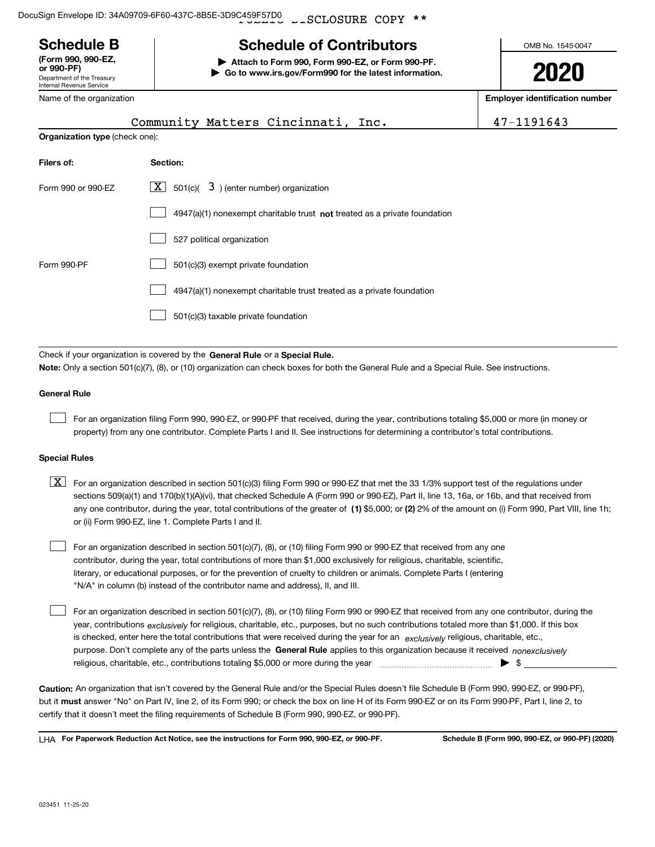${\tt \_SCLOSURE}$  COPY DocuSign Envelope ID: 34A09709-6F60-437C-8B5E-3D9C459F57D0

# **Schedule B**

Department of the Treasury Internal Revenue Service **(Form 990, 990-EZ, or 990-PF)**

### Name of the organization

**| Attach to Form 990, Form 990-EZ, or Form 990-PF. | Go to www.irs.gov/Form990 for the latest information.** OMB No. 1545-0047

# **2020**

**Employer identification number**

|                    | Community Matters Cincinnati, Inc.                                          | 47-1191643 |  |  |  |  |  |  |
|--------------------|-----------------------------------------------------------------------------|------------|--|--|--|--|--|--|
|                    | <b>Organization type (check one):</b>                                       |            |  |  |  |  |  |  |
| Filers of:         | Section:                                                                    |            |  |  |  |  |  |  |
| Form 990 or 990-EZ | $\lfloor \underline{X} \rfloor$ 501(c)( 3) (enter number) organization      |            |  |  |  |  |  |  |
|                    | $4947(a)(1)$ nonexempt charitable trust not treated as a private foundation |            |  |  |  |  |  |  |
|                    | 527 political organization                                                  |            |  |  |  |  |  |  |
| Form 990-PF        | 501(c)(3) exempt private foundation                                         |            |  |  |  |  |  |  |
|                    | 4947(a)(1) nonexempt charitable trust treated as a private foundation       |            |  |  |  |  |  |  |
|                    | 501(c)(3) taxable private foundation                                        |            |  |  |  |  |  |  |
|                    |                                                                             |            |  |  |  |  |  |  |

Check if your organization is covered by the **General Rule** or a **Special Rule. Note:**  Only a section 501(c)(7), (8), or (10) organization can check boxes for both the General Rule and a Special Rule. See instructions.

### **General Rule**

 $\mathcal{L}^{\text{max}}$ 

For an organization filing Form 990, 990-EZ, or 990-PF that received, during the year, contributions totaling \$5,000 or more (in money or property) from any one contributor. Complete Parts I and II. See instructions for determining a contributor's total contributions.

### **Special Rules**

any one contributor, during the year, total contributions of the greater of  $\,$  (1) \$5,000; or **(2)** 2% of the amount on (i) Form 990, Part VIII, line 1h;  $\boxed{\textbf{X}}$  For an organization described in section 501(c)(3) filing Form 990 or 990-EZ that met the 33 1/3% support test of the regulations under sections 509(a)(1) and 170(b)(1)(A)(vi), that checked Schedule A (Form 990 or 990-EZ), Part II, line 13, 16a, or 16b, and that received from or (ii) Form 990-EZ, line 1. Complete Parts I and II.

For an organization described in section 501(c)(7), (8), or (10) filing Form 990 or 990-EZ that received from any one contributor, during the year, total contributions of more than \$1,000 exclusively for religious, charitable, scientific, literary, or educational purposes, or for the prevention of cruelty to children or animals. Complete Parts I (entering "N/A" in column (b) instead of the contributor name and address), II, and III.  $\mathcal{L}^{\text{max}}$ 

purpose. Don't complete any of the parts unless the **General Rule** applies to this organization because it received *nonexclusively* year, contributions <sub>exclusively</sub> for religious, charitable, etc., purposes, but no such contributions totaled more than \$1,000. If this box is checked, enter here the total contributions that were received during the year for an  $\;$ exclusively religious, charitable, etc., For an organization described in section 501(c)(7), (8), or (10) filing Form 990 or 990-EZ that received from any one contributor, during the religious, charitable, etc., contributions totaling \$5,000 or more during the year  $\Box$ — $\Box$   $\Box$  $\mathcal{L}^{\text{max}}$ 

**Caution:**  An organization that isn't covered by the General Rule and/or the Special Rules doesn't file Schedule B (Form 990, 990-EZ, or 990-PF),  **must** but it answer "No" on Part IV, line 2, of its Form 990; or check the box on line H of its Form 990-EZ or on its Form 990-PF, Part I, line 2, to certify that it doesn't meet the filing requirements of Schedule B (Form 990, 990-EZ, or 990-PF).

**For Paperwork Reduction Act Notice, see the instructions for Form 990, 990-EZ, or 990-PF. Schedule B (Form 990, 990-EZ, or 990-PF) (2020)** LHA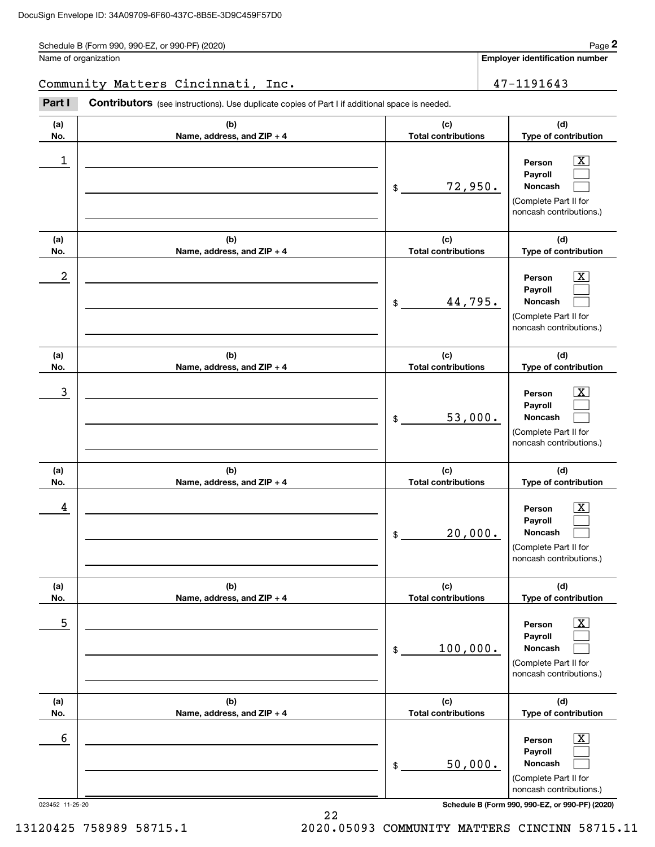Schedule B (Form 990, 990-EZ, or 990-PF) (2020) Page 2

Name of organization

**Employer identification number**

Community Matters Cincinnati, Inc. 47-1191643

(see instructions). Use duplicate copies of Part I if additional space is needed. Employer identification Page 2<br>
lame of organization<br> **2Part I 2Part I Contributors** (see instructions). Use duplicate copies of Part I if additional space is needed.

| ו טונו                      | <b>COTTLIBUTOIS</b> (See instructions). Ose duplicate copies of Part I ii additional space is needed. |                                             |                                                                                                                                                                                   |
|-----------------------------|-------------------------------------------------------------------------------------------------------|---------------------------------------------|-----------------------------------------------------------------------------------------------------------------------------------------------------------------------------------|
| (a)<br>No.                  | (b)<br>Name, address, and ZIP + 4                                                                     | (c)<br><b>Total contributions</b>           | (d)<br>Type of contribution                                                                                                                                                       |
| 1                           |                                                                                                       | 72,950.<br>\$                               | $\overline{\text{X}}$<br>Person<br>Payroll<br>Noncash<br>(Complete Part II for<br>noncash contributions.)                                                                         |
| (a)<br>No.                  | (b)<br>Name, address, and ZIP + 4                                                                     | (c)<br><b>Total contributions</b>           | (d)<br>Type of contribution                                                                                                                                                       |
| 2                           |                                                                                                       | 44,795.<br>\$                               | $\overline{\text{X}}$<br>Person<br>Payroll<br>Noncash<br>(Complete Part II for<br>noncash contributions.)                                                                         |
| (a)<br>No.                  | (b)<br>Name, address, and ZIP + 4                                                                     | (c)<br><b>Total contributions</b>           | (d)<br>Type of contribution                                                                                                                                                       |
| 3                           |                                                                                                       | 53,000.<br>\$                               | $\overline{\mathbf{X}}$<br>Person<br>Payroll<br>Noncash<br>(Complete Part II for<br>noncash contributions.)                                                                       |
| (a)<br>No.                  | (b)<br>Name, address, and ZIP + 4                                                                     | (c)<br><b>Total contributions</b>           | (d)<br>Type of contribution                                                                                                                                                       |
| 4                           |                                                                                                       | 20,000.<br>\$                               | $\overline{\mathbf{X}}$<br>Person<br>Payroll<br>Noncash<br>(Complete Part II for<br>noncash contributions.)                                                                       |
| (a)<br>No.                  | (b)<br>Name, address, and ZIP + 4                                                                     | (c)<br><b>Total contributions</b>           | (d)<br>Type of contribution                                                                                                                                                       |
| 5                           |                                                                                                       | 100,000.<br>\$                              | $\boxed{\text{X}}$<br>Person<br>Payroll<br>Noncash<br>(Complete Part II for<br>noncash contributions.)                                                                            |
| (a)                         | (b)                                                                                                   | (c)                                         | (d)                                                                                                                                                                               |
| No.<br>6<br>023452 11-25-20 | Name, address, and ZIP + 4                                                                            | <b>Total contributions</b><br>50,000.<br>\$ | Type of contribution<br>$\boxed{\text{X}}$<br>Person<br>Payroll<br>Noncash<br>(Complete Part II for<br>noncash contributions.)<br>Schedule B (Form 990, 990-EZ, or 990-PF) (2020) |

13120425 758989 58715.1 2020.05093 COMMUNITY MATTERS CINCINN 58715.11

22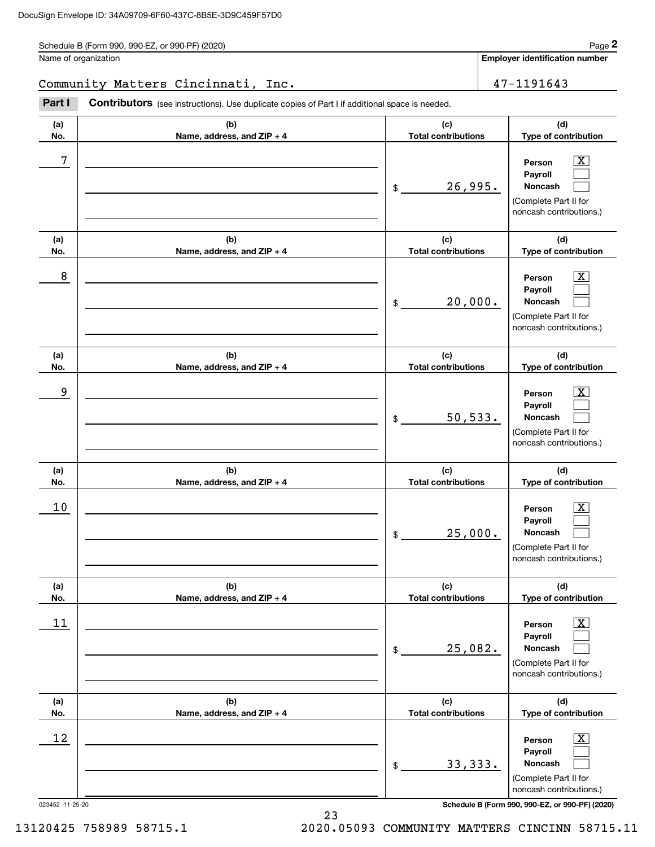Schedule B (Form 990, 990-EZ, or 990-PF) (2020) Page 2

Name of organization

**Employer identification number**

Community Matters Cincinnati, Inc. 47-1191643

Employer identification Page 2<br>
lame of organization<br> **2Part I 2Part I Contributors** (see instructions). Use duplicate copies of Part I if additional space is needed.

| Part I                | Contributors (see instructions). Use duplicate copies of Part I if additional space is needed. |                                   |                                                                                                                                          |
|-----------------------|------------------------------------------------------------------------------------------------|-----------------------------------|------------------------------------------------------------------------------------------------------------------------------------------|
| (a)<br>No.            | (b)<br>Name, address, and ZIP + 4                                                              | (c)<br><b>Total contributions</b> | (d)<br>Type of contribution                                                                                                              |
| 7                     |                                                                                                | 26,995.<br>\$                     | $\overline{\mathbf{X}}$<br>Person<br>Payroll<br>Noncash<br>(Complete Part II for<br>noncash contributions.)                              |
| (a)<br>No.            | (b)<br>Name, address, and ZIP + 4                                                              | (c)<br><b>Total contributions</b> | (d)<br>Type of contribution                                                                                                              |
| 8                     |                                                                                                | 20,000.<br>\$                     | X<br>Person<br>Payroll<br>Noncash<br>(Complete Part II for<br>noncash contributions.)                                                    |
| (a)<br>No.            | (b)<br>Name, address, and ZIP + 4                                                              | (c)<br><b>Total contributions</b> | (d)<br>Type of contribution                                                                                                              |
| 9                     |                                                                                                | 50, 533.<br>\$                    | X.<br>Person<br>Payroll<br>Noncash<br>(Complete Part II for<br>noncash contributions.)                                                   |
| (a)<br>No.            | (b)<br>Name, address, and ZIP + 4                                                              | (c)<br><b>Total contributions</b> | (d)<br>Type of contribution                                                                                                              |
| 10                    |                                                                                                | 25,000.<br>\$                     | X.<br>Person<br>Payroll<br>Noncash<br>(Complete Part II for<br>noncash contributions.)                                                   |
| (a)<br>No.            | (b)<br>Name, address, and ZIP + 4                                                              | (c)<br><b>Total contributions</b> | (d)<br>Type of contribution                                                                                                              |
| 11                    |                                                                                                | 25,082.<br>\$                     | x<br>Person<br>Payroll<br>Noncash<br>(Complete Part II for<br>noncash contributions.)                                                    |
| (a)<br>No.            | (b)<br>Name, address, and ZIP + 4                                                              | (c)<br><b>Total contributions</b> | (d)<br>Type of contribution                                                                                                              |
| 12<br>023452 11-25-20 |                                                                                                | 33,333.<br>\$                     | x<br>Person<br>Payroll<br>Noncash<br>(Complete Part II for<br>noncash contributions.)<br>Schedule B (Form 990, 990-EZ, or 990-PF) (2020) |

23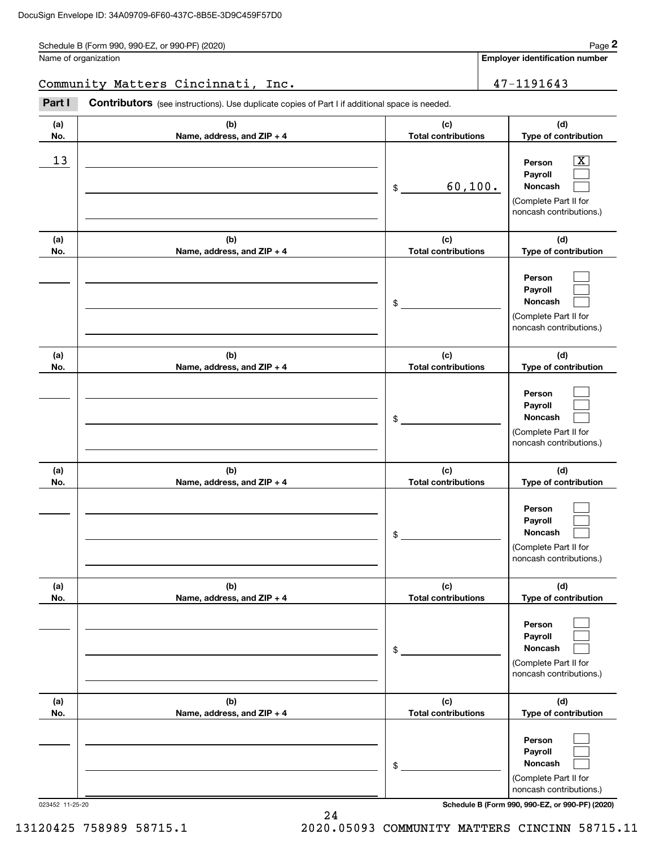Schedule B (Form 990, 990-EZ, or 990-PF) (2020) Page 2

|            | Schedule B (Form 990, 990-EZ, or 990-PF) (2020)                                                       |                                   | Page 2                                                                                                      |
|------------|-------------------------------------------------------------------------------------------------------|-----------------------------------|-------------------------------------------------------------------------------------------------------------|
|            | Name of organization                                                                                  |                                   | <b>Employer identification number</b>                                                                       |
|            | Community Matters Cincinnati, Inc.                                                                    |                                   | 47-1191643                                                                                                  |
| Part I     | <b>Contributors</b> (see instructions). Use duplicate copies of Part I if additional space is needed. |                                   |                                                                                                             |
| (a)<br>No. | (b)<br>Name, address, and ZIP + 4                                                                     | (c)<br><b>Total contributions</b> | (d)<br>Type of contribution                                                                                 |
| 13         |                                                                                                       | 60,100.<br>\$                     | $\overline{\mathbf{X}}$<br>Person<br>Payroll<br>Noncash<br>(Complete Part II for<br>noncash contributions.) |
| (a)<br>No. | (b)<br>Name, address, and ZIP + 4                                                                     | (c)<br><b>Total contributions</b> | (d)<br>Type of contribution                                                                                 |
|            |                                                                                                       | \$                                | Person<br>Payroll<br>Noncash<br>(Complete Part II for<br>noncash contributions.)                            |
| (a)<br>No. | (b)<br>Name, address, and ZIP + 4                                                                     | (c)<br><b>Total contributions</b> | (d)<br>Type of contribution                                                                                 |
|            |                                                                                                       | \$                                | Person<br>Payroll<br>Noncash<br>(Complete Part II for<br>noncash contributions.)                            |
| (a)<br>No. | (b)<br>Name, address, and ZIP + 4                                                                     | (c)<br><b>Total contributions</b> | (d)<br>Type of contribution                                                                                 |
|            |                                                                                                       | \$                                | Person<br>Payroll<br>Noncash<br>(Complete Part II for<br>noncash contributions.)                            |
| (a)<br>No. | (b)<br>Name, address, and ZIP + 4                                                                     | (c)<br><b>Total contributions</b> | (d)<br>Type of contribution                                                                                 |
|            |                                                                                                       | \$                                | Person<br>Payroll<br>Noncash<br>(Complete Part II for<br>noncash contributions.)                            |
| (a)<br>No. | (b)<br>Name, address, and ZIP + 4                                                                     | (c)<br><b>Total contributions</b> | (d)<br>Type of contribution                                                                                 |
|            |                                                                                                       | \$                                | Person<br>Payroll<br>Noncash<br>(Complete Part II for<br>noncash contributions.)                            |

023452 11-25-20 **Schedule B (Form 990, 990-EZ, or 990-PF) (2020)**

24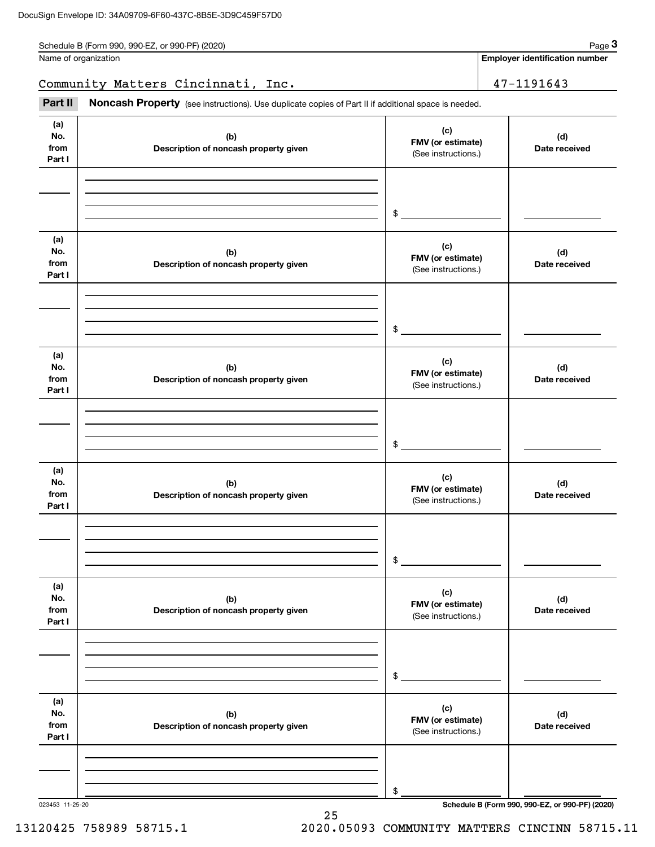| Schedule B (Form 990, 990-EZ, or 990-PF) (2020) | Page |
|-------------------------------------------------|------|
|-------------------------------------------------|------|

|                              | Schedule B (Form 990, 990-EZ, or 990-PF) (2020)                                                     |                                                 | Page 3                                |  |  |
|------------------------------|-----------------------------------------------------------------------------------------------------|-------------------------------------------------|---------------------------------------|--|--|
|                              | Name of organization                                                                                |                                                 | <b>Employer identification number</b> |  |  |
|                              | Community Matters Cincinnati, Inc.                                                                  |                                                 | 47-1191643                            |  |  |
| Part II                      | Noncash Property (see instructions). Use duplicate copies of Part II if additional space is needed. |                                                 |                                       |  |  |
| (a)<br>No.<br>from<br>Part I | (b)<br>Description of noncash property given                                                        | (c)<br>FMV (or estimate)<br>(See instructions.) | (d)<br>Date received                  |  |  |
|                              |                                                                                                     | \$                                              |                                       |  |  |
| (a)<br>No.<br>from<br>Part I | (b)<br>Description of noncash property given                                                        | (c)<br>FMV (or estimate)<br>(See instructions.) | (d)<br>Date received                  |  |  |
|                              |                                                                                                     | \$                                              |                                       |  |  |
| (a)<br>No.<br>from<br>Part I | (b)<br>Description of noncash property given                                                        | (c)<br>FMV (or estimate)<br>(See instructions.) | (d)<br>Date received                  |  |  |
|                              |                                                                                                     | \$                                              |                                       |  |  |
| (a)<br>No.<br>from<br>Part I | (b)<br>Description of noncash property given                                                        | (c)<br>FMV (or estimate)<br>(See instructions.) | (d)<br>Date received                  |  |  |
|                              |                                                                                                     | \$                                              |                                       |  |  |
| (a)<br>No.<br>from<br>Part I | (b)<br>Description of noncash property given                                                        | (c)<br>FMV (or estimate)<br>(See instructions.) | (d)<br>Date received                  |  |  |
|                              |                                                                                                     | \$                                              |                                       |  |  |
| (a)<br>No.<br>from<br>Part I | (b)<br>Description of noncash property given                                                        | (c)<br>FMV (or estimate)<br>(See instructions.) | (d)<br>Date received                  |  |  |
|                              |                                                                                                     | \$                                              |                                       |  |  |

25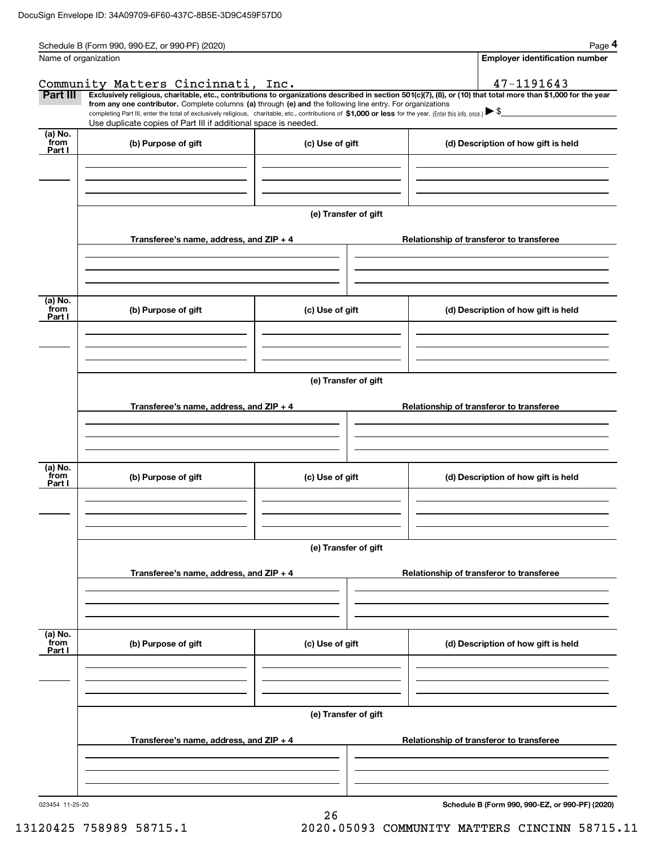|                           | Schedule B (Form 990, 990-EZ, or 990-PF) (2020)                                                                                                                               |                      | Page 4                                                                                                                                                                                                                                                                                                                          |  |  |  |  |
|---------------------------|-------------------------------------------------------------------------------------------------------------------------------------------------------------------------------|----------------------|---------------------------------------------------------------------------------------------------------------------------------------------------------------------------------------------------------------------------------------------------------------------------------------------------------------------------------|--|--|--|--|
| Name of organization      |                                                                                                                                                                               |                      | <b>Employer identification number</b>                                                                                                                                                                                                                                                                                           |  |  |  |  |
|                           | Community Matters Cincinnati, Inc.                                                                                                                                            |                      | 47-1191643                                                                                                                                                                                                                                                                                                                      |  |  |  |  |
| Part III                  | from any one contributor. Complete columns (a) through (e) and the following line entry. For organizations<br>Use duplicate copies of Part III if additional space is needed. |                      | Exclusively religious, charitable, etc., contributions to organizations described in section 501(c)(7), (8), or (10) that total more than \$1,000 for the year<br>completing Part III, enter the total of exclusively religious, charitable, etc., contributions of \$1,000 or less for the year. (Enter this info. once.) ▶ \$ |  |  |  |  |
| (a) No.<br>from<br>Part I | (b) Purpose of gift                                                                                                                                                           | (c) Use of gift      | (d) Description of how gift is held                                                                                                                                                                                                                                                                                             |  |  |  |  |
|                           |                                                                                                                                                                               |                      |                                                                                                                                                                                                                                                                                                                                 |  |  |  |  |
|                           |                                                                                                                                                                               | (e) Transfer of gift |                                                                                                                                                                                                                                                                                                                                 |  |  |  |  |
|                           | Transferee's name, address, and ZIP + 4                                                                                                                                       |                      | Relationship of transferor to transferee                                                                                                                                                                                                                                                                                        |  |  |  |  |
| (a) No.                   |                                                                                                                                                                               |                      |                                                                                                                                                                                                                                                                                                                                 |  |  |  |  |
| from<br>Part I            | (b) Purpose of gift                                                                                                                                                           | (c) Use of gift      | (d) Description of how gift is held                                                                                                                                                                                                                                                                                             |  |  |  |  |
|                           |                                                                                                                                                                               |                      |                                                                                                                                                                                                                                                                                                                                 |  |  |  |  |
|                           | (e) Transfer of gift                                                                                                                                                          |                      |                                                                                                                                                                                                                                                                                                                                 |  |  |  |  |
|                           | Transferee's name, address, and ZIP + 4                                                                                                                                       |                      | Relationship of transferor to transferee                                                                                                                                                                                                                                                                                        |  |  |  |  |
|                           |                                                                                                                                                                               |                      |                                                                                                                                                                                                                                                                                                                                 |  |  |  |  |
| (a) No.<br>from<br>Part I | (b) Purpose of gift                                                                                                                                                           | (c) Use of gift      | (d) Description of how gift is held                                                                                                                                                                                                                                                                                             |  |  |  |  |
|                           |                                                                                                                                                                               |                      |                                                                                                                                                                                                                                                                                                                                 |  |  |  |  |
|                           | (e) Transfer of gift                                                                                                                                                          |                      |                                                                                                                                                                                                                                                                                                                                 |  |  |  |  |
|                           | Transferee's name, address, and ZIP + 4                                                                                                                                       |                      | Relationship of transferor to transferee                                                                                                                                                                                                                                                                                        |  |  |  |  |
| (a) No.                   |                                                                                                                                                                               |                      |                                                                                                                                                                                                                                                                                                                                 |  |  |  |  |
| from<br>Part I            | (b) Purpose of gift                                                                                                                                                           | (c) Use of gift      | (d) Description of how gift is held                                                                                                                                                                                                                                                                                             |  |  |  |  |
|                           |                                                                                                                                                                               |                      |                                                                                                                                                                                                                                                                                                                                 |  |  |  |  |
|                           | (e) Transfer of gift                                                                                                                                                          |                      |                                                                                                                                                                                                                                                                                                                                 |  |  |  |  |
|                           | Transferee's name, address, and ZIP + 4                                                                                                                                       |                      | Relationship of transferor to transferee                                                                                                                                                                                                                                                                                        |  |  |  |  |
|                           |                                                                                                                                                                               |                      |                                                                                                                                                                                                                                                                                                                                 |  |  |  |  |
| 023454 11-25-20           |                                                                                                                                                                               |                      | Schedule B (Form 990, 990-EZ, or 990-PF) (2020)                                                                                                                                                                                                                                                                                 |  |  |  |  |

26

**Schedule B (Form 990, 990-EZ, or 990-PF) (2020)**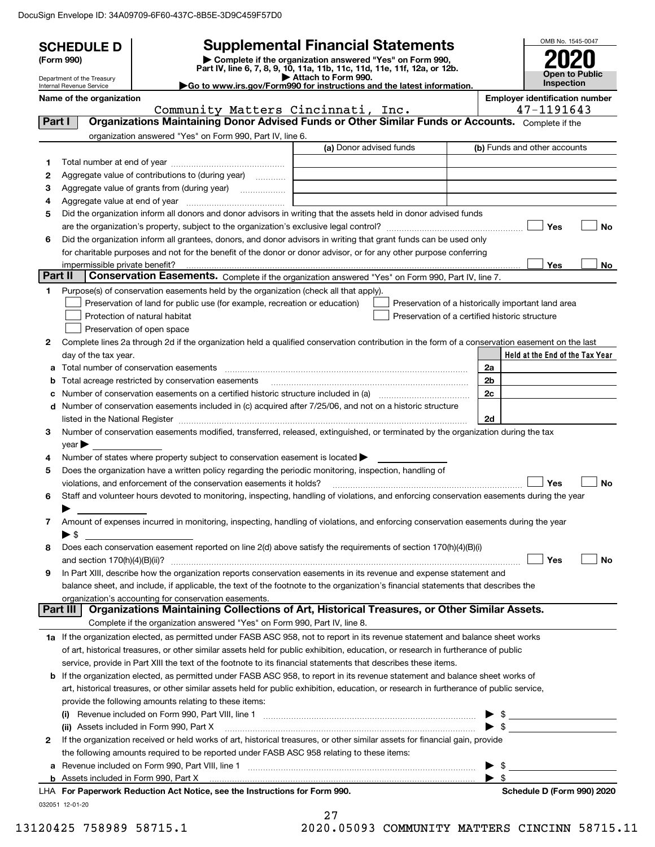DocuSign Envelope ID: 34A09709-6F60-437C-8B5E-3D9C459F57D0

|         | <b>SCHEDULE D</b>                                      |                                                                                                        | <b>Supplemental Financial Statements</b>                                                                                                                                                                                      |    | OMB No. 1545-0047                                  |  |  |  |  |
|---------|--------------------------------------------------------|--------------------------------------------------------------------------------------------------------|-------------------------------------------------------------------------------------------------------------------------------------------------------------------------------------------------------------------------------|----|----------------------------------------------------|--|--|--|--|
|         | (Form 990)                                             |                                                                                                        | Complete if the organization answered "Yes" on Form 990,                                                                                                                                                                      |    |                                                    |  |  |  |  |
|         |                                                        |                                                                                                        | Part IV, line 6, 7, 8, 9, 10, 11a, 11b, 11c, 11d, 11e, 11f, 12a, or 12b.<br>Attach to Form 990.                                                                                                                               |    | Open to Public                                     |  |  |  |  |
|         | Department of the Treasury<br>Internal Revenue Service |                                                                                                        | Go to www.irs.gov/Form990 for instructions and the latest information.                                                                                                                                                        |    | Inspection                                         |  |  |  |  |
|         | Name of the organization                               |                                                                                                        |                                                                                                                                                                                                                               |    | <b>Employer identification number</b>              |  |  |  |  |
|         |                                                        | Community Matters Cincinnati, Inc.                                                                     |                                                                                                                                                                                                                               |    | 47-1191643                                         |  |  |  |  |
| Part I  |                                                        |                                                                                                        | Organizations Maintaining Donor Advised Funds or Other Similar Funds or Accounts. Complete if the                                                                                                                             |    |                                                    |  |  |  |  |
|         |                                                        | organization answered "Yes" on Form 990, Part IV, line 6.                                              | (a) Donor advised funds                                                                                                                                                                                                       |    | (b) Funds and other accounts                       |  |  |  |  |
|         |                                                        |                                                                                                        |                                                                                                                                                                                                                               |    |                                                    |  |  |  |  |
| 1<br>2  |                                                        |                                                                                                        |                                                                                                                                                                                                                               |    |                                                    |  |  |  |  |
| З       | Aggregate value of contributions to (during year)      |                                                                                                        |                                                                                                                                                                                                                               |    |                                                    |  |  |  |  |
| 4       |                                                        |                                                                                                        |                                                                                                                                                                                                                               |    |                                                    |  |  |  |  |
| 5       |                                                        |                                                                                                        | Did the organization inform all donors and donor advisors in writing that the assets held in donor advised funds                                                                                                              |    |                                                    |  |  |  |  |
|         |                                                        |                                                                                                        |                                                                                                                                                                                                                               |    | Yes<br>No                                          |  |  |  |  |
| 6       |                                                        |                                                                                                        | Did the organization inform all grantees, donors, and donor advisors in writing that grant funds can be used only                                                                                                             |    |                                                    |  |  |  |  |
|         |                                                        |                                                                                                        | for charitable purposes and not for the benefit of the donor or donor advisor, or for any other purpose conferring                                                                                                            |    |                                                    |  |  |  |  |
|         |                                                        |                                                                                                        |                                                                                                                                                                                                                               |    | Yes<br>No                                          |  |  |  |  |
| Part II |                                                        |                                                                                                        | Conservation Easements. Complete if the organization answered "Yes" on Form 990, Part IV, line 7.                                                                                                                             |    |                                                    |  |  |  |  |
| 1       |                                                        | Purpose(s) of conservation easements held by the organization (check all that apply).                  |                                                                                                                                                                                                                               |    |                                                    |  |  |  |  |
|         |                                                        | Preservation of land for public use (for example, recreation or education)                             |                                                                                                                                                                                                                               |    | Preservation of a historically important land area |  |  |  |  |
|         |                                                        | Protection of natural habitat                                                                          |                                                                                                                                                                                                                               |    | Preservation of a certified historic structure     |  |  |  |  |
|         |                                                        | Preservation of open space                                                                             |                                                                                                                                                                                                                               |    |                                                    |  |  |  |  |
| 2       |                                                        |                                                                                                        | Complete lines 2a through 2d if the organization held a qualified conservation contribution in the form of a conservation easement on the last                                                                                |    |                                                    |  |  |  |  |
|         | day of the tax year.                                   |                                                                                                        |                                                                                                                                                                                                                               |    | Held at the End of the Tax Year                    |  |  |  |  |
|         |                                                        | Total number of conservation easements                                                                 |                                                                                                                                                                                                                               | 2a |                                                    |  |  |  |  |
| b       |                                                        |                                                                                                        |                                                                                                                                                                                                                               | 2b |                                                    |  |  |  |  |
| с       |                                                        |                                                                                                        | Number of conservation easements on a certified historic structure included in (a) manufacture included in (a)                                                                                                                | 2c |                                                    |  |  |  |  |
|         |                                                        |                                                                                                        | d Number of conservation easements included in (c) acquired after 7/25/06, and not on a historic structure                                                                                                                    |    |                                                    |  |  |  |  |
|         |                                                        |                                                                                                        | listed in the National Register [111] [12] non-matter in the National Register [11] non-matter in the National Register [11] [12] non-matter in the National Register [11] [12] non-matter in the National Register [11] [12] | 2d |                                                    |  |  |  |  |
| З       |                                                        |                                                                                                        | Number of conservation easements modified, transferred, released, extinguished, or terminated by the organization during the tax                                                                                              |    |                                                    |  |  |  |  |
|         | $year \blacktriangleright$                             |                                                                                                        |                                                                                                                                                                                                                               |    |                                                    |  |  |  |  |
| 4       |                                                        | Number of states where property subject to conservation easement is located $\blacktriangleright$      |                                                                                                                                                                                                                               |    |                                                    |  |  |  |  |
| 5       |                                                        | Does the organization have a written policy regarding the periodic monitoring, inspection, handling of |                                                                                                                                                                                                                               |    |                                                    |  |  |  |  |
|         |                                                        | violations, and enforcement of the conservation easements it holds?                                    |                                                                                                                                                                                                                               |    | <b>No</b><br>Yes                                   |  |  |  |  |
| 6       |                                                        |                                                                                                        | Staff and volunteer hours devoted to monitoring, inspecting, handling of violations, and enforcing conservation easements during the year                                                                                     |    |                                                    |  |  |  |  |
|         | ▶                                                      |                                                                                                        |                                                                                                                                                                                                                               |    |                                                    |  |  |  |  |
| 7       |                                                        |                                                                                                        | Amount of expenses incurred in monitoring, inspecting, handling of violations, and enforcing conservation easements during the year                                                                                           |    |                                                    |  |  |  |  |
|         | $\blacktriangleright$ \$                               |                                                                                                        |                                                                                                                                                                                                                               |    |                                                    |  |  |  |  |
| 8       |                                                        |                                                                                                        | Does each conservation easement reported on line 2(d) above satisfy the requirements of section 170(h)(4)(B)(i)                                                                                                               |    | Yes<br>No                                          |  |  |  |  |
| 9       |                                                        |                                                                                                        | In Part XIII, describe how the organization reports conservation easements in its revenue and expense statement and                                                                                                           |    |                                                    |  |  |  |  |
|         |                                                        |                                                                                                        | balance sheet, and include, if applicable, the text of the footnote to the organization's financial statements that describes the                                                                                             |    |                                                    |  |  |  |  |
|         |                                                        | organization's accounting for conservation easements.                                                  |                                                                                                                                                                                                                               |    |                                                    |  |  |  |  |
|         | Part III                                               |                                                                                                        | Organizations Maintaining Collections of Art, Historical Treasures, or Other Similar Assets.                                                                                                                                  |    |                                                    |  |  |  |  |
|         |                                                        | Complete if the organization answered "Yes" on Form 990, Part IV, line 8.                              |                                                                                                                                                                                                                               |    |                                                    |  |  |  |  |
|         |                                                        |                                                                                                        | 1a If the organization elected, as permitted under FASB ASC 958, not to report in its revenue statement and balance sheet works                                                                                               |    |                                                    |  |  |  |  |
|         |                                                        |                                                                                                        | of art, historical treasures, or other similar assets held for public exhibition, education, or research in furtherance of public                                                                                             |    |                                                    |  |  |  |  |
|         |                                                        |                                                                                                        | service, provide in Part XIII the text of the footnote to its financial statements that describes these items.                                                                                                                |    |                                                    |  |  |  |  |
|         |                                                        |                                                                                                        | <b>b</b> If the organization elected, as permitted under FASB ASC 958, to report in its revenue statement and balance sheet works of                                                                                          |    |                                                    |  |  |  |  |
|         |                                                        |                                                                                                        | art, historical treasures, or other similar assets held for public exhibition, education, or research in furtherance of public service,                                                                                       |    |                                                    |  |  |  |  |
|         |                                                        | provide the following amounts relating to these items:                                                 |                                                                                                                                                                                                                               |    |                                                    |  |  |  |  |
|         |                                                        |                                                                                                        |                                                                                                                                                                                                                               |    |                                                    |  |  |  |  |
|         |                                                        | (ii) Assets included in Form 990, Part X                                                               |                                                                                                                                                                                                                               |    |                                                    |  |  |  |  |
| 2       |                                                        |                                                                                                        | If the organization received or held works of art, historical treasures, or other similar assets for financial gain, provide                                                                                                  |    |                                                    |  |  |  |  |
|         |                                                        | the following amounts required to be reported under FASB ASC 958 relating to these items:              |                                                                                                                                                                                                                               |    |                                                    |  |  |  |  |
|         |                                                        |                                                                                                        |                                                                                                                                                                                                                               |    | \$                                                 |  |  |  |  |
|         |                                                        |                                                                                                        |                                                                                                                                                                                                                               |    | - \$                                               |  |  |  |  |
|         |                                                        | LHA For Paperwork Reduction Act Notice, see the Instructions for Form 990.                             |                                                                                                                                                                                                                               |    | Schedule D (Form 990) 2020                         |  |  |  |  |
|         | 032051 12-01-20                                        |                                                                                                        |                                                                                                                                                                                                                               |    |                                                    |  |  |  |  |
|         |                                                        |                                                                                                        | 27                                                                                                                                                                                                                            |    |                                                    |  |  |  |  |

 <sup>13120425 758989 58715.1 2020.05093</sup> COMMUNITY MATTERS CINCINN 58715.11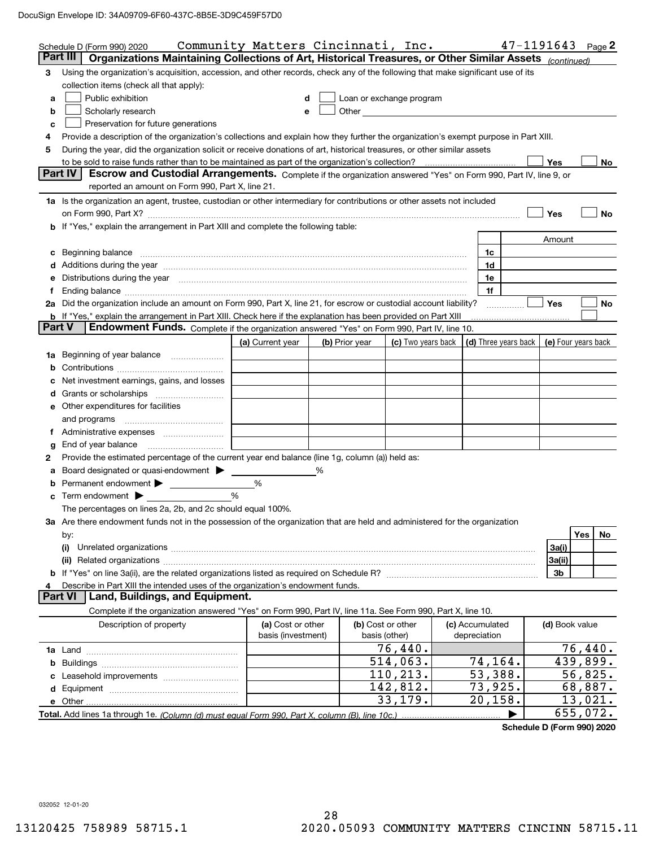| Part III<br>Organizations Maintaining Collections of Art, Historical Treasures, or Other Similar Assets (continued)<br>Using the organization's acquisition, accession, and other records, check any of the following that make significant use of its<br>3<br>collection items (check all that apply):<br>Public exhibition<br>Loan or exchange program<br>d<br>a<br>Other and the contract of the contract of the contract of the contract of the contract of the contract of the contract of the contract of the contract of the contract of the contract of the contract of the contract of the<br>Scholarly research<br>b<br>e<br>Preservation for future generations<br>c<br>Provide a description of the organization's collections and explain how they further the organization's exempt purpose in Part XIII.<br>4<br>During the year, did the organization solicit or receive donations of art, historical treasures, or other similar assets<br>5<br><b>Yes</b><br>No<br>Part IV<br>Escrow and Custodial Arrangements. Complete if the organization answered "Yes" on Form 990, Part IV, line 9, or<br>reported an amount on Form 990, Part X, line 21.<br>1a Is the organization an agent, trustee, custodian or other intermediary for contributions or other assets not included<br>Yes<br>No<br><b>b</b> If "Yes," explain the arrangement in Part XIII and complete the following table:<br>Amount<br>1c<br>c Beginning balance measurements and the contract of the contract of the contract of the contract of the contract of the contract of the contract of the contract of the contract of the contract of the contract of the contr<br>d Additions during the year measurements are all an according to the year measurement of the year measurement<br>1d<br>Distributions during the year measurement contains and all the year measurement of the state of the state of the state of the state of the state of the state of the state of the state of the state of the state of the state<br>1e<br>е<br>1f<br>f.<br>2a Did the organization include an amount on Form 990, Part X, line 21, for escrow or custodial account liability?<br>Yes<br>No<br><b>b</b> If "Yes," explain the arrangement in Part XIII. Check here if the explanation has been provided on Part XIII<br><b>Part V</b><br>Endowment Funds. Complete if the organization answered "Yes" on Form 990, Part IV, line 10.<br>(c) Two years back   (d) Three years back   (e) Four years back<br>(a) Current year<br>(b) Prior year<br>1a Beginning of year balance<br>c Net investment earnings, gains, and losses<br><b>e</b> Other expenditures for facilities<br>and programs<br>End of year balance<br>g<br>Provide the estimated percentage of the current year end balance (line 1g, column (a)) held as:<br>2<br>Board designated or quasi-endowment > ______<br>%<br>a<br>%<br>$\%$<br>$\mathbf c$ Term endowment $\blacktriangleright$<br>The percentages on lines 2a, 2b, and 2c should equal 100%.<br>3a Are there endowment funds not in the possession of the organization that are held and administered for the organization<br>Yes<br>No<br>by:<br>3a(i)<br>3a(ii)<br>3b<br>Describe in Part XIII the intended uses of the organization's endowment funds.<br>4<br>Land, Buildings, and Equipment.<br><b>Part VI</b><br>Complete if the organization answered "Yes" on Form 990, Part IV, line 11a. See Form 990, Part X, line 10.<br>(b) Cost or other<br>(d) Book value<br>Description of property<br>(a) Cost or other<br>(c) Accumulated<br>basis (investment)<br>depreciation<br>basis (other)<br>76,440.<br>76,440.<br>$\overline{514}$ , 063.<br>74,164.<br>439,899.<br>110, 213.<br>53,388.<br>56,825.<br>73,925.<br>142,812.<br>68,887.<br>33,179.<br>20, 158.<br>13,021.<br>655,072.<br>▶ | Schedule D (Form 990) 2020 | Community Matters Cincinnati, Inc. |  |  |  | 47-1191643 | Page 2 |
|-------------------------------------------------------------------------------------------------------------------------------------------------------------------------------------------------------------------------------------------------------------------------------------------------------------------------------------------------------------------------------------------------------------------------------------------------------------------------------------------------------------------------------------------------------------------------------------------------------------------------------------------------------------------------------------------------------------------------------------------------------------------------------------------------------------------------------------------------------------------------------------------------------------------------------------------------------------------------------------------------------------------------------------------------------------------------------------------------------------------------------------------------------------------------------------------------------------------------------------------------------------------------------------------------------------------------------------------------------------------------------------------------------------------------------------------------------------------------------------------------------------------------------------------------------------------------------------------------------------------------------------------------------------------------------------------------------------------------------------------------------------------------------------------------------------------------------------------------------------------------------------------------------------------------------------------------------------------------------------------------------------------------------------------------------------------------------------------------------------------------------------------------------------------------------------------------------------------------------------------------------------------------------------------------------------------------------------------------------------------------------------------------------------------------------------------------------------------------------------------------------------------------------------------------------------------------------------------------------------------------------------------------------------------------------------------------------------------------------------------------------------------------------------------------------------------------------------------------------------------------------------------------------------------------------------------------------------------------------------------------------------------------------------------------------------------------------------------------------------------------------------------------------------------------------------------------------------------------------------------------------------------------------------------------------------------------------------------------------------------------------------------------------------------------------------------------------------------------------------------------------------------------------------------------------------------------------------------------------------------------------------------------------------------------------------------------------------------------------------------------------------------------------------------------------------------|----------------------------|------------------------------------|--|--|--|------------|--------|
|                                                                                                                                                                                                                                                                                                                                                                                                                                                                                                                                                                                                                                                                                                                                                                                                                                                                                                                                                                                                                                                                                                                                                                                                                                                                                                                                                                                                                                                                                                                                                                                                                                                                                                                                                                                                                                                                                                                                                                                                                                                                                                                                                                                                                                                                                                                                                                                                                                                                                                                                                                                                                                                                                                                                                                                                                                                                                                                                                                                                                                                                                                                                                                                                                                                                                                                                                                                                                                                                                                                                                                                                                                                                                                                                                                                                                   |                            |                                    |  |  |  |            |        |
|                                                                                                                                                                                                                                                                                                                                                                                                                                                                                                                                                                                                                                                                                                                                                                                                                                                                                                                                                                                                                                                                                                                                                                                                                                                                                                                                                                                                                                                                                                                                                                                                                                                                                                                                                                                                                                                                                                                                                                                                                                                                                                                                                                                                                                                                                                                                                                                                                                                                                                                                                                                                                                                                                                                                                                                                                                                                                                                                                                                                                                                                                                                                                                                                                                                                                                                                                                                                                                                                                                                                                                                                                                                                                                                                                                                                                   |                            |                                    |  |  |  |            |        |
|                                                                                                                                                                                                                                                                                                                                                                                                                                                                                                                                                                                                                                                                                                                                                                                                                                                                                                                                                                                                                                                                                                                                                                                                                                                                                                                                                                                                                                                                                                                                                                                                                                                                                                                                                                                                                                                                                                                                                                                                                                                                                                                                                                                                                                                                                                                                                                                                                                                                                                                                                                                                                                                                                                                                                                                                                                                                                                                                                                                                                                                                                                                                                                                                                                                                                                                                                                                                                                                                                                                                                                                                                                                                                                                                                                                                                   |                            |                                    |  |  |  |            |        |
|                                                                                                                                                                                                                                                                                                                                                                                                                                                                                                                                                                                                                                                                                                                                                                                                                                                                                                                                                                                                                                                                                                                                                                                                                                                                                                                                                                                                                                                                                                                                                                                                                                                                                                                                                                                                                                                                                                                                                                                                                                                                                                                                                                                                                                                                                                                                                                                                                                                                                                                                                                                                                                                                                                                                                                                                                                                                                                                                                                                                                                                                                                                                                                                                                                                                                                                                                                                                                                                                                                                                                                                                                                                                                                                                                                                                                   |                            |                                    |  |  |  |            |        |
|                                                                                                                                                                                                                                                                                                                                                                                                                                                                                                                                                                                                                                                                                                                                                                                                                                                                                                                                                                                                                                                                                                                                                                                                                                                                                                                                                                                                                                                                                                                                                                                                                                                                                                                                                                                                                                                                                                                                                                                                                                                                                                                                                                                                                                                                                                                                                                                                                                                                                                                                                                                                                                                                                                                                                                                                                                                                                                                                                                                                                                                                                                                                                                                                                                                                                                                                                                                                                                                                                                                                                                                                                                                                                                                                                                                                                   |                            |                                    |  |  |  |            |        |
|                                                                                                                                                                                                                                                                                                                                                                                                                                                                                                                                                                                                                                                                                                                                                                                                                                                                                                                                                                                                                                                                                                                                                                                                                                                                                                                                                                                                                                                                                                                                                                                                                                                                                                                                                                                                                                                                                                                                                                                                                                                                                                                                                                                                                                                                                                                                                                                                                                                                                                                                                                                                                                                                                                                                                                                                                                                                                                                                                                                                                                                                                                                                                                                                                                                                                                                                                                                                                                                                                                                                                                                                                                                                                                                                                                                                                   |                            |                                    |  |  |  |            |        |
|                                                                                                                                                                                                                                                                                                                                                                                                                                                                                                                                                                                                                                                                                                                                                                                                                                                                                                                                                                                                                                                                                                                                                                                                                                                                                                                                                                                                                                                                                                                                                                                                                                                                                                                                                                                                                                                                                                                                                                                                                                                                                                                                                                                                                                                                                                                                                                                                                                                                                                                                                                                                                                                                                                                                                                                                                                                                                                                                                                                                                                                                                                                                                                                                                                                                                                                                                                                                                                                                                                                                                                                                                                                                                                                                                                                                                   |                            |                                    |  |  |  |            |        |
|                                                                                                                                                                                                                                                                                                                                                                                                                                                                                                                                                                                                                                                                                                                                                                                                                                                                                                                                                                                                                                                                                                                                                                                                                                                                                                                                                                                                                                                                                                                                                                                                                                                                                                                                                                                                                                                                                                                                                                                                                                                                                                                                                                                                                                                                                                                                                                                                                                                                                                                                                                                                                                                                                                                                                                                                                                                                                                                                                                                                                                                                                                                                                                                                                                                                                                                                                                                                                                                                                                                                                                                                                                                                                                                                                                                                                   |                            |                                    |  |  |  |            |        |
|                                                                                                                                                                                                                                                                                                                                                                                                                                                                                                                                                                                                                                                                                                                                                                                                                                                                                                                                                                                                                                                                                                                                                                                                                                                                                                                                                                                                                                                                                                                                                                                                                                                                                                                                                                                                                                                                                                                                                                                                                                                                                                                                                                                                                                                                                                                                                                                                                                                                                                                                                                                                                                                                                                                                                                                                                                                                                                                                                                                                                                                                                                                                                                                                                                                                                                                                                                                                                                                                                                                                                                                                                                                                                                                                                                                                                   |                            |                                    |  |  |  |            |        |
|                                                                                                                                                                                                                                                                                                                                                                                                                                                                                                                                                                                                                                                                                                                                                                                                                                                                                                                                                                                                                                                                                                                                                                                                                                                                                                                                                                                                                                                                                                                                                                                                                                                                                                                                                                                                                                                                                                                                                                                                                                                                                                                                                                                                                                                                                                                                                                                                                                                                                                                                                                                                                                                                                                                                                                                                                                                                                                                                                                                                                                                                                                                                                                                                                                                                                                                                                                                                                                                                                                                                                                                                                                                                                                                                                                                                                   |                            |                                    |  |  |  |            |        |
|                                                                                                                                                                                                                                                                                                                                                                                                                                                                                                                                                                                                                                                                                                                                                                                                                                                                                                                                                                                                                                                                                                                                                                                                                                                                                                                                                                                                                                                                                                                                                                                                                                                                                                                                                                                                                                                                                                                                                                                                                                                                                                                                                                                                                                                                                                                                                                                                                                                                                                                                                                                                                                                                                                                                                                                                                                                                                                                                                                                                                                                                                                                                                                                                                                                                                                                                                                                                                                                                                                                                                                                                                                                                                                                                                                                                                   |                            |                                    |  |  |  |            |        |
|                                                                                                                                                                                                                                                                                                                                                                                                                                                                                                                                                                                                                                                                                                                                                                                                                                                                                                                                                                                                                                                                                                                                                                                                                                                                                                                                                                                                                                                                                                                                                                                                                                                                                                                                                                                                                                                                                                                                                                                                                                                                                                                                                                                                                                                                                                                                                                                                                                                                                                                                                                                                                                                                                                                                                                                                                                                                                                                                                                                                                                                                                                                                                                                                                                                                                                                                                                                                                                                                                                                                                                                                                                                                                                                                                                                                                   |                            |                                    |  |  |  |            |        |
|                                                                                                                                                                                                                                                                                                                                                                                                                                                                                                                                                                                                                                                                                                                                                                                                                                                                                                                                                                                                                                                                                                                                                                                                                                                                                                                                                                                                                                                                                                                                                                                                                                                                                                                                                                                                                                                                                                                                                                                                                                                                                                                                                                                                                                                                                                                                                                                                                                                                                                                                                                                                                                                                                                                                                                                                                                                                                                                                                                                                                                                                                                                                                                                                                                                                                                                                                                                                                                                                                                                                                                                                                                                                                                                                                                                                                   |                            |                                    |  |  |  |            |        |
|                                                                                                                                                                                                                                                                                                                                                                                                                                                                                                                                                                                                                                                                                                                                                                                                                                                                                                                                                                                                                                                                                                                                                                                                                                                                                                                                                                                                                                                                                                                                                                                                                                                                                                                                                                                                                                                                                                                                                                                                                                                                                                                                                                                                                                                                                                                                                                                                                                                                                                                                                                                                                                                                                                                                                                                                                                                                                                                                                                                                                                                                                                                                                                                                                                                                                                                                                                                                                                                                                                                                                                                                                                                                                                                                                                                                                   |                            |                                    |  |  |  |            |        |
|                                                                                                                                                                                                                                                                                                                                                                                                                                                                                                                                                                                                                                                                                                                                                                                                                                                                                                                                                                                                                                                                                                                                                                                                                                                                                                                                                                                                                                                                                                                                                                                                                                                                                                                                                                                                                                                                                                                                                                                                                                                                                                                                                                                                                                                                                                                                                                                                                                                                                                                                                                                                                                                                                                                                                                                                                                                                                                                                                                                                                                                                                                                                                                                                                                                                                                                                                                                                                                                                                                                                                                                                                                                                                                                                                                                                                   |                            |                                    |  |  |  |            |        |
|                                                                                                                                                                                                                                                                                                                                                                                                                                                                                                                                                                                                                                                                                                                                                                                                                                                                                                                                                                                                                                                                                                                                                                                                                                                                                                                                                                                                                                                                                                                                                                                                                                                                                                                                                                                                                                                                                                                                                                                                                                                                                                                                                                                                                                                                                                                                                                                                                                                                                                                                                                                                                                                                                                                                                                                                                                                                                                                                                                                                                                                                                                                                                                                                                                                                                                                                                                                                                                                                                                                                                                                                                                                                                                                                                                                                                   |                            |                                    |  |  |  |            |        |
|                                                                                                                                                                                                                                                                                                                                                                                                                                                                                                                                                                                                                                                                                                                                                                                                                                                                                                                                                                                                                                                                                                                                                                                                                                                                                                                                                                                                                                                                                                                                                                                                                                                                                                                                                                                                                                                                                                                                                                                                                                                                                                                                                                                                                                                                                                                                                                                                                                                                                                                                                                                                                                                                                                                                                                                                                                                                                                                                                                                                                                                                                                                                                                                                                                                                                                                                                                                                                                                                                                                                                                                                                                                                                                                                                                                                                   |                            |                                    |  |  |  |            |        |
|                                                                                                                                                                                                                                                                                                                                                                                                                                                                                                                                                                                                                                                                                                                                                                                                                                                                                                                                                                                                                                                                                                                                                                                                                                                                                                                                                                                                                                                                                                                                                                                                                                                                                                                                                                                                                                                                                                                                                                                                                                                                                                                                                                                                                                                                                                                                                                                                                                                                                                                                                                                                                                                                                                                                                                                                                                                                                                                                                                                                                                                                                                                                                                                                                                                                                                                                                                                                                                                                                                                                                                                                                                                                                                                                                                                                                   |                            |                                    |  |  |  |            |        |
|                                                                                                                                                                                                                                                                                                                                                                                                                                                                                                                                                                                                                                                                                                                                                                                                                                                                                                                                                                                                                                                                                                                                                                                                                                                                                                                                                                                                                                                                                                                                                                                                                                                                                                                                                                                                                                                                                                                                                                                                                                                                                                                                                                                                                                                                                                                                                                                                                                                                                                                                                                                                                                                                                                                                                                                                                                                                                                                                                                                                                                                                                                                                                                                                                                                                                                                                                                                                                                                                                                                                                                                                                                                                                                                                                                                                                   |                            |                                    |  |  |  |            |        |
|                                                                                                                                                                                                                                                                                                                                                                                                                                                                                                                                                                                                                                                                                                                                                                                                                                                                                                                                                                                                                                                                                                                                                                                                                                                                                                                                                                                                                                                                                                                                                                                                                                                                                                                                                                                                                                                                                                                                                                                                                                                                                                                                                                                                                                                                                                                                                                                                                                                                                                                                                                                                                                                                                                                                                                                                                                                                                                                                                                                                                                                                                                                                                                                                                                                                                                                                                                                                                                                                                                                                                                                                                                                                                                                                                                                                                   |                            |                                    |  |  |  |            |        |
|                                                                                                                                                                                                                                                                                                                                                                                                                                                                                                                                                                                                                                                                                                                                                                                                                                                                                                                                                                                                                                                                                                                                                                                                                                                                                                                                                                                                                                                                                                                                                                                                                                                                                                                                                                                                                                                                                                                                                                                                                                                                                                                                                                                                                                                                                                                                                                                                                                                                                                                                                                                                                                                                                                                                                                                                                                                                                                                                                                                                                                                                                                                                                                                                                                                                                                                                                                                                                                                                                                                                                                                                                                                                                                                                                                                                                   |                            |                                    |  |  |  |            |        |
|                                                                                                                                                                                                                                                                                                                                                                                                                                                                                                                                                                                                                                                                                                                                                                                                                                                                                                                                                                                                                                                                                                                                                                                                                                                                                                                                                                                                                                                                                                                                                                                                                                                                                                                                                                                                                                                                                                                                                                                                                                                                                                                                                                                                                                                                                                                                                                                                                                                                                                                                                                                                                                                                                                                                                                                                                                                                                                                                                                                                                                                                                                                                                                                                                                                                                                                                                                                                                                                                                                                                                                                                                                                                                                                                                                                                                   |                            |                                    |  |  |  |            |        |
|                                                                                                                                                                                                                                                                                                                                                                                                                                                                                                                                                                                                                                                                                                                                                                                                                                                                                                                                                                                                                                                                                                                                                                                                                                                                                                                                                                                                                                                                                                                                                                                                                                                                                                                                                                                                                                                                                                                                                                                                                                                                                                                                                                                                                                                                                                                                                                                                                                                                                                                                                                                                                                                                                                                                                                                                                                                                                                                                                                                                                                                                                                                                                                                                                                                                                                                                                                                                                                                                                                                                                                                                                                                                                                                                                                                                                   |                            |                                    |  |  |  |            |        |
|                                                                                                                                                                                                                                                                                                                                                                                                                                                                                                                                                                                                                                                                                                                                                                                                                                                                                                                                                                                                                                                                                                                                                                                                                                                                                                                                                                                                                                                                                                                                                                                                                                                                                                                                                                                                                                                                                                                                                                                                                                                                                                                                                                                                                                                                                                                                                                                                                                                                                                                                                                                                                                                                                                                                                                                                                                                                                                                                                                                                                                                                                                                                                                                                                                                                                                                                                                                                                                                                                                                                                                                                                                                                                                                                                                                                                   |                            |                                    |  |  |  |            |        |
|                                                                                                                                                                                                                                                                                                                                                                                                                                                                                                                                                                                                                                                                                                                                                                                                                                                                                                                                                                                                                                                                                                                                                                                                                                                                                                                                                                                                                                                                                                                                                                                                                                                                                                                                                                                                                                                                                                                                                                                                                                                                                                                                                                                                                                                                                                                                                                                                                                                                                                                                                                                                                                                                                                                                                                                                                                                                                                                                                                                                                                                                                                                                                                                                                                                                                                                                                                                                                                                                                                                                                                                                                                                                                                                                                                                                                   |                            |                                    |  |  |  |            |        |
|                                                                                                                                                                                                                                                                                                                                                                                                                                                                                                                                                                                                                                                                                                                                                                                                                                                                                                                                                                                                                                                                                                                                                                                                                                                                                                                                                                                                                                                                                                                                                                                                                                                                                                                                                                                                                                                                                                                                                                                                                                                                                                                                                                                                                                                                                                                                                                                                                                                                                                                                                                                                                                                                                                                                                                                                                                                                                                                                                                                                                                                                                                                                                                                                                                                                                                                                                                                                                                                                                                                                                                                                                                                                                                                                                                                                                   |                            |                                    |  |  |  |            |        |
|                                                                                                                                                                                                                                                                                                                                                                                                                                                                                                                                                                                                                                                                                                                                                                                                                                                                                                                                                                                                                                                                                                                                                                                                                                                                                                                                                                                                                                                                                                                                                                                                                                                                                                                                                                                                                                                                                                                                                                                                                                                                                                                                                                                                                                                                                                                                                                                                                                                                                                                                                                                                                                                                                                                                                                                                                                                                                                                                                                                                                                                                                                                                                                                                                                                                                                                                                                                                                                                                                                                                                                                                                                                                                                                                                                                                                   |                            |                                    |  |  |  |            |        |
|                                                                                                                                                                                                                                                                                                                                                                                                                                                                                                                                                                                                                                                                                                                                                                                                                                                                                                                                                                                                                                                                                                                                                                                                                                                                                                                                                                                                                                                                                                                                                                                                                                                                                                                                                                                                                                                                                                                                                                                                                                                                                                                                                                                                                                                                                                                                                                                                                                                                                                                                                                                                                                                                                                                                                                                                                                                                                                                                                                                                                                                                                                                                                                                                                                                                                                                                                                                                                                                                                                                                                                                                                                                                                                                                                                                                                   |                            |                                    |  |  |  |            |        |
|                                                                                                                                                                                                                                                                                                                                                                                                                                                                                                                                                                                                                                                                                                                                                                                                                                                                                                                                                                                                                                                                                                                                                                                                                                                                                                                                                                                                                                                                                                                                                                                                                                                                                                                                                                                                                                                                                                                                                                                                                                                                                                                                                                                                                                                                                                                                                                                                                                                                                                                                                                                                                                                                                                                                                                                                                                                                                                                                                                                                                                                                                                                                                                                                                                                                                                                                                                                                                                                                                                                                                                                                                                                                                                                                                                                                                   |                            |                                    |  |  |  |            |        |
|                                                                                                                                                                                                                                                                                                                                                                                                                                                                                                                                                                                                                                                                                                                                                                                                                                                                                                                                                                                                                                                                                                                                                                                                                                                                                                                                                                                                                                                                                                                                                                                                                                                                                                                                                                                                                                                                                                                                                                                                                                                                                                                                                                                                                                                                                                                                                                                                                                                                                                                                                                                                                                                                                                                                                                                                                                                                                                                                                                                                                                                                                                                                                                                                                                                                                                                                                                                                                                                                                                                                                                                                                                                                                                                                                                                                                   |                            |                                    |  |  |  |            |        |
|                                                                                                                                                                                                                                                                                                                                                                                                                                                                                                                                                                                                                                                                                                                                                                                                                                                                                                                                                                                                                                                                                                                                                                                                                                                                                                                                                                                                                                                                                                                                                                                                                                                                                                                                                                                                                                                                                                                                                                                                                                                                                                                                                                                                                                                                                                                                                                                                                                                                                                                                                                                                                                                                                                                                                                                                                                                                                                                                                                                                                                                                                                                                                                                                                                                                                                                                                                                                                                                                                                                                                                                                                                                                                                                                                                                                                   |                            |                                    |  |  |  |            |        |
|                                                                                                                                                                                                                                                                                                                                                                                                                                                                                                                                                                                                                                                                                                                                                                                                                                                                                                                                                                                                                                                                                                                                                                                                                                                                                                                                                                                                                                                                                                                                                                                                                                                                                                                                                                                                                                                                                                                                                                                                                                                                                                                                                                                                                                                                                                                                                                                                                                                                                                                                                                                                                                                                                                                                                                                                                                                                                                                                                                                                                                                                                                                                                                                                                                                                                                                                                                                                                                                                                                                                                                                                                                                                                                                                                                                                                   |                            |                                    |  |  |  |            |        |
|                                                                                                                                                                                                                                                                                                                                                                                                                                                                                                                                                                                                                                                                                                                                                                                                                                                                                                                                                                                                                                                                                                                                                                                                                                                                                                                                                                                                                                                                                                                                                                                                                                                                                                                                                                                                                                                                                                                                                                                                                                                                                                                                                                                                                                                                                                                                                                                                                                                                                                                                                                                                                                                                                                                                                                                                                                                                                                                                                                                                                                                                                                                                                                                                                                                                                                                                                                                                                                                                                                                                                                                                                                                                                                                                                                                                                   |                            |                                    |  |  |  |            |        |
|                                                                                                                                                                                                                                                                                                                                                                                                                                                                                                                                                                                                                                                                                                                                                                                                                                                                                                                                                                                                                                                                                                                                                                                                                                                                                                                                                                                                                                                                                                                                                                                                                                                                                                                                                                                                                                                                                                                                                                                                                                                                                                                                                                                                                                                                                                                                                                                                                                                                                                                                                                                                                                                                                                                                                                                                                                                                                                                                                                                                                                                                                                                                                                                                                                                                                                                                                                                                                                                                                                                                                                                                                                                                                                                                                                                                                   |                            |                                    |  |  |  |            |        |
|                                                                                                                                                                                                                                                                                                                                                                                                                                                                                                                                                                                                                                                                                                                                                                                                                                                                                                                                                                                                                                                                                                                                                                                                                                                                                                                                                                                                                                                                                                                                                                                                                                                                                                                                                                                                                                                                                                                                                                                                                                                                                                                                                                                                                                                                                                                                                                                                                                                                                                                                                                                                                                                                                                                                                                                                                                                                                                                                                                                                                                                                                                                                                                                                                                                                                                                                                                                                                                                                                                                                                                                                                                                                                                                                                                                                                   |                            |                                    |  |  |  |            |        |
|                                                                                                                                                                                                                                                                                                                                                                                                                                                                                                                                                                                                                                                                                                                                                                                                                                                                                                                                                                                                                                                                                                                                                                                                                                                                                                                                                                                                                                                                                                                                                                                                                                                                                                                                                                                                                                                                                                                                                                                                                                                                                                                                                                                                                                                                                                                                                                                                                                                                                                                                                                                                                                                                                                                                                                                                                                                                                                                                                                                                                                                                                                                                                                                                                                                                                                                                                                                                                                                                                                                                                                                                                                                                                                                                                                                                                   |                            |                                    |  |  |  |            |        |
|                                                                                                                                                                                                                                                                                                                                                                                                                                                                                                                                                                                                                                                                                                                                                                                                                                                                                                                                                                                                                                                                                                                                                                                                                                                                                                                                                                                                                                                                                                                                                                                                                                                                                                                                                                                                                                                                                                                                                                                                                                                                                                                                                                                                                                                                                                                                                                                                                                                                                                                                                                                                                                                                                                                                                                                                                                                                                                                                                                                                                                                                                                                                                                                                                                                                                                                                                                                                                                                                                                                                                                                                                                                                                                                                                                                                                   |                            |                                    |  |  |  |            |        |
|                                                                                                                                                                                                                                                                                                                                                                                                                                                                                                                                                                                                                                                                                                                                                                                                                                                                                                                                                                                                                                                                                                                                                                                                                                                                                                                                                                                                                                                                                                                                                                                                                                                                                                                                                                                                                                                                                                                                                                                                                                                                                                                                                                                                                                                                                                                                                                                                                                                                                                                                                                                                                                                                                                                                                                                                                                                                                                                                                                                                                                                                                                                                                                                                                                                                                                                                                                                                                                                                                                                                                                                                                                                                                                                                                                                                                   |                            |                                    |  |  |  |            |        |
|                                                                                                                                                                                                                                                                                                                                                                                                                                                                                                                                                                                                                                                                                                                                                                                                                                                                                                                                                                                                                                                                                                                                                                                                                                                                                                                                                                                                                                                                                                                                                                                                                                                                                                                                                                                                                                                                                                                                                                                                                                                                                                                                                                                                                                                                                                                                                                                                                                                                                                                                                                                                                                                                                                                                                                                                                                                                                                                                                                                                                                                                                                                                                                                                                                                                                                                                                                                                                                                                                                                                                                                                                                                                                                                                                                                                                   |                            |                                    |  |  |  |            |        |
|                                                                                                                                                                                                                                                                                                                                                                                                                                                                                                                                                                                                                                                                                                                                                                                                                                                                                                                                                                                                                                                                                                                                                                                                                                                                                                                                                                                                                                                                                                                                                                                                                                                                                                                                                                                                                                                                                                                                                                                                                                                                                                                                                                                                                                                                                                                                                                                                                                                                                                                                                                                                                                                                                                                                                                                                                                                                                                                                                                                                                                                                                                                                                                                                                                                                                                                                                                                                                                                                                                                                                                                                                                                                                                                                                                                                                   |                            |                                    |  |  |  |            |        |
|                                                                                                                                                                                                                                                                                                                                                                                                                                                                                                                                                                                                                                                                                                                                                                                                                                                                                                                                                                                                                                                                                                                                                                                                                                                                                                                                                                                                                                                                                                                                                                                                                                                                                                                                                                                                                                                                                                                                                                                                                                                                                                                                                                                                                                                                                                                                                                                                                                                                                                                                                                                                                                                                                                                                                                                                                                                                                                                                                                                                                                                                                                                                                                                                                                                                                                                                                                                                                                                                                                                                                                                                                                                                                                                                                                                                                   |                            |                                    |  |  |  |            |        |
|                                                                                                                                                                                                                                                                                                                                                                                                                                                                                                                                                                                                                                                                                                                                                                                                                                                                                                                                                                                                                                                                                                                                                                                                                                                                                                                                                                                                                                                                                                                                                                                                                                                                                                                                                                                                                                                                                                                                                                                                                                                                                                                                                                                                                                                                                                                                                                                                                                                                                                                                                                                                                                                                                                                                                                                                                                                                                                                                                                                                                                                                                                                                                                                                                                                                                                                                                                                                                                                                                                                                                                                                                                                                                                                                                                                                                   |                            |                                    |  |  |  |            |        |
|                                                                                                                                                                                                                                                                                                                                                                                                                                                                                                                                                                                                                                                                                                                                                                                                                                                                                                                                                                                                                                                                                                                                                                                                                                                                                                                                                                                                                                                                                                                                                                                                                                                                                                                                                                                                                                                                                                                                                                                                                                                                                                                                                                                                                                                                                                                                                                                                                                                                                                                                                                                                                                                                                                                                                                                                                                                                                                                                                                                                                                                                                                                                                                                                                                                                                                                                                                                                                                                                                                                                                                                                                                                                                                                                                                                                                   |                            |                                    |  |  |  |            |        |
|                                                                                                                                                                                                                                                                                                                                                                                                                                                                                                                                                                                                                                                                                                                                                                                                                                                                                                                                                                                                                                                                                                                                                                                                                                                                                                                                                                                                                                                                                                                                                                                                                                                                                                                                                                                                                                                                                                                                                                                                                                                                                                                                                                                                                                                                                                                                                                                                                                                                                                                                                                                                                                                                                                                                                                                                                                                                                                                                                                                                                                                                                                                                                                                                                                                                                                                                                                                                                                                                                                                                                                                                                                                                                                                                                                                                                   |                            |                                    |  |  |  |            |        |
|                                                                                                                                                                                                                                                                                                                                                                                                                                                                                                                                                                                                                                                                                                                                                                                                                                                                                                                                                                                                                                                                                                                                                                                                                                                                                                                                                                                                                                                                                                                                                                                                                                                                                                                                                                                                                                                                                                                                                                                                                                                                                                                                                                                                                                                                                                                                                                                                                                                                                                                                                                                                                                                                                                                                                                                                                                                                                                                                                                                                                                                                                                                                                                                                                                                                                                                                                                                                                                                                                                                                                                                                                                                                                                                                                                                                                   |                            |                                    |  |  |  |            |        |
|                                                                                                                                                                                                                                                                                                                                                                                                                                                                                                                                                                                                                                                                                                                                                                                                                                                                                                                                                                                                                                                                                                                                                                                                                                                                                                                                                                                                                                                                                                                                                                                                                                                                                                                                                                                                                                                                                                                                                                                                                                                                                                                                                                                                                                                                                                                                                                                                                                                                                                                                                                                                                                                                                                                                                                                                                                                                                                                                                                                                                                                                                                                                                                                                                                                                                                                                                                                                                                                                                                                                                                                                                                                                                                                                                                                                                   |                            |                                    |  |  |  |            |        |
|                                                                                                                                                                                                                                                                                                                                                                                                                                                                                                                                                                                                                                                                                                                                                                                                                                                                                                                                                                                                                                                                                                                                                                                                                                                                                                                                                                                                                                                                                                                                                                                                                                                                                                                                                                                                                                                                                                                                                                                                                                                                                                                                                                                                                                                                                                                                                                                                                                                                                                                                                                                                                                                                                                                                                                                                                                                                                                                                                                                                                                                                                                                                                                                                                                                                                                                                                                                                                                                                                                                                                                                                                                                                                                                                                                                                                   |                            |                                    |  |  |  |            |        |
|                                                                                                                                                                                                                                                                                                                                                                                                                                                                                                                                                                                                                                                                                                                                                                                                                                                                                                                                                                                                                                                                                                                                                                                                                                                                                                                                                                                                                                                                                                                                                                                                                                                                                                                                                                                                                                                                                                                                                                                                                                                                                                                                                                                                                                                                                                                                                                                                                                                                                                                                                                                                                                                                                                                                                                                                                                                                                                                                                                                                                                                                                                                                                                                                                                                                                                                                                                                                                                                                                                                                                                                                                                                                                                                                                                                                                   |                            |                                    |  |  |  |            |        |
|                                                                                                                                                                                                                                                                                                                                                                                                                                                                                                                                                                                                                                                                                                                                                                                                                                                                                                                                                                                                                                                                                                                                                                                                                                                                                                                                                                                                                                                                                                                                                                                                                                                                                                                                                                                                                                                                                                                                                                                                                                                                                                                                                                                                                                                                                                                                                                                                                                                                                                                                                                                                                                                                                                                                                                                                                                                                                                                                                                                                                                                                                                                                                                                                                                                                                                                                                                                                                                                                                                                                                                                                                                                                                                                                                                                                                   |                            |                                    |  |  |  |            |        |
|                                                                                                                                                                                                                                                                                                                                                                                                                                                                                                                                                                                                                                                                                                                                                                                                                                                                                                                                                                                                                                                                                                                                                                                                                                                                                                                                                                                                                                                                                                                                                                                                                                                                                                                                                                                                                                                                                                                                                                                                                                                                                                                                                                                                                                                                                                                                                                                                                                                                                                                                                                                                                                                                                                                                                                                                                                                                                                                                                                                                                                                                                                                                                                                                                                                                                                                                                                                                                                                                                                                                                                                                                                                                                                                                                                                                                   |                            |                                    |  |  |  |            |        |
|                                                                                                                                                                                                                                                                                                                                                                                                                                                                                                                                                                                                                                                                                                                                                                                                                                                                                                                                                                                                                                                                                                                                                                                                                                                                                                                                                                                                                                                                                                                                                                                                                                                                                                                                                                                                                                                                                                                                                                                                                                                                                                                                                                                                                                                                                                                                                                                                                                                                                                                                                                                                                                                                                                                                                                                                                                                                                                                                                                                                                                                                                                                                                                                                                                                                                                                                                                                                                                                                                                                                                                                                                                                                                                                                                                                                                   |                            |                                    |  |  |  |            |        |

**Schedule D (Form 990) 2020**

032052 12-01-20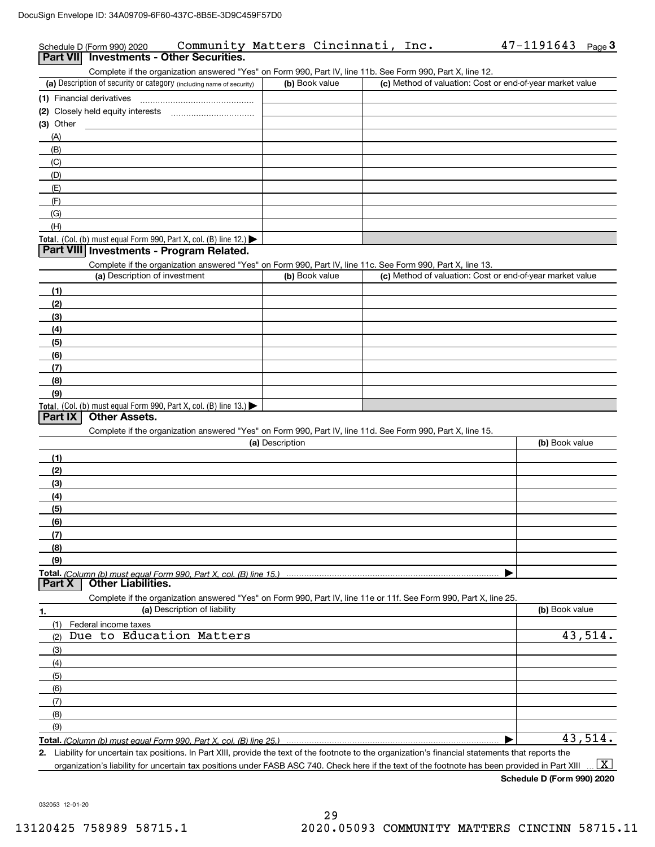| Schedule D (Form 990) 2020<br>Part VII Investments - Other Securities.                                                                      | Community Matters Cincinnati, Inc. |                                                           | $47 - 1191643$ Page 3 |
|---------------------------------------------------------------------------------------------------------------------------------------------|------------------------------------|-----------------------------------------------------------|-----------------------|
| Complete if the organization answered "Yes" on Form 990, Part IV, line 11b. See Form 990, Part X, line 12.                                  |                                    |                                                           |                       |
| (a) Description of security or category (including name of security)                                                                        | (b) Book value                     | (c) Method of valuation: Cost or end-of-year market value |                       |
| (1) Financial derivatives                                                                                                                   |                                    |                                                           |                       |
| Closely held equity interests [111] [11] Closely held equity interests<br>(2)                                                               |                                    |                                                           |                       |
| (3) Other                                                                                                                                   |                                    |                                                           |                       |
| (A)                                                                                                                                         |                                    |                                                           |                       |
| (B)                                                                                                                                         |                                    |                                                           |                       |
| (C)                                                                                                                                         |                                    |                                                           |                       |
| (D)                                                                                                                                         |                                    |                                                           |                       |
| (E)                                                                                                                                         |                                    |                                                           |                       |
| (F)                                                                                                                                         |                                    |                                                           |                       |
| (G)                                                                                                                                         |                                    |                                                           |                       |
| (H)                                                                                                                                         |                                    |                                                           |                       |
| Total. (Col. (b) must equal Form 990, Part X, col. (B) line 12.)                                                                            |                                    |                                                           |                       |
| Part VIII Investments - Program Related.                                                                                                    |                                    |                                                           |                       |
| Complete if the organization answered "Yes" on Form 990, Part IV, line 11c. See Form 990, Part X, line 13.<br>(a) Description of investment |                                    | (c) Method of valuation: Cost or end-of-year market value |                       |
|                                                                                                                                             | (b) Book value                     |                                                           |                       |
| (1)                                                                                                                                         |                                    |                                                           |                       |
| (2)                                                                                                                                         |                                    |                                                           |                       |
| (3)                                                                                                                                         |                                    |                                                           |                       |
| (4)<br>(5)                                                                                                                                  |                                    |                                                           |                       |
| (6)                                                                                                                                         |                                    |                                                           |                       |
| (7)                                                                                                                                         |                                    |                                                           |                       |
| (8)                                                                                                                                         |                                    |                                                           |                       |
| (9)                                                                                                                                         |                                    |                                                           |                       |
| Total. (Col. (b) must equal Form 990, Part X, col. (B) line 13.)                                                                            |                                    |                                                           |                       |
| <b>Other Assets.</b><br>Part IX                                                                                                             |                                    |                                                           |                       |
| Complete if the organization answered "Yes" on Form 990, Part IV, line 11d. See Form 990, Part X, line 15.                                  |                                    |                                                           |                       |
|                                                                                                                                             | (a) Description                    |                                                           | (b) Book value        |
| (1)                                                                                                                                         |                                    |                                                           |                       |
| (2)                                                                                                                                         |                                    |                                                           |                       |
| (3)                                                                                                                                         |                                    |                                                           |                       |
| (4)                                                                                                                                         |                                    |                                                           |                       |
| (5)                                                                                                                                         |                                    |                                                           |                       |
| (6)                                                                                                                                         |                                    |                                                           |                       |
| (7)                                                                                                                                         |                                    |                                                           |                       |
| (8)                                                                                                                                         |                                    |                                                           |                       |
| (9)                                                                                                                                         |                                    |                                                           |                       |
| Total. (Column (b) must equal Form 990. Part X, col. (B) line 15.)<br><b>Other Liabilities.</b><br>Part X                                   |                                    |                                                           |                       |
| Complete if the organization answered "Yes" on Form 990, Part IV, line 11e or 11f. See Form 990, Part X, line 25.                           |                                    |                                                           |                       |
| (a) Description of liability                                                                                                                |                                    |                                                           | (b) Book value        |
| 1.<br>(1)<br>Federal income taxes                                                                                                           |                                    |                                                           |                       |
| Due to Education Matters<br>(2)                                                                                                             |                                    |                                                           | 43,514.               |
| (3)                                                                                                                                         |                                    |                                                           |                       |
| (4)                                                                                                                                         |                                    |                                                           |                       |
| (5)                                                                                                                                         |                                    |                                                           |                       |
| (6)                                                                                                                                         |                                    |                                                           |                       |
| (7)                                                                                                                                         |                                    |                                                           |                       |
| (8)                                                                                                                                         |                                    |                                                           |                       |
| (9)                                                                                                                                         |                                    |                                                           |                       |
|                                                                                                                                             |                                    |                                                           |                       |

**Total.**  *(Column (b) must equal Form 990, Part X, col. (B) line 25.)* |

**2.** Liability for uncertain tax positions. In Part XIII, provide the text of the footnote to the organization's financial statements that reports the organization's liability for uncertain tax positions under FASB ASC 740. Check here if the text of the footnote has been provided in Part XIII  $\boxed{\text{X}}$ 

**Schedule D (Form 990) 2020**

032053 12-01-20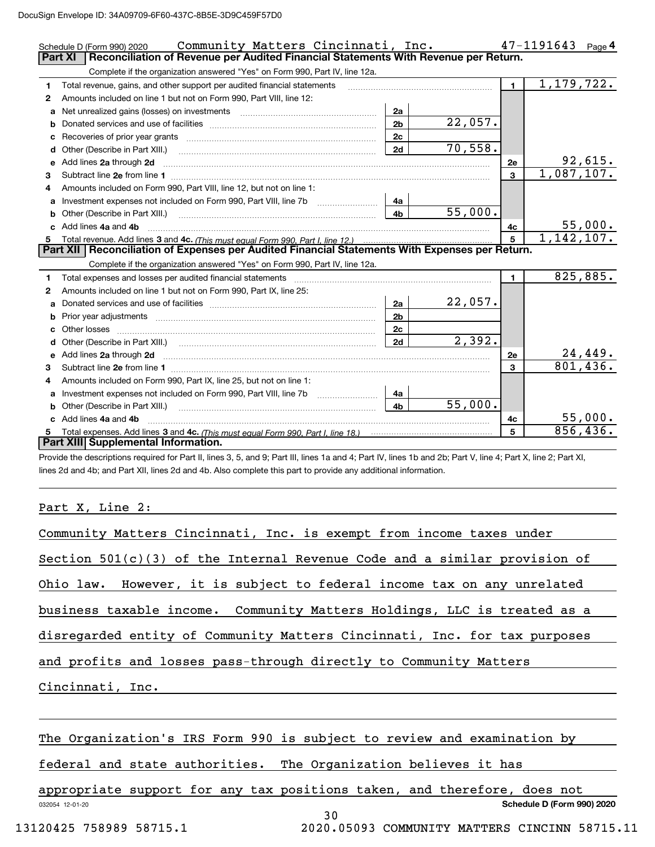|    | Community Matters Cincinnati, Inc.<br>Schedule D (Form 990) 2020                                                                                                                                                                    |                |                        |                | $47 - 1191643$ Page 4 |
|----|-------------------------------------------------------------------------------------------------------------------------------------------------------------------------------------------------------------------------------------|----------------|------------------------|----------------|-----------------------|
|    | <b>Part XI</b><br>Reconciliation of Revenue per Audited Financial Statements With Revenue per Return.                                                                                                                               |                |                        |                |                       |
|    | Complete if the organization answered "Yes" on Form 990, Part IV, line 12a.                                                                                                                                                         |                |                        |                |                       |
| 1  | Total revenue, gains, and other support per audited financial statements                                                                                                                                                            |                |                        | $\blacksquare$ | 1,179,722.            |
| 2  | Amounts included on line 1 but not on Form 990, Part VIII, line 12:                                                                                                                                                                 |                |                        |                |                       |
| a  | Net unrealized gains (losses) on investments [11] matter contracts and the unrealized gains (losses) on investments                                                                                                                 | 2a             |                        |                |                       |
| b  |                                                                                                                                                                                                                                     | 2 <sub>b</sub> | 22,057.                |                |                       |
| с  |                                                                                                                                                                                                                                     | 2c             |                        |                |                       |
| d  | Other (Describe in Part XIII.)                                                                                                                                                                                                      | 2d             | $\overline{70}$ , 558. |                |                       |
| е  | Add lines 2a through 2d                                                                                                                                                                                                             |                |                        | <b>2e</b>      | 92,615.               |
| 3  | Subtract line 2e from line 1 <b>Manual Community of the Community</b> Subtract line 2e from line 1                                                                                                                                  |                |                        | 3              | 1,087,107.            |
| 4  | Amounts included on Form 990, Part VIII, line 12, but not on line 1:                                                                                                                                                                |                |                        |                |                       |
| a  | Investment expenses not included on Form 990, Part VIII, line 7b [11, 111, 111, 111]                                                                                                                                                | 4a             |                        |                |                       |
| b  | Other (Describe in Part XIII.)                                                                                                                                                                                                      | 4 <sub>b</sub> | 55,000.                |                |                       |
|    | Add lines 4a and 4b                                                                                                                                                                                                                 |                |                        | 4c             | 55,000.               |
| 5. |                                                                                                                                                                                                                                     |                |                        | 5              | 1,142,107.            |
|    | Part XII   Reconciliation of Expenses per Audited Financial Statements With Expenses per Return.                                                                                                                                    |                |                        |                |                       |
|    | Complete if the organization answered "Yes" on Form 990, Part IV, line 12a.                                                                                                                                                         |                |                        |                |                       |
| 1  |                                                                                                                                                                                                                                     |                |                        | $\mathbf{1}$   | 825, 885.             |
| 2  | Amounts included on line 1 but not on Form 990, Part IX, line 25:                                                                                                                                                                   |                |                        |                |                       |
| а  |                                                                                                                                                                                                                                     | 2a             | 22,057.                |                |                       |
| b  |                                                                                                                                                                                                                                     | 2 <sub>b</sub> |                        |                |                       |
|    | Other losses                                                                                                                                                                                                                        | 2c             |                        |                |                       |
|    |                                                                                                                                                                                                                                     | 2d             | 2,392.                 |                |                       |
| е  | Add lines 2a through 2d <b>contained a contained a contained a contained a</b> contained a contact the state of the state of the state of the state of the state of the state of the state of the state of the state of the state o |                |                        | <b>2e</b>      | 24,449.               |
| 3  | Subtract line 2e from line 1 <b>Manual Community and Community</b> Subtract line 2e from line 1                                                                                                                                     |                |                        | 3              | 801,436.              |
| 4  | Amounts included on Form 990, Part IX, line 25, but not on line 1:                                                                                                                                                                  |                |                        |                |                       |
| a  | Investment expenses not included on Form 990, Part VIII, line 7b [11, 111, 111, 111]                                                                                                                                                | 4a             |                        |                |                       |
|    |                                                                                                                                                                                                                                     | 4 <sub>b</sub> | 55,000.                |                |                       |
|    | c Add lines 4a and 4b                                                                                                                                                                                                               |                |                        | 4c             | 55,000.               |
| 5. |                                                                                                                                                                                                                                     |                |                        | 5              | 856,436.              |
|    | Part XIII Supplemental Information.                                                                                                                                                                                                 |                |                        |                |                       |

Provide the descriptions required for Part II, lines 3, 5, and 9; Part III, lines 1a and 4; Part IV, lines 1b and 2b; Part V, line 4; Part X, line 2; Part XI, lines 2d and 4b; and Part XII, lines 2d and 4b. Also complete this part to provide any additional information.

## Part X, Line 2:

| Community Matters Cincinnati, Inc. is exempt from income taxes under        |
|-----------------------------------------------------------------------------|
| Section $501(c)(3)$ of the Internal Revenue Code and a similar provision of |
| Ohio law. However, it is subject to federal income tax on any unrelated     |
| business taxable income. Community Matters Holdings, LLC is treated as a    |
| disregarded entity of Community Matters Cincinnati, Inc. for tax purposes   |
| and profits and losses pass-through directly to Community Matters           |
| Cincinnati, Inc.                                                            |
|                                                                             |
| The Organization's IRS Form 990 is subject to review and examination by     |
| federal and state authorities. The Organization believes it has             |
| appropriate support for any tax positions taken, and therefore, does not    |
| Schedule D (Form 990) 2020<br>032054 12-01-20                               |

30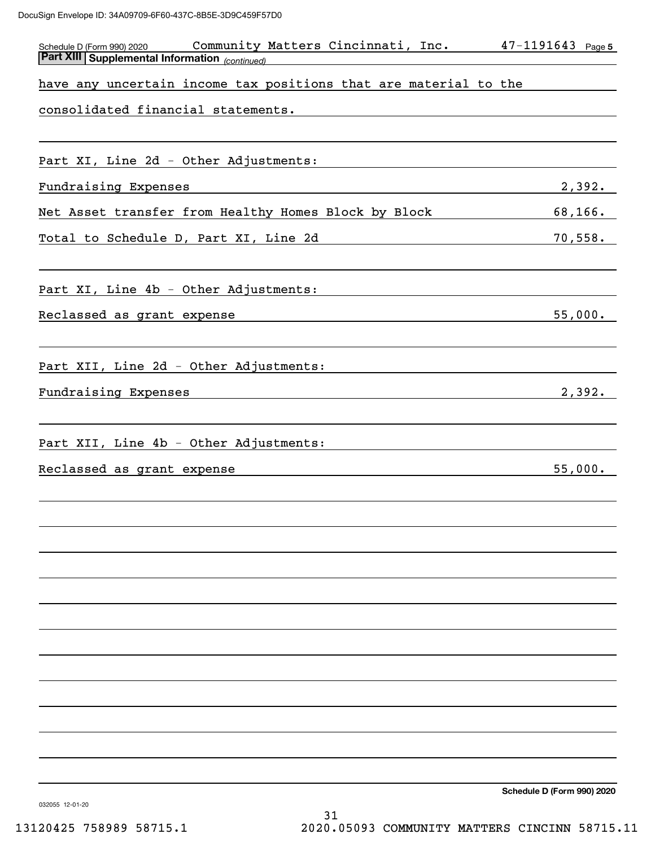| Community Matters Cincinnati, Inc.<br>Schedule D (Form 990) 2020 | $47 - 1191643$ Page 5      |
|------------------------------------------------------------------|----------------------------|
| Part XIII Supplemental Information (continued)                   |                            |
| have any uncertain income tax positions that are material to the |                            |
| consolidated financial statements.                               |                            |
|                                                                  |                            |
|                                                                  |                            |
| Part XI, Line 2d - Other Adjustments:                            |                            |
| Fundraising Expenses                                             | 2,392.                     |
| Net Asset transfer from Healthy Homes Block by Block             | 68,166.                    |
| Total to Schedule D, Part XI, Line 2d                            | 70,558.                    |
|                                                                  |                            |
| Part XI, Line 4b - Other Adjustments:                            |                            |
|                                                                  |                            |
| Reclassed as grant expense                                       | 55,000.                    |
|                                                                  |                            |
| Part XII, Line 2d - Other Adjustments:                           |                            |
| Fundraising Expenses                                             | 2,392.                     |
|                                                                  |                            |
|                                                                  |                            |
| Part XII, Line 4b - Other Adjustments:                           |                            |
| Reclassed as grant expense                                       | 55,000.                    |
|                                                                  |                            |
|                                                                  |                            |
|                                                                  |                            |
|                                                                  |                            |
|                                                                  |                            |
|                                                                  |                            |
|                                                                  |                            |
|                                                                  |                            |
|                                                                  |                            |
|                                                                  |                            |
|                                                                  |                            |
|                                                                  |                            |
|                                                                  |                            |
|                                                                  |                            |
|                                                                  |                            |
|                                                                  |                            |
|                                                                  | Schedule D (Form 990) 2020 |

032055 12-01-20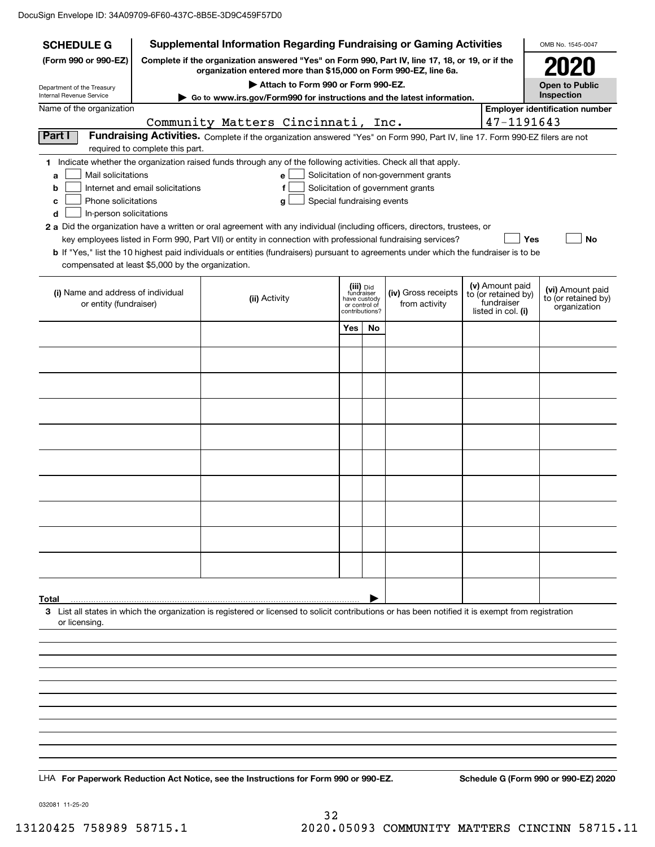| Supplemental Information Regarding Fundraising or Gaming Activities<br><b>SCHEDULE G</b> |                                                                                                                                                                     |                                                                                                                                                    |                                 |    |                                       | OMB No. 1545-0047 |                                   |                                         |
|------------------------------------------------------------------------------------------|---------------------------------------------------------------------------------------------------------------------------------------------------------------------|----------------------------------------------------------------------------------------------------------------------------------------------------|---------------------------------|----|---------------------------------------|-------------------|-----------------------------------|-----------------------------------------|
| (Form 990 or 990-EZ)                                                                     | Complete if the organization answered "Yes" on Form 990, Part IV, line 17, 18, or 19, or if the<br>organization entered more than \$15,000 on Form 990-EZ, line 6a. |                                                                                                                                                    |                                 |    |                                       |                   |                                   |                                         |
| Department of the Treasury<br>Internal Revenue Service                                   |                                                                                                                                                                     | Attach to Form 990 or Form 990-EZ.<br>Go to www.irs.gov/Form990 for instructions and the latest information.                                       |                                 |    |                                       |                   |                                   | <b>Open to Public</b><br>Inspection     |
| Name of the organization                                                                 |                                                                                                                                                                     |                                                                                                                                                    |                                 |    |                                       |                   |                                   | <b>Employer identification number</b>   |
|                                                                                          |                                                                                                                                                                     | Community Matters Cincinnati, Inc.                                                                                                                 |                                 |    |                                       |                   | 47-1191643                        |                                         |
| Part I                                                                                   | required to complete this part.                                                                                                                                     | Fundraising Activities. Complete if the organization answered "Yes" on Form 990, Part IV, line 17. Form 990-EZ filers are not                      |                                 |    |                                       |                   |                                   |                                         |
|                                                                                          |                                                                                                                                                                     | 1 Indicate whether the organization raised funds through any of the following activities. Check all that apply.                                    |                                 |    |                                       |                   |                                   |                                         |
| Mail solicitations<br>a                                                                  |                                                                                                                                                                     | e                                                                                                                                                  |                                 |    | Solicitation of non-government grants |                   |                                   |                                         |
| b                                                                                        | Internet and email solicitations                                                                                                                                    | f                                                                                                                                                  |                                 |    | Solicitation of government grants     |                   |                                   |                                         |
| Phone solicitations<br>c<br>In-person solicitations<br>d                                 |                                                                                                                                                                     | Special fundraising events<br>g                                                                                                                    |                                 |    |                                       |                   |                                   |                                         |
|                                                                                          |                                                                                                                                                                     | 2 a Did the organization have a written or oral agreement with any individual (including officers, directors, trustees, or                         |                                 |    |                                       |                   |                                   |                                         |
|                                                                                          |                                                                                                                                                                     | key employees listed in Form 990, Part VII) or entity in connection with professional fundraising services?                                        |                                 |    |                                       |                   | Yes                               | No                                      |
| compensated at least \$5,000 by the organization.                                        |                                                                                                                                                                     | <b>b</b> If "Yes," list the 10 highest paid individuals or entities (fundraisers) pursuant to agreements under which the fundraiser is to be       |                                 |    |                                       |                   |                                   |                                         |
|                                                                                          |                                                                                                                                                                     |                                                                                                                                                    | (iii) Did                       |    |                                       |                   | (v) Amount paid                   |                                         |
| (i) Name and address of individual                                                       |                                                                                                                                                                     | (ii) Activity                                                                                                                                      | fundraiser<br>have custody      |    | (iv) Gross receipts                   |                   | to (or retained by)<br>fundraiser | (vi) Amount paid<br>to (or retained by) |
| or entity (fundraiser)                                                                   |                                                                                                                                                                     |                                                                                                                                                    | or control of<br>contributions? |    | from activity                         |                   | listed in col. (i)                | organization                            |
|                                                                                          |                                                                                                                                                                     |                                                                                                                                                    | Yes                             | No |                                       |                   |                                   |                                         |
|                                                                                          |                                                                                                                                                                     |                                                                                                                                                    |                                 |    |                                       |                   |                                   |                                         |
|                                                                                          |                                                                                                                                                                     |                                                                                                                                                    |                                 |    |                                       |                   |                                   |                                         |
|                                                                                          |                                                                                                                                                                     |                                                                                                                                                    |                                 |    |                                       |                   |                                   |                                         |
|                                                                                          |                                                                                                                                                                     |                                                                                                                                                    |                                 |    |                                       |                   |                                   |                                         |
|                                                                                          |                                                                                                                                                                     |                                                                                                                                                    |                                 |    |                                       |                   |                                   |                                         |
|                                                                                          |                                                                                                                                                                     |                                                                                                                                                    |                                 |    |                                       |                   |                                   |                                         |
|                                                                                          |                                                                                                                                                                     |                                                                                                                                                    |                                 |    |                                       |                   |                                   |                                         |
|                                                                                          |                                                                                                                                                                     |                                                                                                                                                    |                                 |    |                                       |                   |                                   |                                         |
|                                                                                          |                                                                                                                                                                     |                                                                                                                                                    |                                 |    |                                       |                   |                                   |                                         |
|                                                                                          |                                                                                                                                                                     |                                                                                                                                                    |                                 |    |                                       |                   |                                   |                                         |
|                                                                                          |                                                                                                                                                                     |                                                                                                                                                    |                                 |    |                                       |                   |                                   |                                         |
| Total                                                                                    |                                                                                                                                                                     |                                                                                                                                                    |                                 |    |                                       |                   |                                   |                                         |
|                                                                                          |                                                                                                                                                                     | 3 List all states in which the organization is registered or licensed to solicit contributions or has been notified it is exempt from registration |                                 |    |                                       |                   |                                   |                                         |
| or licensing.                                                                            |                                                                                                                                                                     |                                                                                                                                                    |                                 |    |                                       |                   |                                   |                                         |
|                                                                                          |                                                                                                                                                                     |                                                                                                                                                    |                                 |    |                                       |                   |                                   |                                         |
|                                                                                          |                                                                                                                                                                     |                                                                                                                                                    |                                 |    |                                       |                   |                                   |                                         |
|                                                                                          |                                                                                                                                                                     |                                                                                                                                                    |                                 |    |                                       |                   |                                   |                                         |
|                                                                                          |                                                                                                                                                                     |                                                                                                                                                    |                                 |    |                                       |                   |                                   |                                         |
|                                                                                          |                                                                                                                                                                     |                                                                                                                                                    |                                 |    |                                       |                   |                                   |                                         |
|                                                                                          |                                                                                                                                                                     |                                                                                                                                                    |                                 |    |                                       |                   |                                   |                                         |
|                                                                                          |                                                                                                                                                                     |                                                                                                                                                    |                                 |    |                                       |                   |                                   |                                         |
|                                                                                          |                                                                                                                                                                     |                                                                                                                                                    |                                 |    |                                       |                   |                                   |                                         |
|                                                                                          |                                                                                                                                                                     |                                                                                                                                                    |                                 |    |                                       |                   |                                   |                                         |
|                                                                                          |                                                                                                                                                                     | LHA For Paperwork Reduction Act Notice, see the Instructions for Form 990 or 990-EZ.                                                               |                                 |    |                                       |                   |                                   | Schedule G (Form 990 or 990-EZ) 2020    |

032081 11-25-20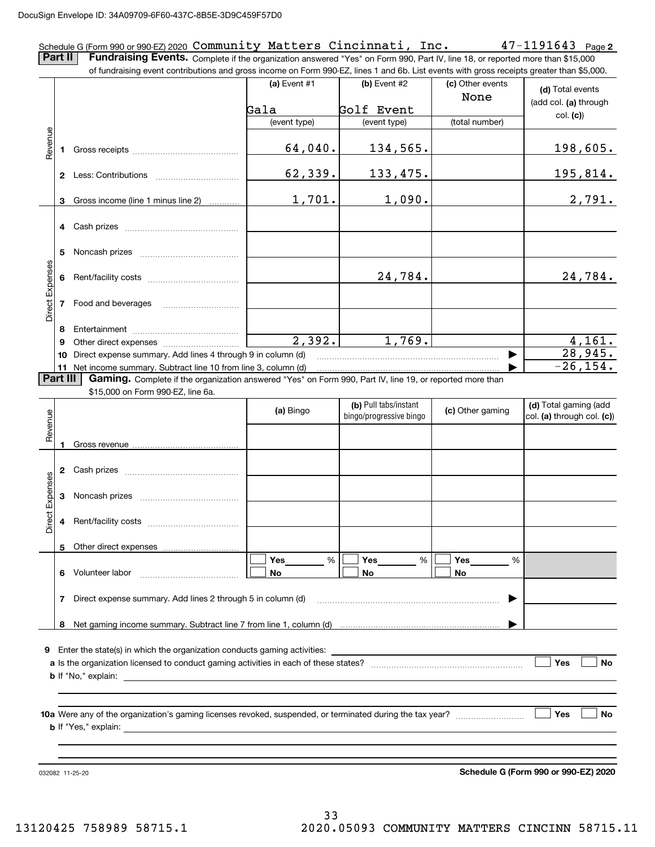### **2** Schedule G (Form 990 or 990-EZ) 2020 Page Community Matters Cincinnati, Inc. 47-1191643

**Part II** | Fundraising Events. Complete if the organization answered "Yes" on Form 990, Part IV, line 18, or reported more than \$15,000 of fundraising event contributions and gross income on Form 990-EZ, lines 1 and 6b. List events with gross receipts greater than \$5,000.

|                 |          | or iuridiaising event contributions and gross income on Form 990-EZ, lines T and 6D. Elst events with gross receipts greater than \$5,000. |                |                                                  |                          |                                                     |
|-----------------|----------|--------------------------------------------------------------------------------------------------------------------------------------------|----------------|--------------------------------------------------|--------------------------|-----------------------------------------------------|
|                 |          |                                                                                                                                            | (a) Event $#1$ | (b) Event $#2$                                   | (c) Other events<br>None | (d) Total events                                    |
|                 |          |                                                                                                                                            | Gala           | Golf Event                                       |                          | (add col. (a) through                               |
|                 |          |                                                                                                                                            | (event type)   | (event type)                                     | (total number)           | col. (c)                                            |
|                 |          |                                                                                                                                            |                |                                                  |                          |                                                     |
| Revenue         | 1        |                                                                                                                                            | 64,040.        | 134,565.                                         |                          | 198,605.                                            |
|                 |          |                                                                                                                                            | 62,339.        | 133,475.                                         |                          | 195,814.                                            |
|                 | 3        | Gross income (line 1 minus line 2)                                                                                                         | 1,701.         | 1,090.                                           |                          | 2,791.                                              |
|                 | 4        |                                                                                                                                            |                |                                                  |                          |                                                     |
|                 | 5        |                                                                                                                                            |                |                                                  |                          |                                                     |
| Direct Expenses | 6        |                                                                                                                                            |                | 24,784.                                          |                          | 24,784.                                             |
|                 |          | 7 Food and beverages                                                                                                                       |                |                                                  |                          |                                                     |
|                 |          |                                                                                                                                            |                |                                                  |                          |                                                     |
|                 | 8<br>9   |                                                                                                                                            | 2,392.         | 1,769.                                           |                          | 4,161.                                              |
|                 | 10       | Direct expense summary. Add lines 4 through 9 in column (d)                                                                                |                |                                                  |                          | 28,945.                                             |
|                 |          | 11 Net income summary. Subtract line 10 from line 3, column (d)                                                                            |                |                                                  |                          | $-26, 154.$                                         |
|                 | Part III | Gaming. Complete if the organization answered "Yes" on Form 990, Part IV, line 19, or reported more than                                   |                |                                                  |                          |                                                     |
|                 |          | \$15,000 on Form 990-EZ, line 6a.                                                                                                          |                |                                                  |                          |                                                     |
| Revenue         |          |                                                                                                                                            | (a) Bingo      | (b) Pull tabs/instant<br>bingo/progressive bingo | (c) Other gaming         | (d) Total gaming (add<br>col. (a) through col. (c)) |
|                 | 1        |                                                                                                                                            |                |                                                  |                          |                                                     |
|                 | 2        |                                                                                                                                            |                |                                                  |                          |                                                     |
|                 | 3        |                                                                                                                                            |                |                                                  |                          |                                                     |
| Direct Expenses | 4        |                                                                                                                                            |                |                                                  |                          |                                                     |
|                 |          | 5 Other direct expenses                                                                                                                    |                |                                                  |                          |                                                     |
|                 |          |                                                                                                                                            | Yes<br>%       | Yes<br>%                                         | Yes<br>%                 |                                                     |
|                 | 6        | Volunteer labor                                                                                                                            | No             | No                                               | No                       |                                                     |
|                 | 7        | Direct expense summary. Add lines 2 through 5 in column (d)                                                                                |                |                                                  |                          |                                                     |
|                 | 8        |                                                                                                                                            |                |                                                  |                          |                                                     |
|                 |          |                                                                                                                                            |                |                                                  |                          |                                                     |
| 9               |          | Enter the state(s) in which the organization conducts gaming activities:                                                                   |                |                                                  |                          |                                                     |
|                 |          |                                                                                                                                            |                |                                                  |                          | <b>Yes</b><br>No                                    |
|                 |          | <b>b</b> If $"No,"$ explain:                                                                                                               |                |                                                  |                          |                                                     |
|                 |          |                                                                                                                                            |                |                                                  |                          |                                                     |
|                 |          |                                                                                                                                            |                |                                                  |                          |                                                     |
|                 |          |                                                                                                                                            |                |                                                  |                          | Yes<br>No                                           |
|                 |          |                                                                                                                                            |                |                                                  |                          |                                                     |
|                 |          |                                                                                                                                            |                |                                                  |                          |                                                     |
|                 |          |                                                                                                                                            |                |                                                  |                          |                                                     |
|                 |          | 032082 11-25-20                                                                                                                            |                |                                                  |                          | Schedule G (Form 990 or 990-EZ) 2020                |

**Schedule G (Form 990 or 990-EZ) 2020**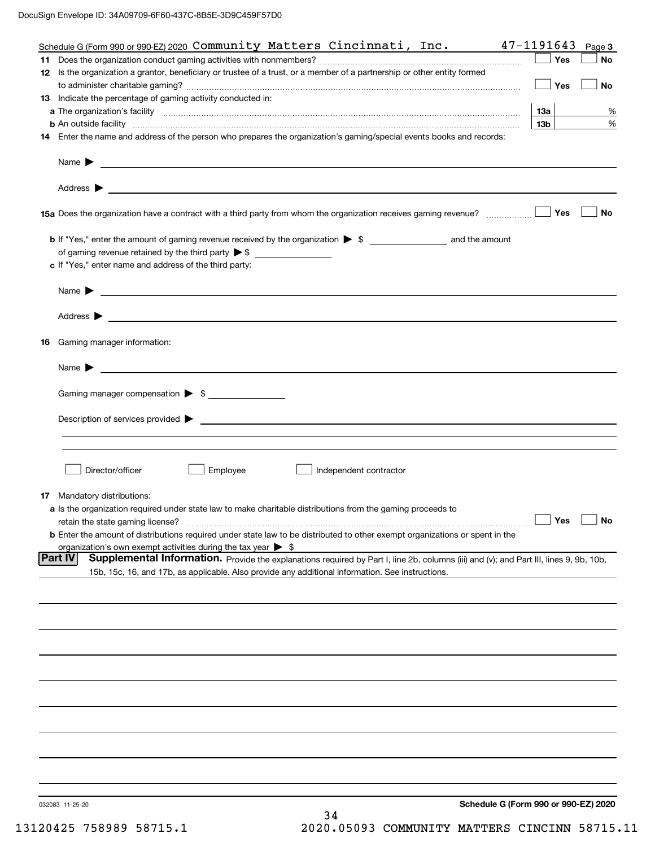| Schedule G (Form 990 or 990-EZ) 2020 $\texttt{Community}$ Matters $\texttt{Cincinnati}$ , $\texttt{Inc.}$                                                                                                                                                             | 47-1191643      | Page 3    |
|-----------------------------------------------------------------------------------------------------------------------------------------------------------------------------------------------------------------------------------------------------------------------|-----------------|-----------|
|                                                                                                                                                                                                                                                                       | Yes             | <b>No</b> |
| 12 Is the organization a grantor, beneficiary or trustee of a trust, or a member of a partnership or other entity formed                                                                                                                                              | Yes             | No        |
| 13 Indicate the percentage of gaming activity conducted in:                                                                                                                                                                                                           |                 |           |
|                                                                                                                                                                                                                                                                       | 13a             | %         |
| <b>b</b> An outside facility <b>contained an according to the contract of the contract of the contract of the contract of the contract of the contract of the contract of the contract of the contract of the contract of the contrac</b>                             | 13 <sub>b</sub> | %         |
| 14 Enter the name and address of the person who prepares the organization's gaming/special events books and records:                                                                                                                                                  |                 |           |
|                                                                                                                                                                                                                                                                       |                 |           |
| Address $\blacktriangleright$<br><u>state and the state of the state of the state of the state of the state of the state of the state of the state of the state of the state of the state of the state of the state of the state of the state of the state of the</u> |                 |           |
|                                                                                                                                                                                                                                                                       | Yes             | No        |
|                                                                                                                                                                                                                                                                       |                 |           |
|                                                                                                                                                                                                                                                                       |                 |           |
| c If "Yes," enter name and address of the third party:                                                                                                                                                                                                                |                 |           |
| Name $\blacktriangleright$ $\bot$                                                                                                                                                                                                                                     |                 |           |
| Address $\blacktriangleright$                                                                                                                                                                                                                                         |                 |           |
|                                                                                                                                                                                                                                                                       |                 |           |
| 16 Gaming manager information:                                                                                                                                                                                                                                        |                 |           |
| $Name \rightarrow$                                                                                                                                                                                                                                                    |                 |           |
| Gaming manager compensation > \$                                                                                                                                                                                                                                      |                 |           |
|                                                                                                                                                                                                                                                                       |                 |           |
|                                                                                                                                                                                                                                                                       |                 |           |
|                                                                                                                                                                                                                                                                       |                 |           |
| Director/officer<br>Employee<br>Independent contractor                                                                                                                                                                                                                |                 |           |
|                                                                                                                                                                                                                                                                       |                 |           |
| <b>17</b> Mandatory distributions:<br>a Is the organization required under state law to make charitable distributions from the gaming proceeds to                                                                                                                     |                 |           |
| retain the state gaming license?                                                                                                                                                                                                                                      | $\Box$ Yes      | $\Box$ No |
| <b>b</b> Enter the amount of distributions required under state law to be distributed to other exempt organizations or spent in the                                                                                                                                   |                 |           |
| organization's own exempt activities during the tax year $\triangleright$ \$                                                                                                                                                                                          |                 |           |
| Part IV<br>Supplemental Information. Provide the explanations required by Part I, line 2b, columns (iii) and (v); and Part III, lines 9, 9b, 10b,<br>15b, 15c, 16, and 17b, as applicable. Also provide any additional information. See instructions.                 |                 |           |
|                                                                                                                                                                                                                                                                       |                 |           |
|                                                                                                                                                                                                                                                                       |                 |           |
|                                                                                                                                                                                                                                                                       |                 |           |
|                                                                                                                                                                                                                                                                       |                 |           |
|                                                                                                                                                                                                                                                                       |                 |           |
|                                                                                                                                                                                                                                                                       |                 |           |
|                                                                                                                                                                                                                                                                       |                 |           |
|                                                                                                                                                                                                                                                                       |                 |           |
|                                                                                                                                                                                                                                                                       |                 |           |
|                                                                                                                                                                                                                                                                       |                 |           |
| Schedule G (Form 990 or 990-EZ) 2020<br>032083 11-25-20                                                                                                                                                                                                               |                 |           |
| 34                                                                                                                                                                                                                                                                    |                 |           |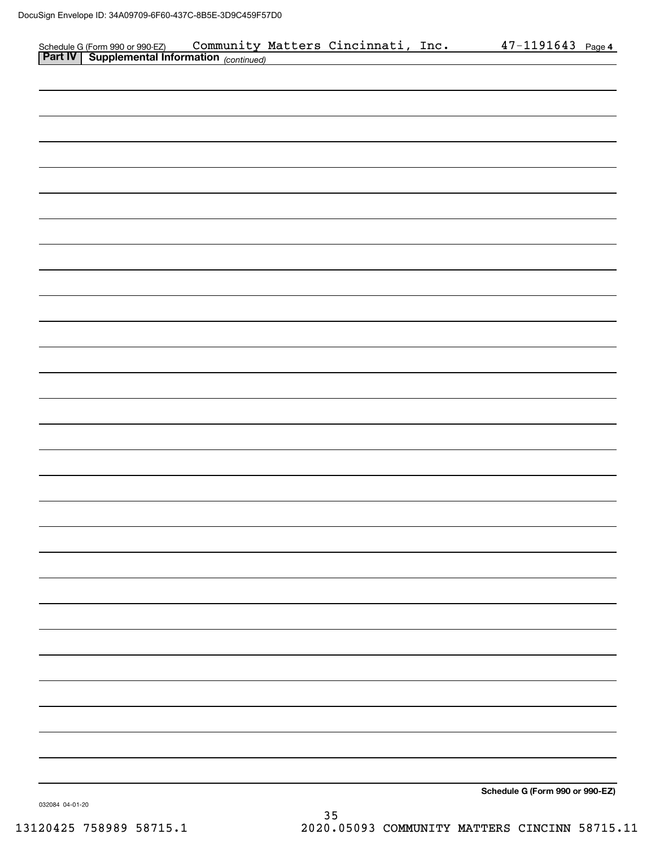|  |                                                                                                                               |  | <u>47-1191643 Page 4</u>        |  |
|--|-------------------------------------------------------------------------------------------------------------------------------|--|---------------------------------|--|
|  | Schedule G (Form 990 or 990 EZ) Community Matters Cincinnati, Inc.<br>Part IV Supplemental Information <sub>(continued)</sub> |  |                                 |  |
|  |                                                                                                                               |  |                                 |  |
|  |                                                                                                                               |  |                                 |  |
|  |                                                                                                                               |  |                                 |  |
|  |                                                                                                                               |  |                                 |  |
|  |                                                                                                                               |  |                                 |  |
|  |                                                                                                                               |  |                                 |  |
|  |                                                                                                                               |  |                                 |  |
|  |                                                                                                                               |  |                                 |  |
|  |                                                                                                                               |  |                                 |  |
|  |                                                                                                                               |  |                                 |  |
|  |                                                                                                                               |  |                                 |  |
|  |                                                                                                                               |  |                                 |  |
|  |                                                                                                                               |  |                                 |  |
|  |                                                                                                                               |  |                                 |  |
|  |                                                                                                                               |  |                                 |  |
|  |                                                                                                                               |  |                                 |  |
|  |                                                                                                                               |  |                                 |  |
|  |                                                                                                                               |  |                                 |  |
|  |                                                                                                                               |  |                                 |  |
|  |                                                                                                                               |  |                                 |  |
|  |                                                                                                                               |  |                                 |  |
|  |                                                                                                                               |  |                                 |  |
|  |                                                                                                                               |  |                                 |  |
|  |                                                                                                                               |  |                                 |  |
|  |                                                                                                                               |  |                                 |  |
|  |                                                                                                                               |  |                                 |  |
|  |                                                                                                                               |  |                                 |  |
|  |                                                                                                                               |  |                                 |  |
|  |                                                                                                                               |  |                                 |  |
|  |                                                                                                                               |  |                                 |  |
|  |                                                                                                                               |  |                                 |  |
|  |                                                                                                                               |  |                                 |  |
|  |                                                                                                                               |  |                                 |  |
|  |                                                                                                                               |  |                                 |  |
|  |                                                                                                                               |  |                                 |  |
|  |                                                                                                                               |  |                                 |  |
|  |                                                                                                                               |  |                                 |  |
|  |                                                                                                                               |  |                                 |  |
|  |                                                                                                                               |  |                                 |  |
|  |                                                                                                                               |  |                                 |  |
|  |                                                                                                                               |  |                                 |  |
|  |                                                                                                                               |  |                                 |  |
|  |                                                                                                                               |  |                                 |  |
|  |                                                                                                                               |  |                                 |  |
|  |                                                                                                                               |  |                                 |  |
|  |                                                                                                                               |  |                                 |  |
|  |                                                                                                                               |  |                                 |  |
|  |                                                                                                                               |  |                                 |  |
|  |                                                                                                                               |  |                                 |  |
|  |                                                                                                                               |  |                                 |  |
|  |                                                                                                                               |  |                                 |  |
|  |                                                                                                                               |  |                                 |  |
|  |                                                                                                                               |  |                                 |  |
|  |                                                                                                                               |  |                                 |  |
|  |                                                                                                                               |  |                                 |  |
|  |                                                                                                                               |  |                                 |  |
|  |                                                                                                                               |  |                                 |  |
|  |                                                                                                                               |  |                                 |  |
|  |                                                                                                                               |  |                                 |  |
|  |                                                                                                                               |  |                                 |  |
|  |                                                                                                                               |  | Schedule G (Form 990 or 990-EZ) |  |
|  |                                                                                                                               |  |                                 |  |

032084 04-01-20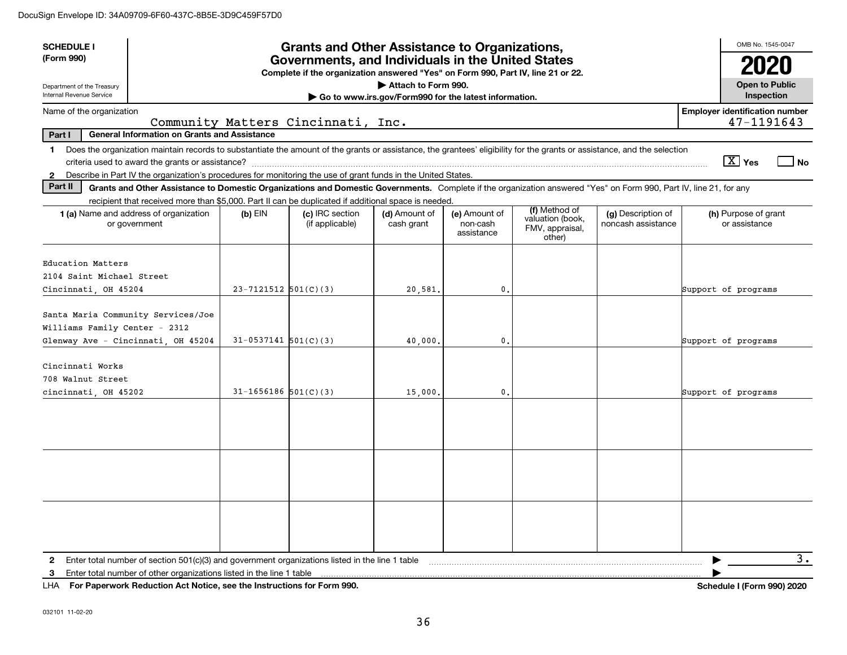| <b>SCHEDULE I</b><br>(Form 990)                                                                                                                                                                                                                                                                                          |                            | <b>Grants and Other Assistance to Organizations,</b><br>Governments, and Individuals in the United States |                                                                              |                                         |                                                                |                                          | OMB No. 1545-0047                     |                  |
|--------------------------------------------------------------------------------------------------------------------------------------------------------------------------------------------------------------------------------------------------------------------------------------------------------------------------|----------------------------|-----------------------------------------------------------------------------------------------------------|------------------------------------------------------------------------------|-----------------------------------------|----------------------------------------------------------------|------------------------------------------|---------------------------------------|------------------|
| Department of the Treasury<br>Internal Revenue Service                                                                                                                                                                                                                                                                   |                            | Complete if the organization answered "Yes" on Form 990, Part IV, line 21 or 22.                          | Attach to Form 990.<br>Go to www.irs.gov/Form990 for the latest information. |                                         |                                                                |                                          | <b>Open to Public</b><br>Inspection   |                  |
| Name of the organization                                                                                                                                                                                                                                                                                                 |                            |                                                                                                           |                                                                              |                                         |                                                                |                                          | <b>Employer identification number</b> |                  |
| Part I<br><b>General Information on Grants and Assistance</b>                                                                                                                                                                                                                                                            |                            | Community Matters Cincinnati, Inc.                                                                        |                                                                              |                                         |                                                                |                                          | 47-1191643                            |                  |
| Does the organization maintain records to substantiate the amount of the grants or assistance, the grantees' eligibility for the grants or assistance, and the selection<br>$\mathbf 1$<br>Describe in Part IV the organization's procedures for monitoring the use of grant funds in the United States.<br>$\mathbf{2}$ |                            |                                                                                                           |                                                                              |                                         |                                                                |                                          | $\boxed{\text{X}}$ Yes                | No               |
| Part II<br>Grants and Other Assistance to Domestic Organizations and Domestic Governments. Complete if the organization answered "Yes" on Form 990, Part IV, line 21, for any                                                                                                                                            |                            |                                                                                                           |                                                                              |                                         |                                                                |                                          |                                       |                  |
| recipient that received more than \$5,000. Part II can be duplicated if additional space is needed.                                                                                                                                                                                                                      |                            |                                                                                                           |                                                                              |                                         |                                                                |                                          |                                       |                  |
| 1 (a) Name and address of organization<br>or government                                                                                                                                                                                                                                                                  | $(b)$ EIN                  | (c) IRC section<br>(if applicable)                                                                        | (d) Amount of<br>cash grant                                                  | (e) Amount of<br>non-cash<br>assistance | (f) Method of<br>valuation (book,<br>FMV, appraisal,<br>other) | (g) Description of<br>noncash assistance | (h) Purpose of grant<br>or assistance |                  |
| Education Matters<br>2104 Saint Michael Street<br>Cincinnati, OH 45204                                                                                                                                                                                                                                                   | $23 - 7121512$ $501(C)(3)$ |                                                                                                           | 20,581.                                                                      | 0.                                      |                                                                |                                          | Support of programs                   |                  |
| Santa Maria Community Services/Joe<br>Williams Family Center - 2312<br>Glenway Ave - Cincinnati, OH 45204                                                                                                                                                                                                                | $31-0537141$ $501(C)(3)$   |                                                                                                           | 40,000,                                                                      | $\mathbf{0}$ .                          |                                                                |                                          | Support of programs                   |                  |
| Cincinnati Works<br>708 Walnut Street<br>cincinnati, OH 45202                                                                                                                                                                                                                                                            | $31 - 1656186$ $501(C)(3)$ |                                                                                                           | 15,000.                                                                      | $\mathbf{0}$ .                          |                                                                |                                          | Support of programs                   |                  |
|                                                                                                                                                                                                                                                                                                                          |                            |                                                                                                           |                                                                              |                                         |                                                                |                                          |                                       |                  |
|                                                                                                                                                                                                                                                                                                                          |                            |                                                                                                           |                                                                              |                                         |                                                                |                                          |                                       |                  |
|                                                                                                                                                                                                                                                                                                                          |                            |                                                                                                           |                                                                              |                                         |                                                                |                                          |                                       |                  |
| Enter total number of section $501(c)(3)$ and government organizations listed in the line 1 table<br>$\mathbf{2}$<br>Enter total number of other organizations listed in the line 1 table<br>3                                                                                                                           |                            |                                                                                                           |                                                                              |                                         |                                                                |                                          |                                       | $\overline{3}$ . |

**For Paperwork Reduction Act Notice, see the Instructions for Form 990. Schedule I (Form 990) 2020** LHA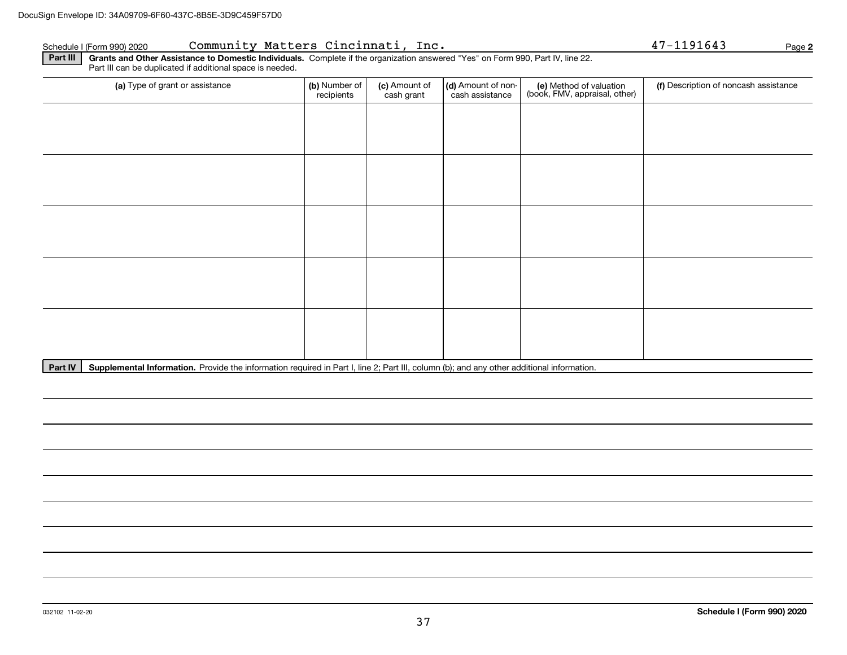### Schedule I (Form 990)2020 CO**mmunity Matters Cincinnati, Inc.** 47-1191643 Page

| (a) Type of grant or assistance | (b) Number of<br>recipients | (c) Amount of<br>cash grant | (d) Amount of non-<br>cash assistance | (e) Method of valuation<br>(book, FMV, appraisal, other) | (f) Description of noncash assistance |
|---------------------------------|-----------------------------|-----------------------------|---------------------------------------|----------------------------------------------------------|---------------------------------------|
|                                 |                             |                             |                                       |                                                          |                                       |
|                                 |                             |                             |                                       |                                                          |                                       |
|                                 |                             |                             |                                       |                                                          |                                       |
|                                 |                             |                             |                                       |                                                          |                                       |
|                                 |                             |                             |                                       |                                                          |                                       |
|                                 |                             |                             |                                       |                                                          |                                       |
|                                 |                             |                             |                                       |                                                          |                                       |
|                                 |                             |                             |                                       |                                                          |                                       |
|                                 |                             |                             |                                       |                                                          |                                       |
|                                 |                             |                             |                                       |                                                          |                                       |

Part IV | Supplemental Information. Provide the information required in Part I, line 2; Part III, column (b); and any other additional information.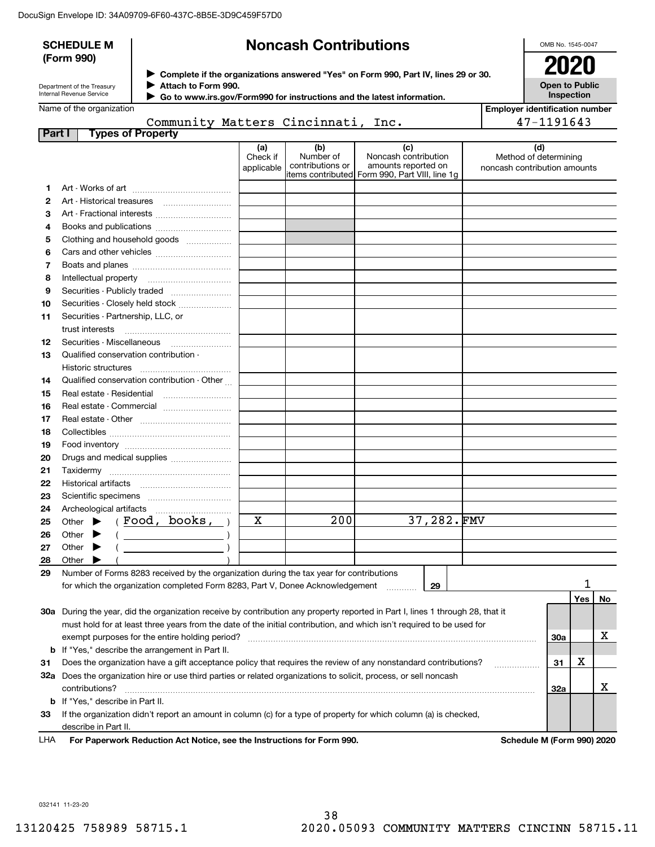|        | <b>SCHEDULE M</b>                                      |                                                                                                               |                               | <b>Noncash Contributions</b>         |                                                                                                                                |                              | OMB No. 1545-0047                     |     |    |
|--------|--------------------------------------------------------|---------------------------------------------------------------------------------------------------------------|-------------------------------|--------------------------------------|--------------------------------------------------------------------------------------------------------------------------------|------------------------------|---------------------------------------|-----|----|
|        | (Form 990)                                             |                                                                                                               |                               |                                      | ▶ Complete if the organizations answered "Yes" on Form 990, Part IV, lines 29 or 30.                                           |                              | 2020                                  |     |    |
|        | Department of the Treasury<br>Internal Revenue Service | Attach to Form 990.                                                                                           |                               |                                      |                                                                                                                                |                              | <b>Open to Public</b><br>Inspection   |     |    |
|        | Name of the organization                               |                                                                                                               |                               |                                      | Go to www.irs.gov/Form990 for instructions and the latest information.                                                         |                              | <b>Employer identification number</b> |     |    |
|        |                                                        | Community Matters Cincinnati, Inc.                                                                            |                               |                                      |                                                                                                                                |                              | 47-1191643                            |     |    |
| Part I |                                                        | <b>Types of Property</b>                                                                                      |                               |                                      |                                                                                                                                |                              |                                       |     |    |
|        |                                                        |                                                                                                               | (a)<br>Check if<br>applicable | (b)<br>Number of<br>contributions or | (c)<br>Noncash contribution<br>amounts reported on<br>items contributed Form 990, Part VIII, line 1g                           | noncash contribution amounts | (d)<br>Method of determining          |     |    |
| 1      |                                                        |                                                                                                               |                               |                                      |                                                                                                                                |                              |                                       |     |    |
| 2      |                                                        |                                                                                                               |                               |                                      |                                                                                                                                |                              |                                       |     |    |
| з      |                                                        | Art - Fractional interests                                                                                    |                               |                                      |                                                                                                                                |                              |                                       |     |    |
| 4      |                                                        |                                                                                                               |                               |                                      |                                                                                                                                |                              |                                       |     |    |
| 5      |                                                        | Clothing and household goods                                                                                  |                               |                                      |                                                                                                                                |                              |                                       |     |    |
| 6      |                                                        |                                                                                                               |                               |                                      |                                                                                                                                |                              |                                       |     |    |
| 7      |                                                        |                                                                                                               |                               |                                      |                                                                                                                                |                              |                                       |     |    |
| 8      |                                                        |                                                                                                               |                               |                                      |                                                                                                                                |                              |                                       |     |    |
| 9      |                                                        | Securities - Publicly traded                                                                                  |                               |                                      |                                                                                                                                |                              |                                       |     |    |
| 10     |                                                        | Securities - Closely held stock                                                                               |                               |                                      |                                                                                                                                |                              |                                       |     |    |
| 11     | Securities - Partnership, LLC, or                      |                                                                                                               |                               |                                      |                                                                                                                                |                              |                                       |     |    |
|        | trust interests                                        |                                                                                                               |                               |                                      |                                                                                                                                |                              |                                       |     |    |
| 12     |                                                        | Securities - Miscellaneous                                                                                    |                               |                                      |                                                                                                                                |                              |                                       |     |    |
| 13     | Qualified conservation contribution -                  |                                                                                                               |                               |                                      |                                                                                                                                |                              |                                       |     |    |
|        |                                                        |                                                                                                               |                               |                                      |                                                                                                                                |                              |                                       |     |    |
| 14     |                                                        | Qualified conservation contribution - Other                                                                   |                               |                                      |                                                                                                                                |                              |                                       |     |    |
| 15     |                                                        |                                                                                                               |                               |                                      |                                                                                                                                |                              |                                       |     |    |
| 16     |                                                        | Real estate - Commercial                                                                                      |                               |                                      |                                                                                                                                |                              |                                       |     |    |
| 17     |                                                        |                                                                                                               |                               |                                      |                                                                                                                                |                              |                                       |     |    |
| 18     |                                                        |                                                                                                               |                               |                                      |                                                                                                                                |                              |                                       |     |    |
| 19     |                                                        |                                                                                                               |                               |                                      |                                                                                                                                |                              |                                       |     |    |
| 20     |                                                        | Drugs and medical supplies                                                                                    |                               |                                      |                                                                                                                                |                              |                                       |     |    |
| 21     |                                                        |                                                                                                               |                               |                                      |                                                                                                                                |                              |                                       |     |    |
| 22     |                                                        |                                                                                                               |                               |                                      |                                                                                                                                |                              |                                       |     |    |
| 23     |                                                        |                                                                                                               |                               |                                      |                                                                                                                                |                              |                                       |     |    |
| 24     | Archeological artifacts                                |                                                                                                               |                               |                                      |                                                                                                                                |                              |                                       |     |    |
| 25     | Other                                                  | Food, books,                                                                                                  | X                             | 200                                  | 37,282.FMV                                                                                                                     |                              |                                       |     |    |
| 26     | Other                                                  |                                                                                                               |                               |                                      |                                                                                                                                |                              |                                       |     |    |
| 27     | Other                                                  |                                                                                                               |                               |                                      |                                                                                                                                |                              |                                       |     |    |
| 28     | Other                                                  |                                                                                                               |                               |                                      |                                                                                                                                |                              |                                       |     |    |
| 29     |                                                        | Number of Forms 8283 received by the organization during the tax year for contributions                       |                               |                                      |                                                                                                                                |                              |                                       |     |    |
|        |                                                        | for which the organization completed Form 8283, Part V, Donee Acknowledgement                                 |                               |                                      | 29                                                                                                                             |                              |                                       |     |    |
|        |                                                        |                                                                                                               |                               |                                      |                                                                                                                                |                              |                                       | Yes | No |
|        |                                                        |                                                                                                               |                               |                                      | 30a During the year, did the organization receive by contribution any property reported in Part I, lines 1 through 28, that it |                              |                                       |     |    |
|        |                                                        |                                                                                                               |                               |                                      | must hold for at least three years from the date of the initial contribution, and which isn't required to be used for          |                              |                                       |     |    |
|        |                                                        | exempt purposes for the entire holding period?                                                                |                               |                                      |                                                                                                                                |                              | 30a                                   |     | х  |
|        |                                                        | <b>b</b> If "Yes," describe the arrangement in Part II.                                                       |                               |                                      |                                                                                                                                |                              |                                       |     |    |
| 31     |                                                        |                                                                                                               |                               |                                      | Does the organization have a gift acceptance policy that requires the review of any nonstandard contributions?                 |                              | 31                                    | х   |    |
| 32a    | contributions?                                         | Does the organization hire or use third parties or related organizations to solicit, process, or sell noncash |                               |                                      |                                                                                                                                |                              | 32a                                   |     | x  |
|        | <b>b</b> If "Yes," describe in Part II.                |                                                                                                               |                               |                                      |                                                                                                                                |                              |                                       |     |    |
| 33     |                                                        |                                                                                                               |                               |                                      | If the organization didn't report an amount in column (c) for a type of property for which column (a) is checked,              |                              |                                       |     |    |
|        | describe in Part II.                                   |                                                                                                               |                               |                                      |                                                                                                                                |                              |                                       |     |    |
| LHA    |                                                        | For Paperwork Reduction Act Notice, see the Instructions for Form 990.                                        |                               |                                      |                                                                                                                                |                              | Schedule M (Form 990) 2020            |     |    |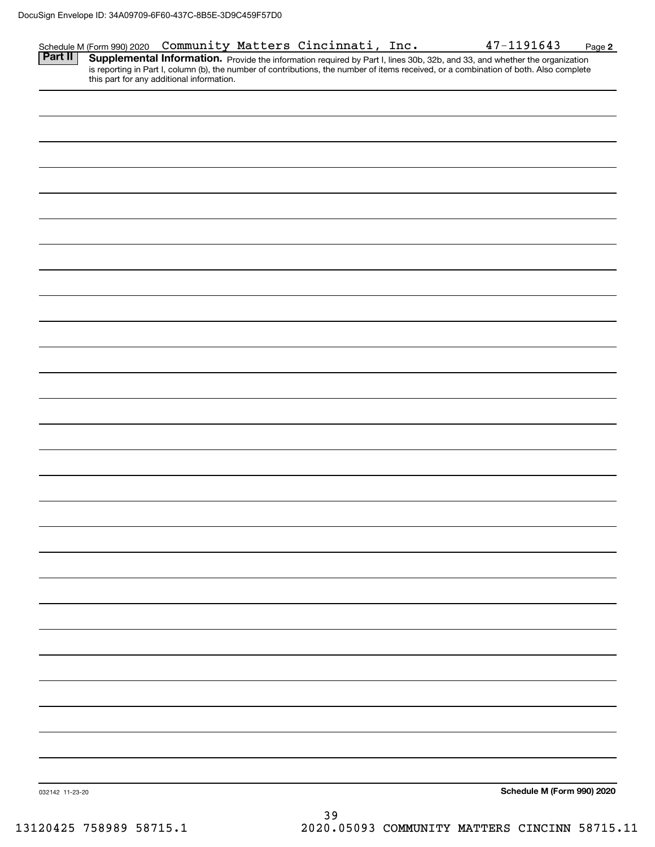| Part II<br><b>Supplemental Information.</b> Provide the information required by Part I, lines 30b, 32b, and 33, and whether the organization is reporting in Part I, column (b), the number of contributions, the number of items received, or<br>this part for any additional information. |  |
|---------------------------------------------------------------------------------------------------------------------------------------------------------------------------------------------------------------------------------------------------------------------------------------------|--|
|                                                                                                                                                                                                                                                                                             |  |
|                                                                                                                                                                                                                                                                                             |  |
|                                                                                                                                                                                                                                                                                             |  |
|                                                                                                                                                                                                                                                                                             |  |
|                                                                                                                                                                                                                                                                                             |  |
|                                                                                                                                                                                                                                                                                             |  |
|                                                                                                                                                                                                                                                                                             |  |
|                                                                                                                                                                                                                                                                                             |  |
|                                                                                                                                                                                                                                                                                             |  |
|                                                                                                                                                                                                                                                                                             |  |
|                                                                                                                                                                                                                                                                                             |  |
|                                                                                                                                                                                                                                                                                             |  |
|                                                                                                                                                                                                                                                                                             |  |
|                                                                                                                                                                                                                                                                                             |  |
|                                                                                                                                                                                                                                                                                             |  |
|                                                                                                                                                                                                                                                                                             |  |
|                                                                                                                                                                                                                                                                                             |  |
|                                                                                                                                                                                                                                                                                             |  |
|                                                                                                                                                                                                                                                                                             |  |
|                                                                                                                                                                                                                                                                                             |  |
|                                                                                                                                                                                                                                                                                             |  |
|                                                                                                                                                                                                                                                                                             |  |
|                                                                                                                                                                                                                                                                                             |  |
|                                                                                                                                                                                                                                                                                             |  |
|                                                                                                                                                                                                                                                                                             |  |
|                                                                                                                                                                                                                                                                                             |  |
|                                                                                                                                                                                                                                                                                             |  |
|                                                                                                                                                                                                                                                                                             |  |
|                                                                                                                                                                                                                                                                                             |  |
|                                                                                                                                                                                                                                                                                             |  |
|                                                                                                                                                                                                                                                                                             |  |
|                                                                                                                                                                                                                                                                                             |  |
| Schedule M (Form 990) 2020<br>032142 11-23-20<br>$\sim$ $\sim$                                                                                                                                                                                                                              |  |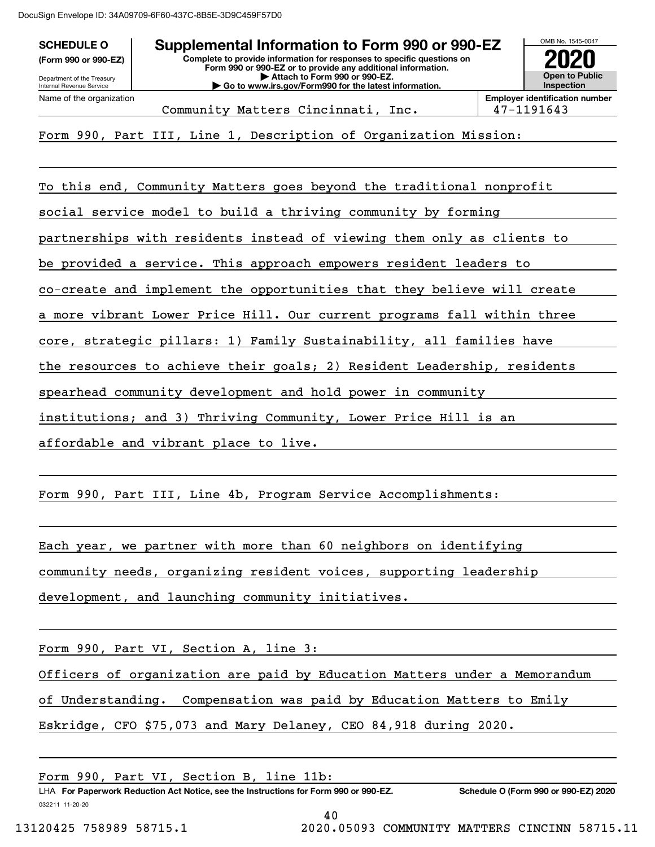DocuSign Envelope ID: 34A09709-6F60-437C-8B5E-3D9C459F57D0

| <b>SCHEDULE O</b>                                      | OMB No. 1545-0047                                   |  |  |
|--------------------------------------------------------|-----------------------------------------------------|--|--|
| (Form 990 or 990-EZ)                                   | 2020                                                |  |  |
| Department of the Treasury<br>Internal Revenue Service | <b>Open to Public</b><br><b>Inspection</b>          |  |  |
| Name of the organization                               | <b>Employer identification number</b><br>47-1191643 |  |  |
| $\sim$ $\sim$ $\sim$                                   |                                                     |  |  |

Form 990, Part III, Line 1, Description of Organization Mission:

To this end, Community Matters goes beyond the traditional nonprofit social service model to build a thriving community by forming partnerships with residents instead of viewing them only as clients to be provided a service. This approach empowers resident leaders to co-create and implement the opportunities that they believe will create a more vibrant Lower Price Hill. Our current programs fall within three core, strategic pillars: 1) Family Sustainability, all families have the resources to achieve their goals; 2) Resident Leadership, residents spearhead community development and hold power in community institutions; and 3) Thriving Community, Lower Price Hill is an

affordable and vibrant place to live.

Form 990, Part III, Line 4b, Program Service Accomplishments:

Each year, we partner with more than 60 neighbors on identifying community needs, organizing resident voices, supporting leadership development, and launching community initiatives.

Form 990, Part VI, Section A, line 3:

Officers of organization are paid by Education Matters under a Memorandum

of Understanding. Compensation was paid by Education Matters to Emily

Eskridge, CFO \$75,073 and Mary Delaney, CEO 84,918 during 2020.

LHA For Paperwork Reduction Act Notice, see the Instructions for Form 990 or 990-EZ. Schedule O (Form 990 or 990-EZ) 2020 Form 990, Part VI, Section B, line 11b:

032211 11-20-20

40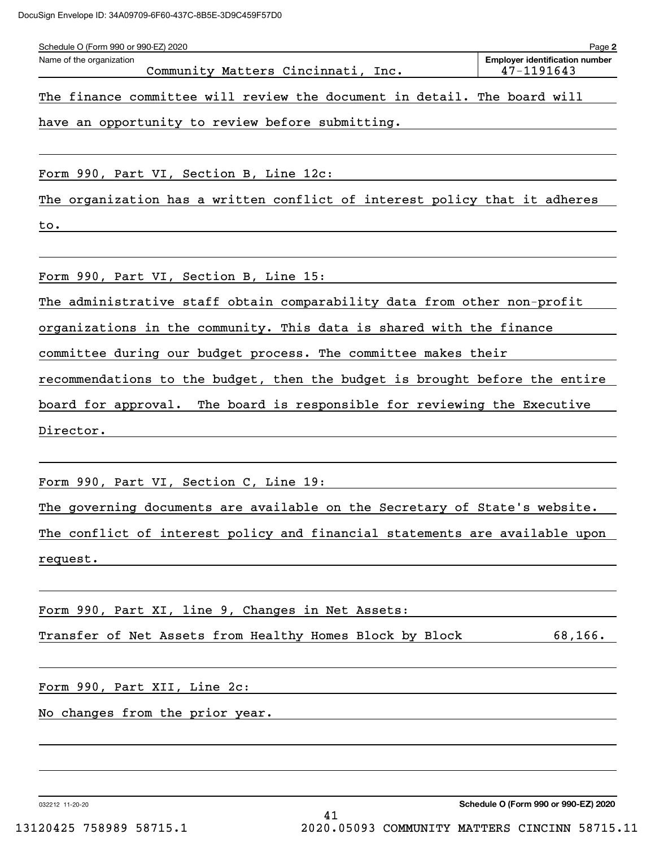| Schedule O (Form 990 or 990-EZ) 2020<br>Name of the organization<br>Community Matters Cincinnati, Inc. | Page 2<br><b>Employer identification number</b><br>47-1191643 |
|--------------------------------------------------------------------------------------------------------|---------------------------------------------------------------|
| The finance committee will review the document in detail. The board will                               |                                                               |
| have an opportunity to review before submitting.                                                       |                                                               |
| Form 990, Part VI, Section B, Line 12c:                                                                |                                                               |
| The organization has a written conflict of interest policy that it adheres                             |                                                               |
| to.                                                                                                    |                                                               |
| Form 990, Part VI, Section B, Line 15:                                                                 |                                                               |
| The administrative staff obtain comparability data from other non-profit                               |                                                               |
| organizations in the community. This data is shared with the finance                                   |                                                               |
| committee during our budget process. The committee makes their                                         |                                                               |
| recommendations to the budget, then the budget is brought before the entire                            |                                                               |
| board for approval. The board is responsible for reviewing the Executive                               |                                                               |
| Director.                                                                                              |                                                               |
|                                                                                                        |                                                               |
| Form 990, Part VI, Section C, Line 19:                                                                 |                                                               |
| The governing documents are available on the Secretary of State's website.                             |                                                               |
| The conflict of interest policy and financial statements are available upon                            |                                                               |
| request.<br><u> 1989 - Johann Stein, fransk politik (d. 1989)</u>                                      |                                                               |
| Form 990, Part XI, line 9, Changes in Net Assets:                                                      |                                                               |
| Transfer of Net Assets from Healthy Homes Block by Block 68,166.                                       |                                                               |
|                                                                                                        |                                                               |
| No changes from the prior year.                                                                        |                                                               |

032212 11-20-20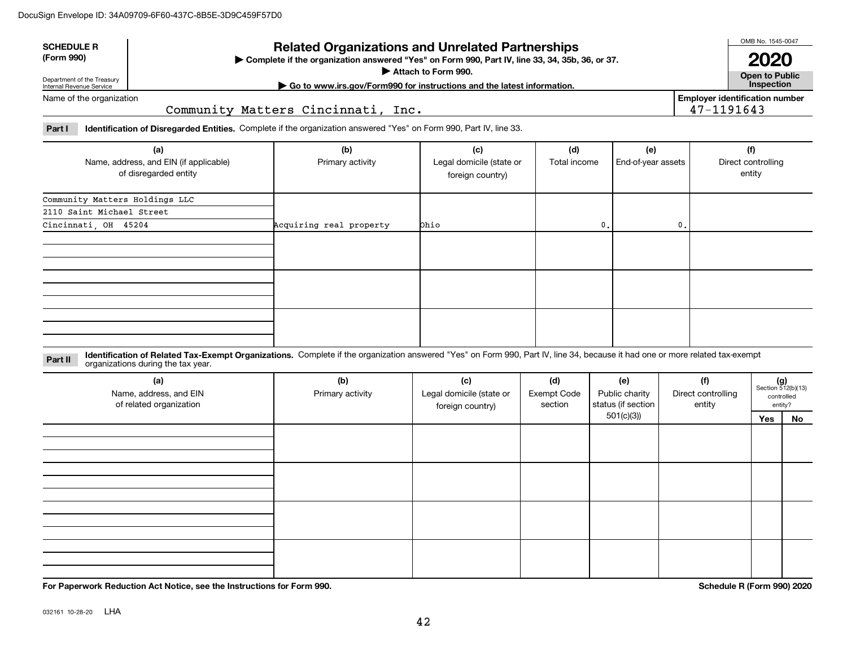| <b>SCHEDULE R</b>          | <b>Related Organizations and Unrelated Partnerships</b>                                          | OMB No. 1545-0047                |
|----------------------------|--------------------------------------------------------------------------------------------------|----------------------------------|
| (Form 990)                 | ▶ Complete if the organization answered "Yes" on Form 990, Part IV, line 33, 34, 35b, 36, or 37. | 2020                             |
| Department of the Treasury | Attach to Form 990.                                                                              | Open to Public                   |
| Internal Revenue Service   | $\triangleright$ Go to www.irs.gov/Form990 for instructions and the latest information.          | <b>Inspection</b>                |
| Name of the organization   |                                                                                                  | l Emplover identification number |

Community Matters Cincinnati, Inc.

**Part I Identification of Disregarded Entities.**  Complete if the organization answered "Yes" on Form 990, Part IV, line 33.

| (a)                                    | (b)                     | (c)                      | (d)            | (e)                | (f)                |
|----------------------------------------|-------------------------|--------------------------|----------------|--------------------|--------------------|
| Name, address, and EIN (if applicable) | Primary activity        | Legal domicile (state or | Total income   | End-of-year assets | Direct controlling |
| of disregarded entity                  |                         | foreign country)         |                |                    | entity             |
|                                        |                         |                          |                |                    |                    |
| Community Matters Holdings LLC         |                         |                          |                |                    |                    |
| 2110 Saint Michael Street              |                         |                          |                |                    |                    |
| Cincinnati, OH 45204                   | Acquiring real property | <b>Chio</b>              | $\mathbf{0}$ . | $\mathbf{0}$ .     |                    |
|                                        |                         |                          |                |                    |                    |
|                                        |                         |                          |                |                    |                    |
|                                        |                         |                          |                |                    |                    |
|                                        |                         |                          |                |                    |                    |
|                                        |                         |                          |                |                    |                    |
|                                        |                         |                          |                |                    |                    |
|                                        |                         |                          |                |                    |                    |
|                                        |                         |                          |                |                    |                    |
|                                        |                         |                          |                |                    |                    |

**Identification of Related Tax-Exempt Organizations.** Complete if the organization answered "Yes" on Form 990, Part IV, line 34, because it had one or more related tax-exempt **Part II** organizations during the tax year.

| (a)<br>Name, address, and EIN<br>of related organization | (b)<br>Primary activity | (c)<br>Legal domicile (state or<br>foreign country) | (d)<br><b>Exempt Code</b><br>section | (e)<br>Public charity<br>status (if section | (f)<br>Direct controlling<br>entity | $(g)$<br>Section 512(b)(13) | controlled<br>entity? |
|----------------------------------------------------------|-------------------------|-----------------------------------------------------|--------------------------------------|---------------------------------------------|-------------------------------------|-----------------------------|-----------------------|
|                                                          |                         |                                                     |                                      | 501(c)(3)                                   |                                     | Yes                         | No                    |
|                                                          |                         |                                                     |                                      |                                             |                                     |                             |                       |
|                                                          |                         |                                                     |                                      |                                             |                                     |                             |                       |
|                                                          |                         |                                                     |                                      |                                             |                                     |                             |                       |

**For Paperwork Reduction Act Notice, see the Instructions for Form 990. Schedule R (Form 990) 2020**

47-1191643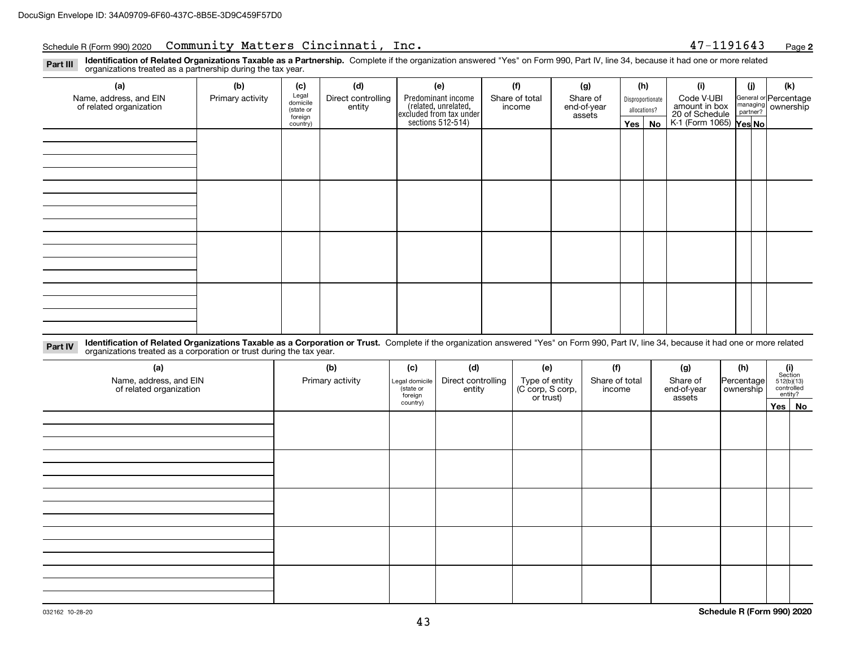## Schedule R (Form 990) 2020 Community Matters Cincinnati, Inc. 47-1191643 <sub>Page</sub>

**2**

**Identification of Related Organizations Taxable as a Partnership.** Complete if the organization answered "Yes" on Form 990, Part IV, line 34, because it had one or more related **Part III** organizations treated as a partnership during the tax year.

| $\checkmark$                                      | ັ                | $\overline{\phantom{a}}$       |                              |                                                                                            |                          |                         |         |                                  |                                               |     |                                                         |  |  |  |  |  |  |  |  |  |  |  |  |  |  |  |  |  |  |  |  |  |  |  |  |  |  |  |  |  |  |  |  |
|---------------------------------------------------|------------------|--------------------------------|------------------------------|--------------------------------------------------------------------------------------------|--------------------------|-------------------------|---------|----------------------------------|-----------------------------------------------|-----|---------------------------------------------------------|--|--|--|--|--|--|--|--|--|--|--|--|--|--|--|--|--|--|--|--|--|--|--|--|--|--|--|--|--|--|--|--|
| (a)                                               | (b)              | (c)                            | (d)                          | (e)                                                                                        | (f)                      | (g)                     |         | (h)                              | (i)                                           | (j) | (k)                                                     |  |  |  |  |  |  |  |  |  |  |  |  |  |  |  |  |  |  |  |  |  |  |  |  |  |  |  |  |  |  |  |  |
| Name, address, and EIN<br>of related organization | Primary activity | Legal<br>domicile<br>(state or | Direct controlling<br>entity | Predominant income<br>(related, unrelated,<br>excluded from tax under<br>sections 512-514) | Share of total<br>income | Share of<br>end-of-year |         | Disproportionate<br>allocations? | Code V-UBI<br>amount in box<br>20 of Schedule |     | General or Percentage<br>managing ownership<br>partner? |  |  |  |  |  |  |  |  |  |  |  |  |  |  |  |  |  |  |  |  |  |  |  |  |  |  |  |  |  |  |  |  |
|                                                   |                  | foreign<br>country)            |                              |                                                                                            |                          | assets                  | Yes $ $ | No                               | K-1 (Form 1065) Yes No                        |     |                                                         |  |  |  |  |  |  |  |  |  |  |  |  |  |  |  |  |  |  |  |  |  |  |  |  |  |  |  |  |  |  |  |  |
|                                                   |                  |                                |                              |                                                                                            |                          |                         |         |                                  |                                               |     |                                                         |  |  |  |  |  |  |  |  |  |  |  |  |  |  |  |  |  |  |  |  |  |  |  |  |  |  |  |  |  |  |  |  |
|                                                   |                  |                                |                              |                                                                                            |                          |                         |         |                                  |                                               |     |                                                         |  |  |  |  |  |  |  |  |  |  |  |  |  |  |  |  |  |  |  |  |  |  |  |  |  |  |  |  |  |  |  |  |
|                                                   |                  |                                |                              |                                                                                            |                          |                         |         |                                  |                                               |     |                                                         |  |  |  |  |  |  |  |  |  |  |  |  |  |  |  |  |  |  |  |  |  |  |  |  |  |  |  |  |  |  |  |  |
|                                                   |                  |                                |                              |                                                                                            |                          |                         |         |                                  |                                               |     |                                                         |  |  |  |  |  |  |  |  |  |  |  |  |  |  |  |  |  |  |  |  |  |  |  |  |  |  |  |  |  |  |  |  |
|                                                   |                  |                                |                              |                                                                                            |                          |                         |         |                                  |                                               |     |                                                         |  |  |  |  |  |  |  |  |  |  |  |  |  |  |  |  |  |  |  |  |  |  |  |  |  |  |  |  |  |  |  |  |
|                                                   |                  |                                |                              |                                                                                            |                          |                         |         |                                  |                                               |     |                                                         |  |  |  |  |  |  |  |  |  |  |  |  |  |  |  |  |  |  |  |  |  |  |  |  |  |  |  |  |  |  |  |  |
|                                                   |                  |                                |                              |                                                                                            |                          |                         |         |                                  |                                               |     |                                                         |  |  |  |  |  |  |  |  |  |  |  |  |  |  |  |  |  |  |  |  |  |  |  |  |  |  |  |  |  |  |  |  |
|                                                   |                  |                                |                              |                                                                                            |                          |                         |         |                                  |                                               |     |                                                         |  |  |  |  |  |  |  |  |  |  |  |  |  |  |  |  |  |  |  |  |  |  |  |  |  |  |  |  |  |  |  |  |
|                                                   |                  |                                |                              |                                                                                            |                          |                         |         |                                  |                                               |     |                                                         |  |  |  |  |  |  |  |  |  |  |  |  |  |  |  |  |  |  |  |  |  |  |  |  |  |  |  |  |  |  |  |  |
|                                                   |                  |                                |                              |                                                                                            |                          |                         |         |                                  |                                               |     |                                                         |  |  |  |  |  |  |  |  |  |  |  |  |  |  |  |  |  |  |  |  |  |  |  |  |  |  |  |  |  |  |  |  |
|                                                   |                  |                                |                              |                                                                                            |                          |                         |         |                                  |                                               |     |                                                         |  |  |  |  |  |  |  |  |  |  |  |  |  |  |  |  |  |  |  |  |  |  |  |  |  |  |  |  |  |  |  |  |
|                                                   |                  |                                |                              |                                                                                            |                          |                         |         |                                  |                                               |     |                                                         |  |  |  |  |  |  |  |  |  |  |  |  |  |  |  |  |  |  |  |  |  |  |  |  |  |  |  |  |  |  |  |  |
|                                                   |                  |                                |                              |                                                                                            |                          |                         |         |                                  |                                               |     |                                                         |  |  |  |  |  |  |  |  |  |  |  |  |  |  |  |  |  |  |  |  |  |  |  |  |  |  |  |  |  |  |  |  |
|                                                   |                  |                                |                              |                                                                                            |                          |                         |         |                                  |                                               |     |                                                         |  |  |  |  |  |  |  |  |  |  |  |  |  |  |  |  |  |  |  |  |  |  |  |  |  |  |  |  |  |  |  |  |
|                                                   |                  |                                |                              |                                                                                            |                          |                         |         |                                  |                                               |     |                                                         |  |  |  |  |  |  |  |  |  |  |  |  |  |  |  |  |  |  |  |  |  |  |  |  |  |  |  |  |  |  |  |  |
|                                                   |                  |                                |                              |                                                                                            |                          |                         |         |                                  |                                               |     |                                                         |  |  |  |  |  |  |  |  |  |  |  |  |  |  |  |  |  |  |  |  |  |  |  |  |  |  |  |  |  |  |  |  |

**Identification of Related Organizations Taxable as a Corporation or Trust.** Complete if the organization answered "Yes" on Form 990, Part IV, line 34, because it had one or more related **Part IV** organizations treated as a corporation or trust during the tax year.

| (a)<br>Name, address, and EIN<br>of related organization | (b)<br>Primary activity | (c)<br>Legal domicile<br>(state or<br>foreign | (d)<br>Direct controlling<br>entity | (e)<br>Type of entity<br>(C corp, S corp,<br>or trust) | (f)<br>Share of total<br>income | (g)<br>Share of<br>end-of-year<br>assets | (h)<br>Percentage<br>ownership | (i)<br>Section<br>512(b)(13)<br>controlled | entity? |
|----------------------------------------------------------|-------------------------|-----------------------------------------------|-------------------------------------|--------------------------------------------------------|---------------------------------|------------------------------------------|--------------------------------|--------------------------------------------|---------|
|                                                          |                         | country)                                      |                                     |                                                        |                                 |                                          |                                |                                            | Yes No  |
|                                                          |                         |                                               |                                     |                                                        |                                 |                                          |                                |                                            |         |
|                                                          |                         |                                               |                                     |                                                        |                                 |                                          |                                |                                            |         |
|                                                          |                         |                                               |                                     |                                                        |                                 |                                          |                                |                                            |         |
|                                                          |                         |                                               |                                     |                                                        |                                 |                                          |                                |                                            |         |
|                                                          |                         |                                               |                                     |                                                        |                                 |                                          |                                |                                            |         |
|                                                          |                         |                                               |                                     |                                                        |                                 |                                          |                                |                                            |         |
|                                                          |                         |                                               |                                     |                                                        |                                 |                                          |                                |                                            |         |
|                                                          |                         |                                               |                                     |                                                        |                                 |                                          |                                |                                            |         |
|                                                          |                         |                                               |                                     |                                                        |                                 |                                          |                                |                                            |         |
|                                                          |                         |                                               |                                     |                                                        |                                 |                                          |                                |                                            |         |
|                                                          |                         |                                               |                                     |                                                        |                                 |                                          |                                |                                            |         |
|                                                          |                         |                                               |                                     |                                                        |                                 |                                          |                                |                                            |         |
|                                                          |                         |                                               |                                     |                                                        |                                 |                                          |                                |                                            |         |
|                                                          |                         |                                               |                                     |                                                        |                                 |                                          |                                |                                            |         |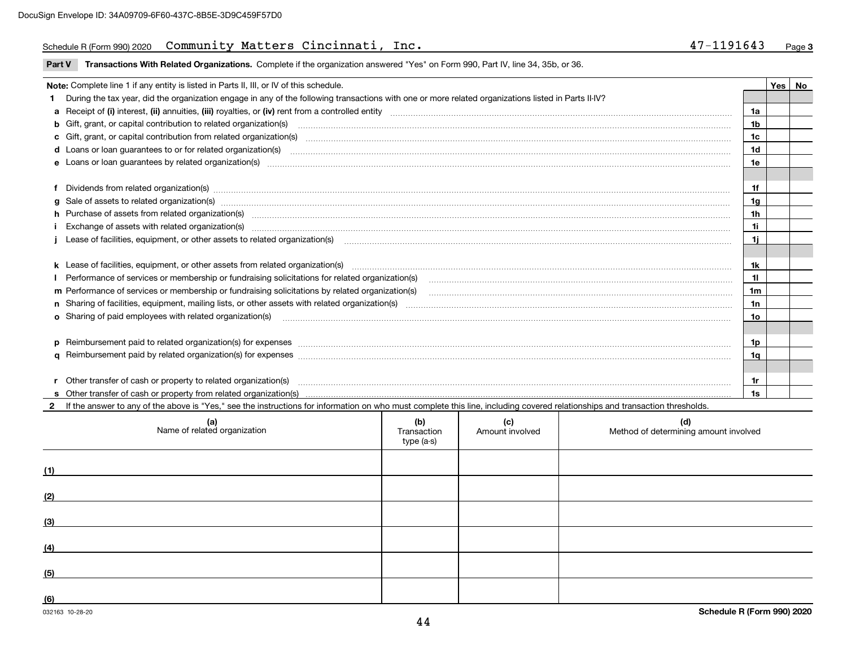### Schedule R (Form 990) 2020 Community Matters Cincinnati, Inc. 47-1191643 <sub>Page</sub>

| 47-1191643 | Page 3 |
|------------|--------|
|------------|--------|

**Part V** T**ransactions With Related Organizations.** Complete if the organization answered "Yes" on Form 990, Part IV, line 34, 35b, or 36.

| Note: Complete line 1 if any entity is listed in Parts II, III, or IV of this schedule.                                                                                                                                        |                | Yes I | No |
|--------------------------------------------------------------------------------------------------------------------------------------------------------------------------------------------------------------------------------|----------------|-------|----|
| During the tax year, did the organization engage in any of the following transactions with one or more related organizations listed in Parts II-IV?                                                                            |                |       |    |
|                                                                                                                                                                                                                                | 1a             |       |    |
| <b>b</b> Gift, grant, or capital contribution to related organization(s)                                                                                                                                                       | 1b             |       |    |
|                                                                                                                                                                                                                                | 1c             |       |    |
|                                                                                                                                                                                                                                | 1 <sub>d</sub> |       |    |
| e Loans or loan guarantees by related organization(s) encontraction contains and contain a construction of the state of the state organization (s) encoderation and construction of the state of the state of the state of the | 1e             |       |    |
|                                                                                                                                                                                                                                |                |       |    |
| f Dividends from related organization(s) manufactured and content to the content of the content of the content of the content of the content of the content of the content of the content of the content of the content of the | 1f             |       |    |
| g Sale of assets to related organization(s) material contents and content and content of the set of assets to related organization(s)                                                                                          | 1g             |       |    |
| h Purchase of assets from related organization(s) manufactured and content to the content of the content of the content of the content of the content of the content of the content of the content of the content of the conte | 1h             |       |    |
| Exchange of assets with related organization(s) www.assettion.com/www.assettion.com/www.assettion.com/www.assettion.com/www.assettion.com/www.assettion.com/www.assettion.com/www.assettion.com/www.assettion.com/www.assettio | 1i             |       |    |
|                                                                                                                                                                                                                                | 1i.            |       |    |
|                                                                                                                                                                                                                                |                |       |    |
| <b>k</b> Lease of facilities, equipment, or other assets from related organization(s)                                                                                                                                          | 1k             |       |    |
| Performance of services or membership or fundraising solicitations for related organization(s)                                                                                                                                 | 11             |       |    |
| m Performance of services or membership or fundraising solicitations by related organization(s)                                                                                                                                | 1 <sub>m</sub> |       |    |
|                                                                                                                                                                                                                                | 1n             |       |    |
| <b>o</b> Sharing of paid employees with related organization(s)                                                                                                                                                                | 1o             |       |    |
|                                                                                                                                                                                                                                |                |       |    |
| p Reimbursement paid to related organization(s) for expenses [111] All and the content of the content of the content of the content of the content of the content of the content of the content of the content of the content  | 1p             |       |    |
|                                                                                                                                                                                                                                | 1a             |       |    |
|                                                                                                                                                                                                                                |                |       |    |
| r Other transfer of cash or property to related organization(s)                                                                                                                                                                | 1r             |       |    |
|                                                                                                                                                                                                                                | 1s             |       |    |
|                                                                                                                                                                                                                                |                |       |    |

**2**If the answer to any of the above is "Yes," see the instructions for information on who must complete this line, including covered relationships and transaction thresholds.

| (a)<br>Name of related organization | (b)<br>Transaction<br>type (a-s) | (c)<br>Amount involved | (d)<br>Method of determining amount involved |
|-------------------------------------|----------------------------------|------------------------|----------------------------------------------|
| (1)                                 |                                  |                        |                                              |
| (2)                                 |                                  |                        |                                              |
| (3)                                 |                                  |                        |                                              |
| (4)                                 |                                  |                        |                                              |
| (5)                                 |                                  |                        |                                              |
| (6)                                 |                                  |                        |                                              |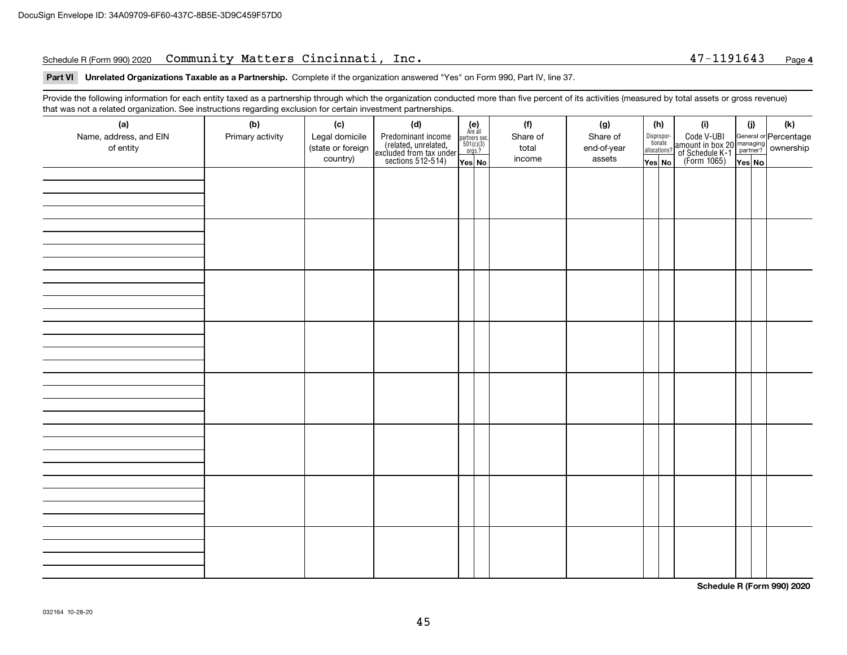### Schedule R (Form 990) 2020 Community Matters Cincinnati, Inc. 47-1191643 <sub>Page</sub>

### **4**

**Part VI Unrelated Organizations Taxable as a Partnership. Complete if the organization answered "Yes" on Form 990, Part IV, line 37.** 

Provide the following information for each entity taxed as a partnership through which the organization conducted more than five percent of its activities (measured by total assets or gross revenue) that was not a related organization. See instructions regarding exclusion for certain investment partnerships.

| (a)<br>Name, address, and EIN<br>of entity | ັ<br>(b)<br>Primary activity | (c)<br>Legal domicile<br>(state or foreign<br>country) | (d)<br>Predominant income<br>(related, unrelated,<br>excluded from tax under<br>sections 512-514) | $(e)$<br>Are all<br>partners sec.<br>$501(c)(3)$<br>orgs.? | (f)<br>Share of<br>total<br>income | (g)<br>Share of<br>end-of-year<br>assets | (h)<br>Dispropor-<br>tionate<br>allocations? | (i)<br>Code V-UBI<br>amount in box 20 managing<br>of Schedule K-1<br>(Form 1065)<br>$\overline{Yes}$ No | (i)    | $(\mathsf{k})$ |
|--------------------------------------------|------------------------------|--------------------------------------------------------|---------------------------------------------------------------------------------------------------|------------------------------------------------------------|------------------------------------|------------------------------------------|----------------------------------------------|---------------------------------------------------------------------------------------------------------|--------|----------------|
|                                            |                              |                                                        |                                                                                                   | Yes No                                                     |                                    |                                          | Yes No                                       |                                                                                                         | Yes No |                |
|                                            |                              |                                                        |                                                                                                   |                                                            |                                    |                                          |                                              |                                                                                                         |        |                |
|                                            |                              |                                                        |                                                                                                   |                                                            |                                    |                                          |                                              |                                                                                                         |        |                |
|                                            |                              |                                                        |                                                                                                   |                                                            |                                    |                                          |                                              |                                                                                                         |        |                |
|                                            |                              |                                                        |                                                                                                   |                                                            |                                    |                                          |                                              |                                                                                                         |        |                |
|                                            |                              |                                                        |                                                                                                   |                                                            |                                    |                                          |                                              |                                                                                                         |        |                |
|                                            |                              |                                                        |                                                                                                   |                                                            |                                    |                                          |                                              |                                                                                                         |        |                |
|                                            |                              |                                                        |                                                                                                   |                                                            |                                    |                                          |                                              |                                                                                                         |        |                |
|                                            |                              |                                                        |                                                                                                   |                                                            |                                    |                                          |                                              |                                                                                                         |        |                |

**Schedule R (Form 990) 2020**